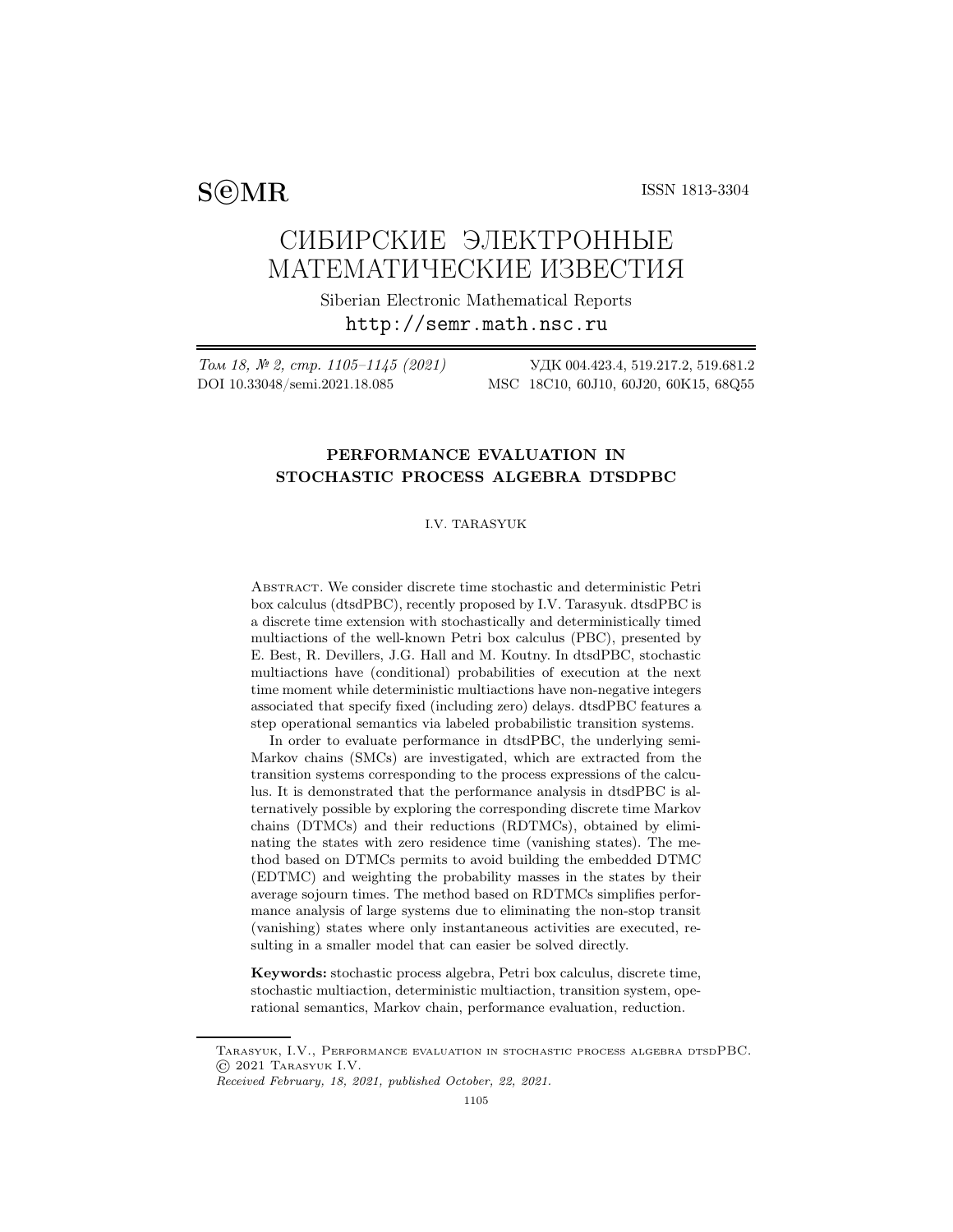$S@MR$  ISSN 1813-3304

# СИБИРСКИЕ ЭЛЕКТРОННЫЕ МАТЕМАТИЧЕСКИЕ ИЗВЕСТИЯ

Siberian Electronic Mathematical Reports http://semr.math.nsc.ru

Том 18, № 2, стр. 1105–1145 (2021) УДК 004.423.4, 519.217.2, 519.681.2 DOI 10.33048/semi.2021.18.085 MSC 18C10, 60J10, 60J20, 60K15, 68Q55

## PERFORMANCE EVALUATION IN STOCHASTIC PROCESS ALGEBRA DTSDPBC

## I.V. TARASYUK

Abstract. We consider discrete time stochastic and deterministic Petri box calculus (dtsdPBC), recently proposed by I.V. Tarasyuk. dtsdPBC is a discrete time extension with stochastically and deterministically timed multiactions of the well-known Petri box calculus (PBC), presented by E. Best, R. Devillers, J.G. Hall and M. Koutny. In dtsdPBC, stochastic multiactions have (conditional) probabilities of execution at the next time moment while deterministic multiactions have non-negative integers associated that specify fixed (including zero) delays. dtsdPBC features a step operational semantics via labeled probabilistic transition systems.

In order to evaluate performance in dtsdPBC, the underlying semi-Markov chains (SMCs) are investigated, which are extracted from the transition systems corresponding to the process expressions of the calculus. It is demonstrated that the performance analysis in dtsdPBC is alternatively possible by exploring the corresponding discrete time Markov chains (DTMCs) and their reductions (RDTMCs), obtained by eliminating the states with zero residence time (vanishing states). The method based on DTMCs permits to avoid building the embedded DTMC (EDTMC) and weighting the probability masses in the states by their average sojourn times. The method based on RDTMCs simplifies performance analysis of large systems due to eliminating the non-stop transit (vanishing) states where only instantaneous activities are executed, resulting in a smaller model that can easier be solved directly.

Keywords: stochastic process algebra, Petri box calculus, discrete time, stochastic multiaction, deterministic multiaction, transition system, operational semantics, Markov chain, performance evaluation, reduction.

Tarasyuk, I.V., Performance evaluation in stochastic process algebra dtsdPBC. © 2021 Tarasyuk I.V.

*Received February, 18, 2021, published October, 22, 2021.*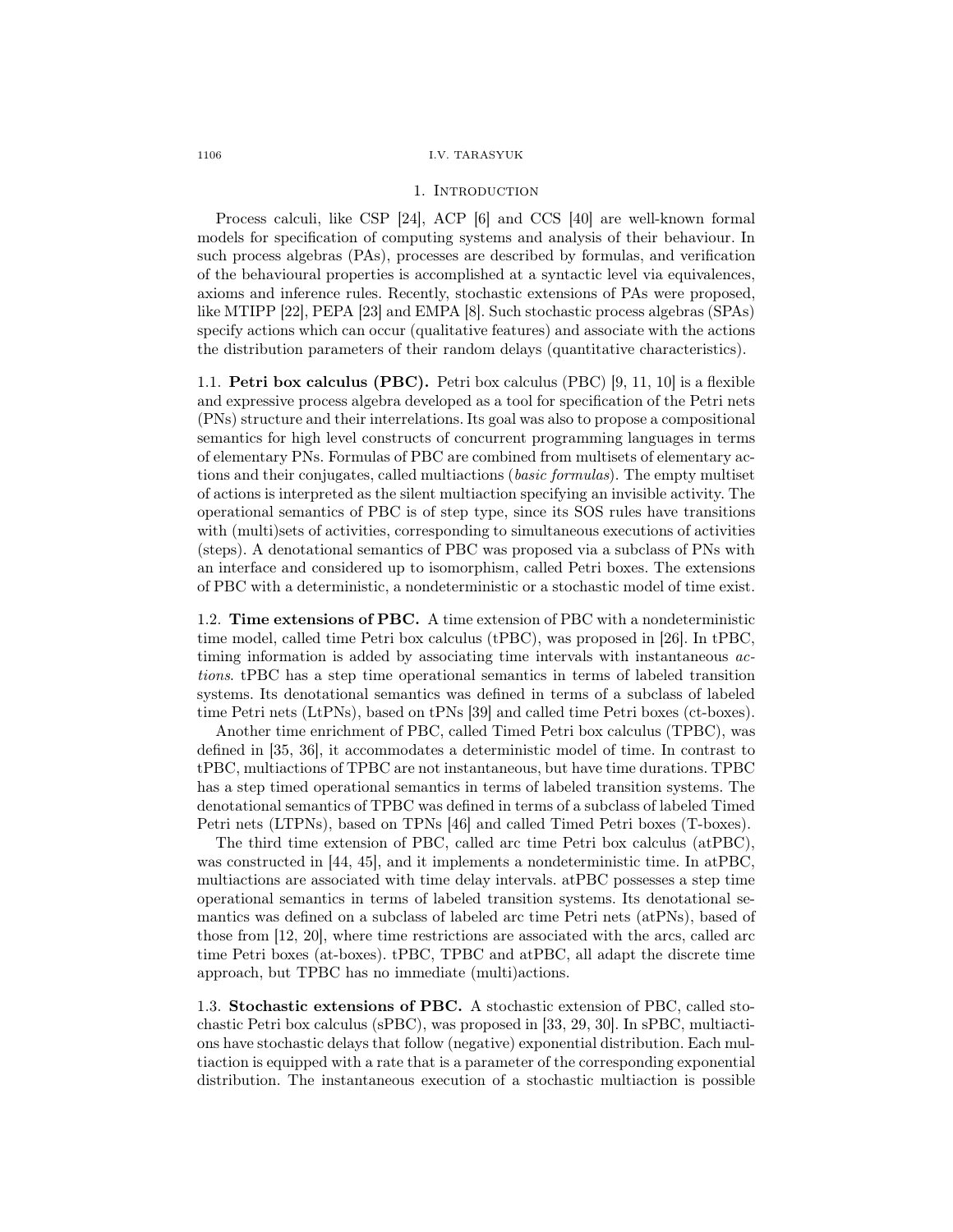#### 1. INTRODUCTION

Process calculi, like CSP [24], ACP [6] and CCS [40] are well-known formal models for specification of computing systems and analysis of their behaviour. In such process algebras (PAs), processes are described by formulas, and verification of the behavioural properties is accomplished at a syntactic level via equivalences, axioms and inference rules. Recently, stochastic extensions of PAs were proposed, like MTIPP [22], PEPA [23] and EMPA [8]. Such stochastic process algebras (SPAs) specify actions which can occur (qualitative features) and associate with the actions the distribution parameters of their random delays (quantitative characteristics).

1.1. Petri box calculus (PBC). Petri box calculus (PBC) [9, 11, 10] is a flexible and expressive process algebra developed as a tool for specification of the Petri nets (PNs) structure and their interrelations. Its goal was also to propose a compositional semantics for high level constructs of concurrent programming languages in terms of elementary PNs. Formulas of PBC are combined from multisets of elementary actions and their conjugates, called multiactions (basic formulas). The empty multiset of actions is interpreted as the silent multiaction specifying an invisible activity. The operational semantics of PBC is of step type, since its SOS rules have transitions with (multi)sets of activities, corresponding to simultaneous executions of activities (steps). A denotational semantics of PBC was proposed via a subclass of PNs with an interface and considered up to isomorphism, called Petri boxes. The extensions of PBC with a deterministic, a nondeterministic or a stochastic model of time exist.

1.2. Time extensions of PBC. A time extension of PBC with a nondeterministic time model, called time Petri box calculus (tPBC), was proposed in [26]. In tPBC, timing information is added by associating time intervals with instantaneous actions. tPBC has a step time operational semantics in terms of labeled transition systems. Its denotational semantics was defined in terms of a subclass of labeled time Petri nets (LtPNs), based on tPNs [39] and called time Petri boxes (ct-boxes).

Another time enrichment of PBC, called Timed Petri box calculus (TPBC), was defined in [35, 36], it accommodates a deterministic model of time. In contrast to tPBC, multiactions of TPBC are not instantaneous, but have time durations. TPBC has a step timed operational semantics in terms of labeled transition systems. The denotational semantics of TPBC was defined in terms of a subclass of labeled Timed Petri nets (LTPNs), based on TPNs [46] and called Timed Petri boxes (T-boxes).

The third time extension of PBC, called arc time Petri box calculus (atPBC), was constructed in [44, 45], and it implements a nondeterministic time. In atPBC, multiactions are associated with time delay intervals. atPBC possesses a step time operational semantics in terms of labeled transition systems. Its denotational semantics was defined on a subclass of labeled arc time Petri nets (atPNs), based of those from [12, 20], where time restrictions are associated with the arcs, called arc time Petri boxes (at-boxes). tPBC, TPBC and atPBC, all adapt the discrete time approach, but TPBC has no immediate (multi)actions.

1.3. Stochastic extensions of PBC. A stochastic extension of PBC, called stochastic Petri box calculus (sPBC), was proposed in [33, 29, 30]. In sPBC, multiactions have stochastic delays that follow (negative) exponential distribution. Each multiaction is equipped with a rate that is a parameter of the corresponding exponential distribution. The instantaneous execution of a stochastic multiaction is possible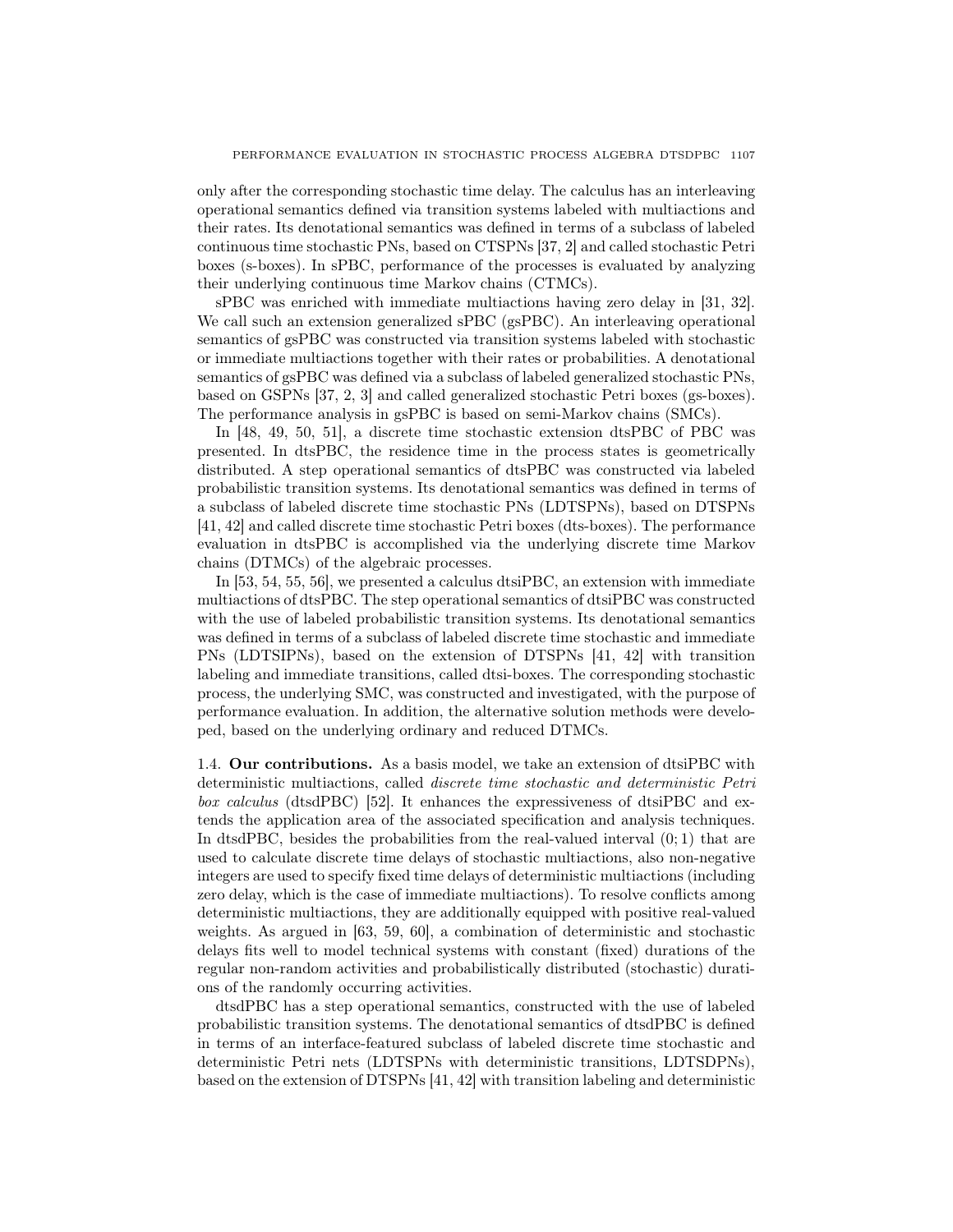only after the corresponding stochastic time delay. The calculus has an interleaving operational semantics defined via transition systems labeled with multiactions and their rates. Its denotational semantics was defined in terms of a subclass of labeled continuous time stochastic PNs, based on CTSPNs [37, 2] and called stochastic Petri boxes (s-boxes). In sPBC, performance of the processes is evaluated by analyzing their underlying continuous time Markov chains (CTMCs).

sPBC was enriched with immediate multiactions having zero delay in [31, 32]. We call such an extension generalized sPBC (gsPBC). An interleaving operational semantics of gsPBC was constructed via transition systems labeled with stochastic or immediate multiactions together with their rates or probabilities. A denotational semantics of gsPBC was defined via a subclass of labeled generalized stochastic PNs, based on GSPNs [37, 2, 3] and called generalized stochastic Petri boxes (gs-boxes). The performance analysis in gsPBC is based on semi-Markov chains (SMCs).

In [48, 49, 50, 51], a discrete time stochastic extension dtsPBC of PBC was presented. In dtsPBC, the residence time in the process states is geometrically distributed. A step operational semantics of dtsPBC was constructed via labeled probabilistic transition systems. Its denotational semantics was defined in terms of a subclass of labeled discrete time stochastic PNs (LDTSPNs), based on DTSPNs [41, 42] and called discrete time stochastic Petri boxes (dts-boxes). The performance evaluation in dtsPBC is accomplished via the underlying discrete time Markov chains (DTMCs) of the algebraic processes.

In [53, 54, 55, 56], we presented a calculus dtsiPBC, an extension with immediate multiactions of dtsPBC. The step operational semantics of dtsiPBC was constructed with the use of labeled probabilistic transition systems. Its denotational semantics was defined in terms of a subclass of labeled discrete time stochastic and immediate PNs (LDTSIPNs), based on the extension of DTSPNs [41, 42] with transition labeling and immediate transitions, called dtsi-boxes. The corresponding stochastic process, the underlying SMC, was constructed and investigated, with the purpose of performance evaluation. In addition, the alternative solution methods were developed, based on the underlying ordinary and reduced DTMCs.

1.4. Our contributions. As a basis model, we take an extension of dtsiPBC with deterministic multiactions, called discrete time stochastic and deterministic Petri box calculus (dtsdPBC) [52]. It enhances the expressiveness of dtsiPBC and extends the application area of the associated specification and analysis techniques. In dtsdPBC, besides the probabilities from the real-valued interval (0; 1) that are used to calculate discrete time delays of stochastic multiactions, also non-negative integers are used to specify fixed time delays of deterministic multiactions (including zero delay, which is the case of immediate multiactions). To resolve conflicts among deterministic multiactions, they are additionally equipped with positive real-valued weights. As argued in [63, 59, 60], a combination of deterministic and stochastic delays fits well to model technical systems with constant (fixed) durations of the regular non-random activities and probabilistically distributed (stochastic) durations of the randomly occurring activities.

dtsdPBC has a step operational semantics, constructed with the use of labeled probabilistic transition systems. The denotational semantics of dtsdPBC is defined in terms of an interface-featured subclass of labeled discrete time stochastic and deterministic Petri nets (LDTSPNs with deterministic transitions, LDTSDPNs), based on the extension of DTSPNs [41, 42] with transition labeling and deterministic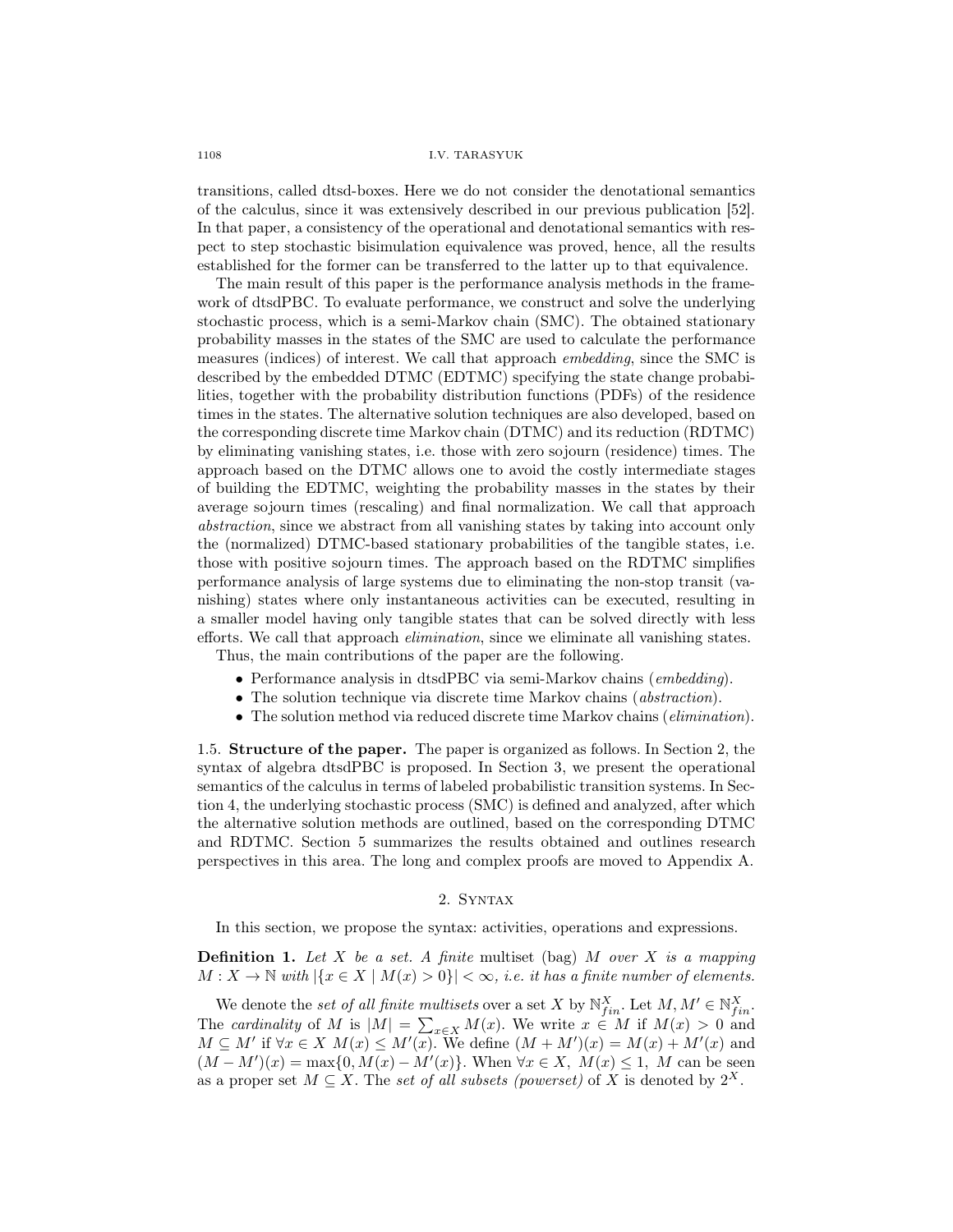transitions, called dtsd-boxes. Here we do not consider the denotational semantics of the calculus, since it was extensively described in our previous publication [52]. In that paper, a consistency of the operational and denotational semantics with respect to step stochastic bisimulation equivalence was proved, hence, all the results established for the former can be transferred to the latter up to that equivalence.

The main result of this paper is the performance analysis methods in the framework of dtsdPBC. To evaluate performance, we construct and solve the underlying stochastic process, which is a semi-Markov chain (SMC). The obtained stationary probability masses in the states of the SMC are used to calculate the performance measures (indices) of interest. We call that approach embedding, since the SMC is described by the embedded DTMC (EDTMC) specifying the state change probabilities, together with the probability distribution functions (PDFs) of the residence times in the states. The alternative solution techniques are also developed, based on the corresponding discrete time Markov chain (DTMC) and its reduction (RDTMC) by eliminating vanishing states, i.e. those with zero sojourn (residence) times. The approach based on the DTMC allows one to avoid the costly intermediate stages of building the EDTMC, weighting the probability masses in the states by their average sojourn times (rescaling) and final normalization. We call that approach abstraction, since we abstract from all vanishing states by taking into account only the (normalized) DTMC-based stationary probabilities of the tangible states, i.e. those with positive sojourn times. The approach based on the RDTMC simplifies performance analysis of large systems due to eliminating the non-stop transit (vanishing) states where only instantaneous activities can be executed, resulting in a smaller model having only tangible states that can be solved directly with less efforts. We call that approach elimination, since we eliminate all vanishing states.

Thus, the main contributions of the paper are the following.

- Performance analysis in dtsdPBC via semi-Markov chains (embedding).
- The solution technique via discrete time Markov chains *(abstraction)*.
- The solution method via reduced discrete time Markov chains (*elimination*).

1.5. Structure of the paper. The paper is organized as follows. In Section 2, the syntax of algebra dtsdPBC is proposed. In Section 3, we present the operational semantics of the calculus in terms of labeled probabilistic transition systems. In Section 4, the underlying stochastic process (SMC) is defined and analyzed, after which the alternative solution methods are outlined, based on the corresponding DTMC and RDTMC. Section 5 summarizes the results obtained and outlines research perspectives in this area. The long and complex proofs are moved to Appendix A.

## 2. Syntax

In this section, we propose the syntax: activities, operations and expressions.

**Definition 1.** Let X be a set. A finite multiset (bag) M over X is a mapping  $M: X \to \mathbb{N}$  with  $|\{x \in X \mid M(x) > 0\}| < \infty$ , i.e. it has a finite number of elements.

We denote the set of all finite multisets over a set X by  $\mathbb{N}_{fin}^X$ . Let  $M, M' \in \mathbb{N}_{fin}^X$ . The cardinality of M is  $|M| = \sum_{x \in X} M(x)$ . We write  $x \in M$  if  $M(x) > 0$  and  $M \subseteq M'$  if  $\forall x \in X$   $M(x) \leq M'(x)$ . We define  $(M + M')(x) = M(x) + M'(x)$  and  $(M - M')(x) = \max\{0, M(x) - M'(x)\}.$  When  $\forall x \in X$ ,  $M(x) \leq 1$ , M can be seen as a proper set  $M \subseteq X$ . The set of all subsets (powerset) of X is denoted by  $2^X$ .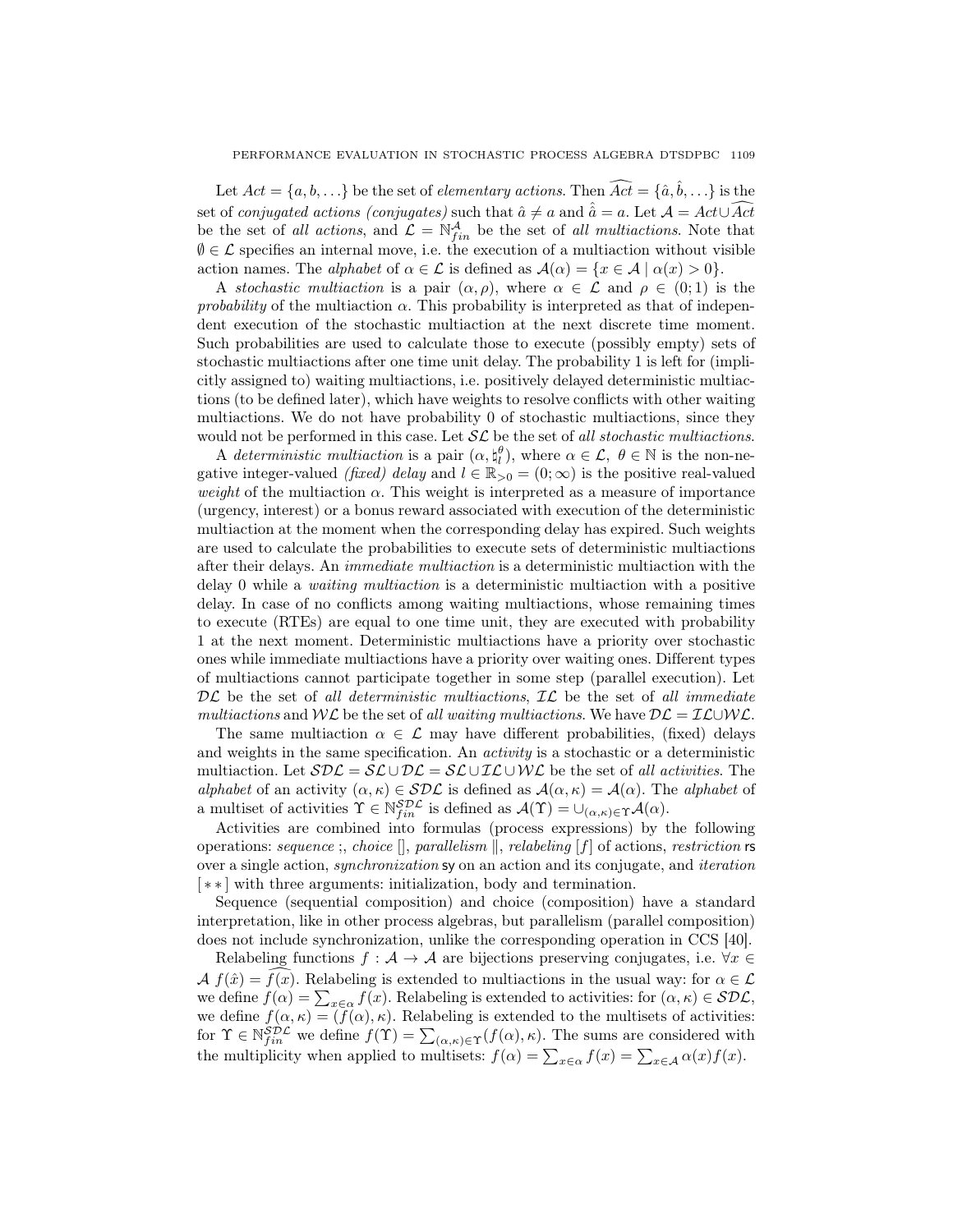Let  $Act = \{a, b, \ldots\}$  be the set of *elementary actions*. Then  $\widehat{Act} = \{\hat{a}, \hat{b}, \ldots\}$  is the set of conjugated actions (conjugates) such that  $\hat{a} \neq a$  and  $\hat{a} = a$ . Let  $\mathcal{A} = Act \cup \widehat{Act}$ be the set of all actions, and  $\mathcal{L} = \mathbb{N}_{fin}^{\mathcal{A}}$  be the set of all multiactions. Note that  $\emptyset \in \mathcal{L}$  specifies an internal move, i.e. the execution of a multiaction without visible action names. The *alphabet* of  $\alpha \in \mathcal{L}$  is defined as  $\mathcal{A}(\alpha) = \{x \in \mathcal{A} \mid \alpha(x) > 0\}.$ 

A stochastic multiaction is a pair  $(\alpha, \rho)$ , where  $\alpha \in \mathcal{L}$  and  $\rho \in (0, 1)$  is the *probability* of the multiaction  $\alpha$ . This probability is interpreted as that of independent execution of the stochastic multiaction at the next discrete time moment. Such probabilities are used to calculate those to execute (possibly empty) sets of stochastic multiactions after one time unit delay. The probability 1 is left for (implicitly assigned to) waiting multiactions, i.e. positively delayed deterministic multiactions (to be defined later), which have weights to resolve conflicts with other waiting multiactions. We do not have probability 0 of stochastic multiactions, since they would not be performed in this case. Let  $\mathcal{SL}$  be the set of all stochastic multiactions.

A deterministic multiaction is a pair  $(\alpha, \xi_i^{\theta})$ , where  $\alpha \in \mathcal{L}, \theta \in \mathbb{N}$  is the non-negative integer-valued (fixed) delay and  $l \in \mathbb{R}_{>0} = (0, \infty)$  is the positive real-valued weight of the multiaction  $\alpha$ . This weight is interpreted as a measure of importance (urgency, interest) or a bonus reward associated with execution of the deterministic multiaction at the moment when the corresponding delay has expired. Such weights are used to calculate the probabilities to execute sets of deterministic multiactions after their delays. An immediate multiaction is a deterministic multiaction with the delay 0 while a waiting multiaction is a deterministic multiaction with a positive delay. In case of no conflicts among waiting multiactions, whose remaining times to execute (RTEs) are equal to one time unit, they are executed with probability 1 at the next moment. Deterministic multiactions have a priority over stochastic ones while immediate multiactions have a priority over waiting ones. Different types of multiactions cannot participate together in some step (parallel execution). Let  $\mathcal{DL}$  be the set of all deterministic multiactions,  $\mathcal{IL}$  be the set of all immediate multiactions and WL be the set of all waiting multiactions. We have  $\mathcal{DL} = \mathcal{IL} \cup \mathcal{WL}$ .

The same multiaction  $\alpha \in \mathcal{L}$  may have different probabilities, (fixed) delays and weights in the same specification. An activity is a stochastic or a deterministic multiaction. Let  $SDE = \mathcal{SL} \cup \mathcal{DL} = \mathcal{SL} \cup \mathcal{IL} \cup \mathcal{WL}$  be the set of all activities. The alphabet of an activity  $(\alpha, \kappa) \in SDC$  is defined as  $\mathcal{A}(\alpha, \kappa) = \mathcal{A}(\alpha)$ . The alphabet of a multiset of activities  $\Upsilon \in \mathbb{N}_{fin}^{SD\mathcal{L}}$  is defined as  $\mathcal{A}(\Upsilon) = \cup_{(\alpha,\kappa) \in \Upsilon} \mathcal{A}(\alpha)$ .

Activities are combined into formulas (process expressions) by the following operations: sequence ;, choice  $[]$ , parallelism  $\parallel$ , relabeling  $[f]$  of actions, restriction rs over a single action, synchronization sy on an action and its conjugate, and iteration [ ∗ ∗ ] with three arguments: initialization, body and termination.

Sequence (sequential composition) and choice (composition) have a standard interpretation, like in other process algebras, but parallelism (parallel composition) does not include synchronization, unlike the corresponding operation in CCS [40].

Relabeling functions  $f : A \to A$  are bijections preserving conjugates, i.e.  $\forall x \in \mathbb{R}$  $\mathcal{A} f(\hat{x}) = f(x)$ . Relabeling is extended to multiactions in the usual way: for  $\alpha \in \mathcal{L}$ we define  $f(\alpha) = \sum_{x \in \alpha} f(x)$ . Relabeling is extended to activities: for  $(\alpha, \kappa) \in \mathcal{SDL}$ , we define  $f(\alpha, \kappa) = (f(\alpha), \kappa)$ . Relabeling is extended to the multisets of activities: for  $\Upsilon \in \mathbb{N}_{fin}^{SD\mathcal{L}}$  we define  $f(\Upsilon) = \sum_{(\alpha,\kappa) \in \Upsilon} (f(\alpha), \kappa)$ . The sums are considered with the multiplicity when applied to multisets:  $f(\alpha) = \sum_{x \in \alpha} f(x) = \sum_{x \in \mathcal{A}} \alpha(x) f(x)$ .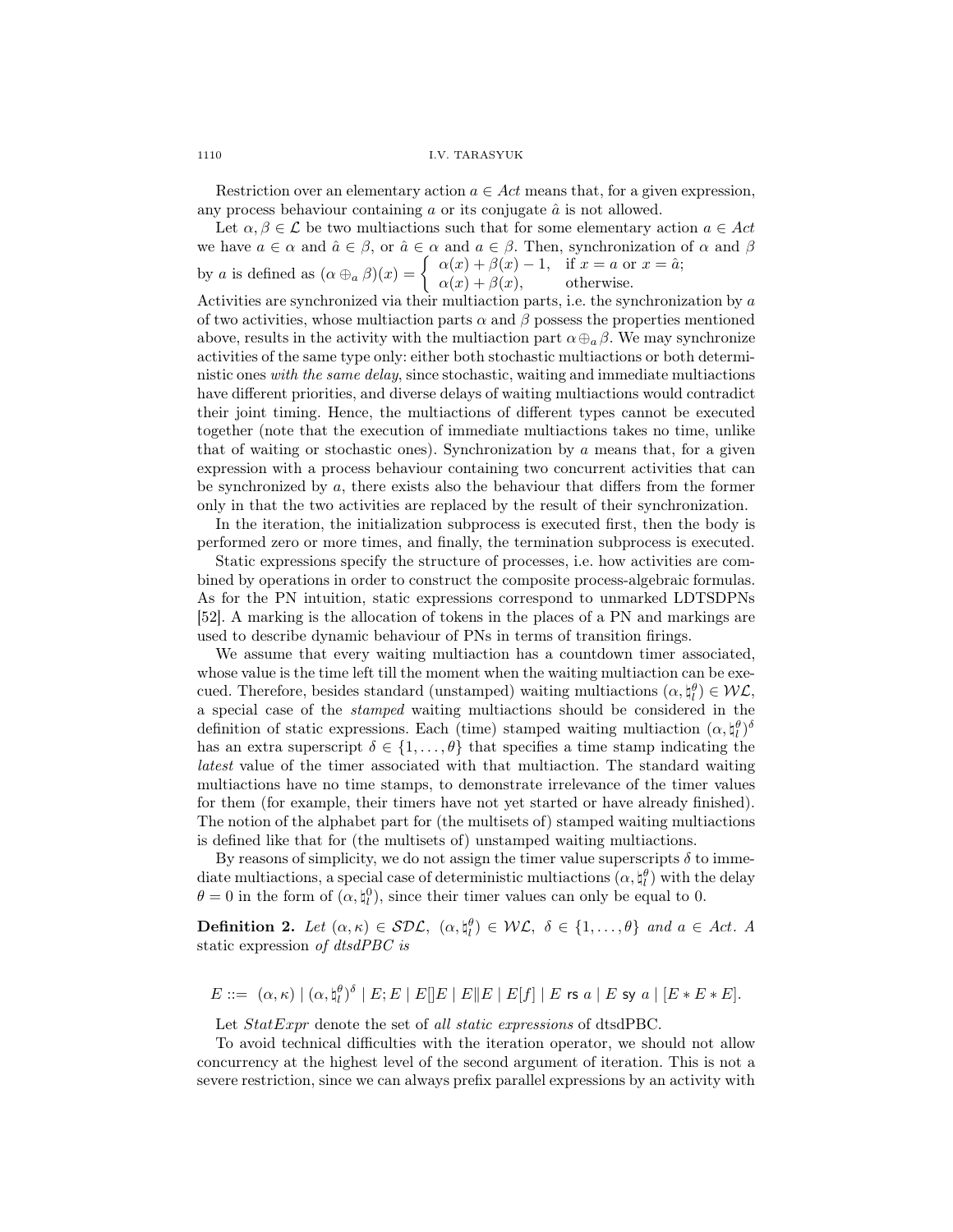Restriction over an elementary action  $a \in Act$  means that, for a given expression, any process behaviour containing  $\alpha$  or its conjugate  $\hat{\alpha}$  is not allowed.

Let  $\alpha, \beta \in \mathcal{L}$  be two multiactions such that for some elementary action  $a \in \mathcal{A}ct$ we have  $a \in \alpha$  and  $\hat{a} \in \beta$ , or  $\hat{a} \in \alpha$  and  $a \in \beta$ . Then, synchronization of  $\alpha$  and  $\beta$ by a is defined as  $(\alpha \oplus_{a} \beta)(x) = \begin{cases} \alpha(x) + \beta(x) - 1, & \text{if } x = a \text{ or } x = \hat{a}; \\ \alpha(x) + \beta(x) & \text{otherwise.} \end{cases}$  $\alpha(x) + \beta(x)$ , otherwise. Activities are synchronized via their multiaction parts, i.e. the synchronization by  $a$ of two activities, whose multiaction parts  $\alpha$  and  $\beta$  possess the properties mentioned above, results in the activity with the multiaction part  $\alpha \oplus_{a} \beta$ . We may synchronize activities of the same type only: either both stochastic multiactions or both deterministic ones with the same delay, since stochastic, waiting and immediate multiactions have different priorities, and diverse delays of waiting multiactions would contradict their joint timing. Hence, the multiactions of different types cannot be executed together (note that the execution of immediate multiactions takes no time, unlike that of waiting or stochastic ones). Synchronization by a means that, for a given expression with a process behaviour containing two concurrent activities that can be synchronized by a, there exists also the behaviour that differs from the former only in that the two activities are replaced by the result of their synchronization.

In the iteration, the initialization subprocess is executed first, then the body is performed zero or more times, and finally, the termination subprocess is executed.

Static expressions specify the structure of processes, i.e. how activities are combined by operations in order to construct the composite process-algebraic formulas. As for the PN intuition, static expressions correspond to unmarked LDTSDPNs [52]. A marking is the allocation of tokens in the places of a PN and markings are used to describe dynamic behaviour of PNs in terms of transition firings.

We assume that every waiting multiaction has a countdown timer associated, whose value is the time left till the moment when the waiting multiaction can be execued. Therefore, besides standard (unstamped) waiting multiactions  $(\alpha, \xi_l^{\theta}) \in \mathcal{WL}$ , a special case of the stamped waiting multiactions should be considered in the definition of static expressions. Each (time) stamped waiting multiaction  $(\alpha, \xi_l^{\theta})^{\delta}$ has an extra superscript  $\delta \in \{1, \ldots, \theta\}$  that specifies a time stamp indicating the latest value of the timer associated with that multiaction. The standard waiting multiactions have no time stamps, to demonstrate irrelevance of the timer values for them (for example, their timers have not yet started or have already finished). The notion of the alphabet part for (the multisets of) stamped waiting multiactions is defined like that for (the multisets of) unstamped waiting multiactions.

By reasons of simplicity, we do not assign the timer value superscripts  $\delta$  to immediate multiactions, a special case of deterministic multiactions  $(\alpha, \natural_l^\theta)$  with the delay  $\theta = 0$  in the form of  $(\alpha, \xi_l^0)$ , since their timer values can only be equal to 0.

**Definition 2.** Let  $(\alpha, \kappa) \in \mathcal{SDL}$ ,  $(\alpha, \xi) \in \mathcal{WL}$ ,  $\delta \in \{1, ..., \theta\}$  and  $a \in Act$ . A static expression of dtsdPBC is

$$
E ::= (\alpha, \kappa) | (\alpha, \mathfrak{h}_l^{\theta})^{\delta} | E; E | E | E | E | E | E | E | f | | E \text{ is a } | E \text{ syl } a | [E * E * E].
$$

Let *StatExpr* denote the set of all *static expressions* of dtsdPBC.

To avoid technical difficulties with the iteration operator, we should not allow concurrency at the highest level of the second argument of iteration. This is not a severe restriction, since we can always prefix parallel expressions by an activity with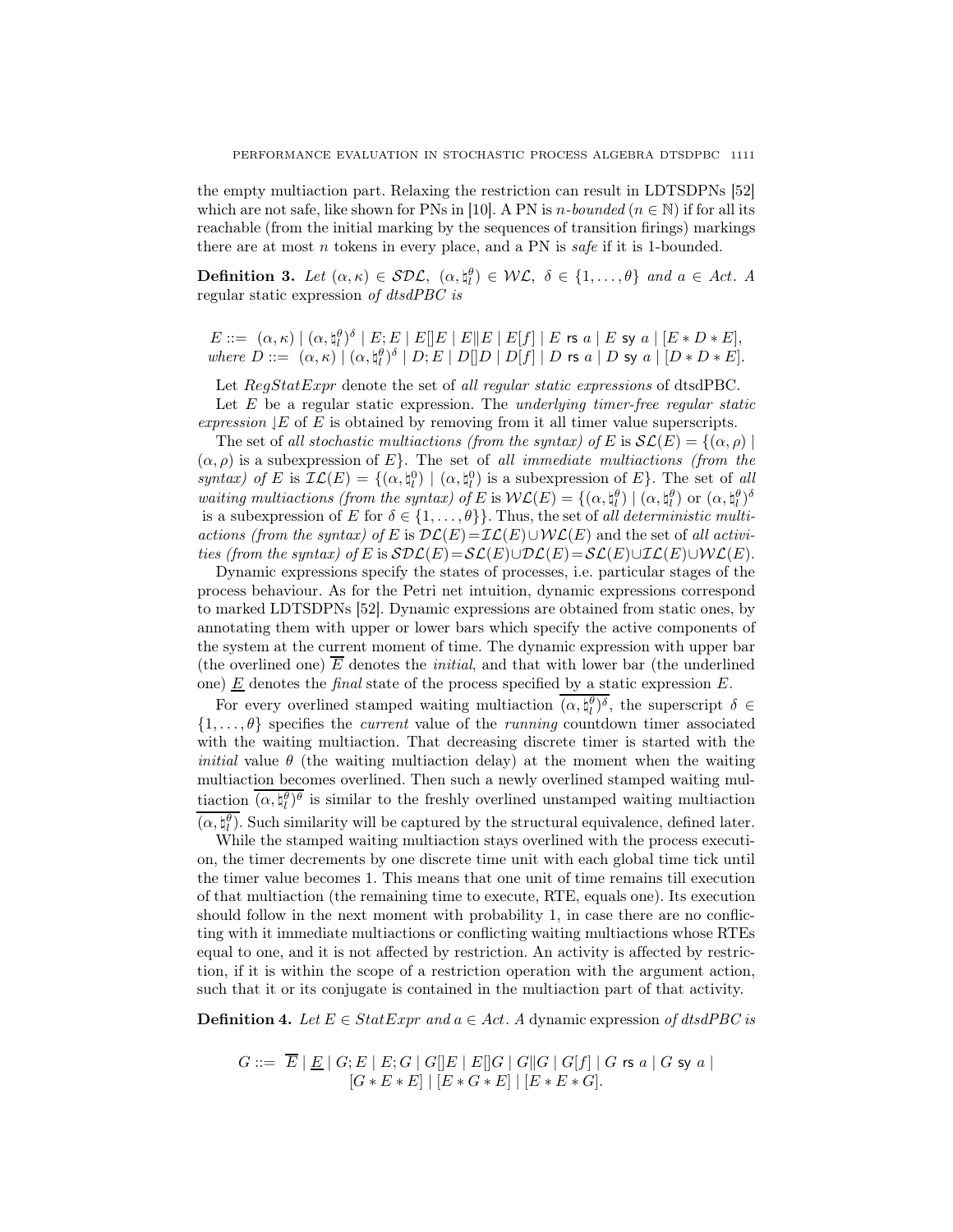the empty multiaction part. Relaxing the restriction can result in LDTSDPNs [52] which are not safe, like shown for PNs in [10]. A PN is n-bounded ( $n \in \mathbb{N}$ ) if for all its reachable (from the initial marking by the sequences of transition firings) markings there are at most  $n$  tokens in every place, and a PN is safe if it is 1-bounded.

**Definition 3.** Let  $(\alpha, \kappa) \in \mathcal{SDL}$ ,  $(\alpha, \xi) \in \mathcal{WL}$ ,  $\delta \in \{1, ..., \theta\}$  and  $a \in Act$ . A regular static expression of dtsdPBC is

 $E::= \ (\alpha,\kappa) \mid (\alpha,\natural^{\theta}_{l})^{\delta} \mid E^{\cdot}_{l}E \mid E[\mid E \mid E \mid E[\mid f] \mid E$  rs  $a \mid E$  sy  $a \mid [E*D*E],$ where  $D ::= (\alpha, \kappa) | (\alpha, \natural_l^{\theta})^{\delta} | D; E | D[]D | D[f] | D$  rs  $a | D$  sy  $a | [D * D * E].$ 

Let RegStatExpr denote the set of all regular static expressions of dtsdPBC.

Let  $E$  be a regular static expression. The underlying timer-free regular static expression  $|E$  of  $E$  is obtained by removing from it all timer value superscripts.

The set of all stochastic multiactions (from the syntax) of E is  $\mathcal{SL}(E) = \{(\alpha, \rho) \mid$  $(\alpha, \rho)$  is a subexpression of E.f. The set of all immediate multiactions (from the syntax) of E is  $\mathcal{IL}(E) = \{(\alpha, \xi_i^0) \mid (\alpha, \xi_i^0) \text{ is a subexpression of } E\}.$  The set of all waiting multiactions (from the syntax) of E is  $W\mathcal{L}(E) = \{(\alpha, \natural_l^{\theta}) \mid (\alpha, \natural_l^{\theta}) \text{ or } (\alpha, \natural_l^{\theta})^{\delta} \}$ is a subexpression of E for  $\delta \in \{1, \ldots, \theta\}\}$ . Thus, the set of all deterministic multiactions (from the syntax) of E is  $\mathcal{DL}(E)=\mathcal{IL}(E)\cup \mathcal{WL}(E)$  and the set of all activities (from the syntax) of E is  $S\mathcal{DL}(E)=\mathcal{SL}(E)\cup\mathcal{DL}(E)=\mathcal{SL}(E)\cup\mathcal{IL}(E)\cup\mathcal{WL}(E).$ 

Dynamic expressions specify the states of processes, i.e. particular stages of the process behaviour. As for the Petri net intuition, dynamic expressions correspond to marked LDTSDPNs [52]. Dynamic expressions are obtained from static ones, by annotating them with upper or lower bars which specify the active components of the system at the current moment of time. The dynamic expression with upper bar (the overlined one)  $\overline{E}$  denotes the *initial*, and that with lower bar (the underlined one)  $E$  denotes the *final* state of the process specified by a static expression  $E$ .

For every overlined stamped waiting multiaction  $(\alpha, \xi_l^{\theta})^{\delta}$ , the superscript  $\delta \in$  $\{1,\ldots,\theta\}$  specifies the *current* value of the *running* countdown timer associated with the waiting multiaction. That decreasing discrete timer is started with the *initial* value  $\theta$  (the waiting multiaction delay) at the moment when the waiting multiaction becomes overlined. Then such a newly overlined stamped waiting multiaction  $(\alpha, \xi_l^{\theta})^{\theta}$  is similar to the freshly overlined unstamped waiting multiaction  $(\alpha, \natural_l^{\theta})$ . Such similarity will be captured by the structural equivalence, defined later.

While the stamped waiting multiaction stays overlined with the process execution, the timer decrements by one discrete time unit with each global time tick until the timer value becomes 1. This means that one unit of time remains till execution of that multiaction (the remaining time to execute, RTE, equals one). Its execution should follow in the next moment with probability 1, in case there are no conflicting with it immediate multiactions or conflicting waiting multiactions whose RTEs equal to one, and it is not affected by restriction. An activity is affected by restriction, if it is within the scope of a restriction operation with the argument action, such that it or its conjugate is contained in the multiaction part of that activity.

**Definition 4.** Let  $E \in StatExpr$  and  $a \in Act$ . A dynamic expression of dtsdPBC is

$$
G ::= \overline{E} | \underline{E} | G; E | E; G | G[]E | E[]G | G[]G | G[f] | G \text{ rs } a | G \text{ sy } a |
$$
  

$$
[G * E * E] | [E * G * E] | [E * E * G].
$$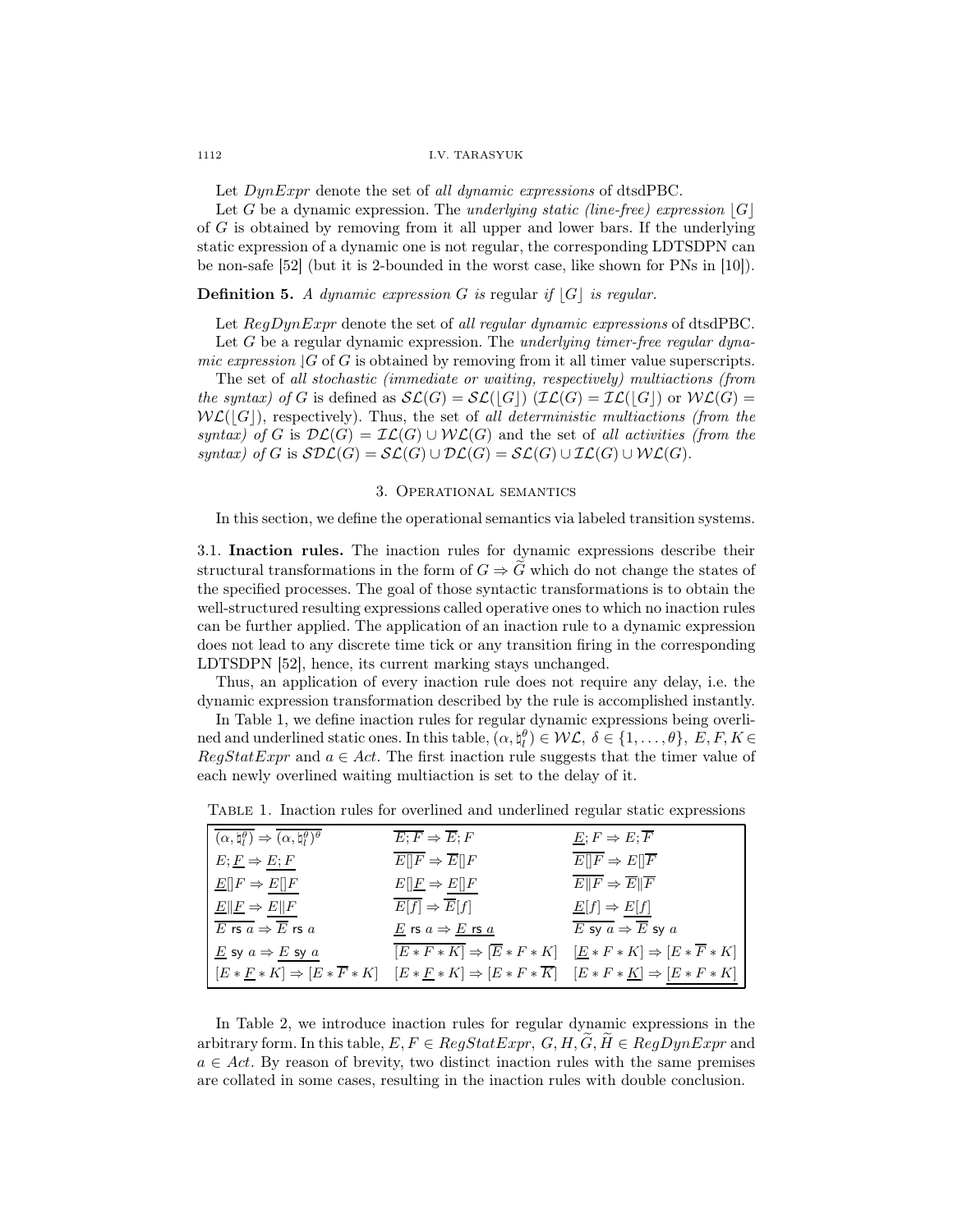Let  $DynExpr$  denote the set of all dynamic expressions of dtsdPBC.

Let G be a dynamic expression. The *underlying static (line-free)* expression  $|G|$ of G is obtained by removing from it all upper and lower bars. If the underlying static expression of a dynamic one is not regular, the corresponding LDTSDPN can be non-safe [52] (but it is 2-bounded in the worst case, like shown for PNs in [10]).

## **Definition 5.** A dynamic expression G is regular if  $|G|$  is regular.

Let  $RegDynExpr$  denote the set of all regular dynamic expressions of dtsdPBC. Let  $G$  be a regular dynamic expression. The underlying timer-free regular dynamic expression  $\vert G \vert$  of G is obtained by removing from it all timer value superscripts.

The set of all stochastic (immediate or waiting, respectively) multiactions (from the syntax) of G is defined as  $\mathcal{SL}(G) = \mathcal{SL}(|G|)$  ( $\mathcal{IL}(G) = \mathcal{IL}(|G|)$  or  $\mathcal{WL}(G) =$  $W\mathcal{L}(|G|)$ , respectively). Thus, the set of all deterministic multiactions (from the syntax) of G is  $\mathcal{DL}(G) = \mathcal{IL}(G) \cup \mathcal{WL}(G)$  and the set of all activities (from the syntax) of G is  $SDL(G) = SL(G) \cup DL(G) = SL(G) \cup LL(G) \cup WL(G)$ .

### 3. Operational semantics

In this section, we define the operational semantics via labeled transition systems.

3.1. Inaction rules. The inaction rules for dynamic expressions describe their structural transformations in the form of  $G \Rightarrow \tilde{G}$  which do not change the states of the specified processes. The goal of those syntactic transformations is to obtain the well-structured resulting expressions called operative ones to which no inaction rules can be further applied. The application of an inaction rule to a dynamic expression does not lead to any discrete time tick or any transition firing in the corresponding LDTSDPN [52], hence, its current marking stays unchanged.

Thus, an application of every inaction rule does not require any delay, i.e. the dynamic expression transformation described by the rule is accomplished instantly.

In Table 1, we define inaction rules for regular dynamic expressions being overlined and underlined static ones. In this table,  $(\alpha, \natural_l^{\theta}) \in \mathcal{WL}, \ \delta \in \{1, ..., \theta\}, \ E, F, K \in$  $RegStatExpr$  and  $a \in Act$ . The first inaction rule suggests that the timer value of each newly overlined waiting multiaction is set to the delay of it.

| $(\alpha, \natural_l^{\theta}) \Rightarrow (\alpha, \natural_l^{\theta})^{\theta}$ | $\overline{E;F} \Rightarrow \overline{E};F$                                                                                                     | $E; F \Rightarrow E; \overline{F}$       |
|------------------------------------------------------------------------------------|-------------------------------------------------------------------------------------------------------------------------------------------------|------------------------------------------|
| $E; E \Rightarrow E; F$                                                            | $\overline{E  F} \Rightarrow \overline{E  F}$                                                                                                   | $\overline{E[ F } \Rightarrow E[ F ]$    |
| $E[ F \Rightarrow E[]F$                                                            | $E[\underline{F} \Rightarrow E[\underline{F}]$                                                                                                  | $E  F \Rightarrow E  F$                  |
| $E  E \Rightarrow E  F$                                                            | $\overline{E[f]} \Rightarrow \overline{E}[f]$                                                                                                   | $\underline{E}[f] \Rightarrow E[f]$      |
| E rs $a \Rightarrow \overline{E}$ rs $a$                                           | $\underline{E}$ rs $a \Rightarrow \underline{E}$ rs $\underline{a}$                                                                             | E sy $a \Rightarrow \overline{E}$ sy $a$ |
| E sy $a \Rightarrow E$ sy $a$                                                      | $\overline{[E*F*K]} \Rightarrow [\overline{E}*F*K] \quad [\underline{E}*F*K] \Rightarrow [E*\overline{F}*K]$                                    |                                          |
|                                                                                    | $[E * E * K] \Rightarrow [E * \overline{F} * K] \quad [E * E * K] \Rightarrow [E * F * \overline{K}] \quad [E * F * K] \Rightarrow [E * F * K]$ |                                          |

Table 1. Inaction rules for overlined and underlined regular static expressions

In Table 2, we introduce inaction rules for regular dynamic expressions in the arbitrary form. In this table,  $E, F \in RegStatexpr$ ,  $G, H, G, H \in RegDynExpr$  and  $a \in Act$ . By reason of brevity, two distinct inaction rules with the same premises are collated in some cases, resulting in the inaction rules with double conclusion.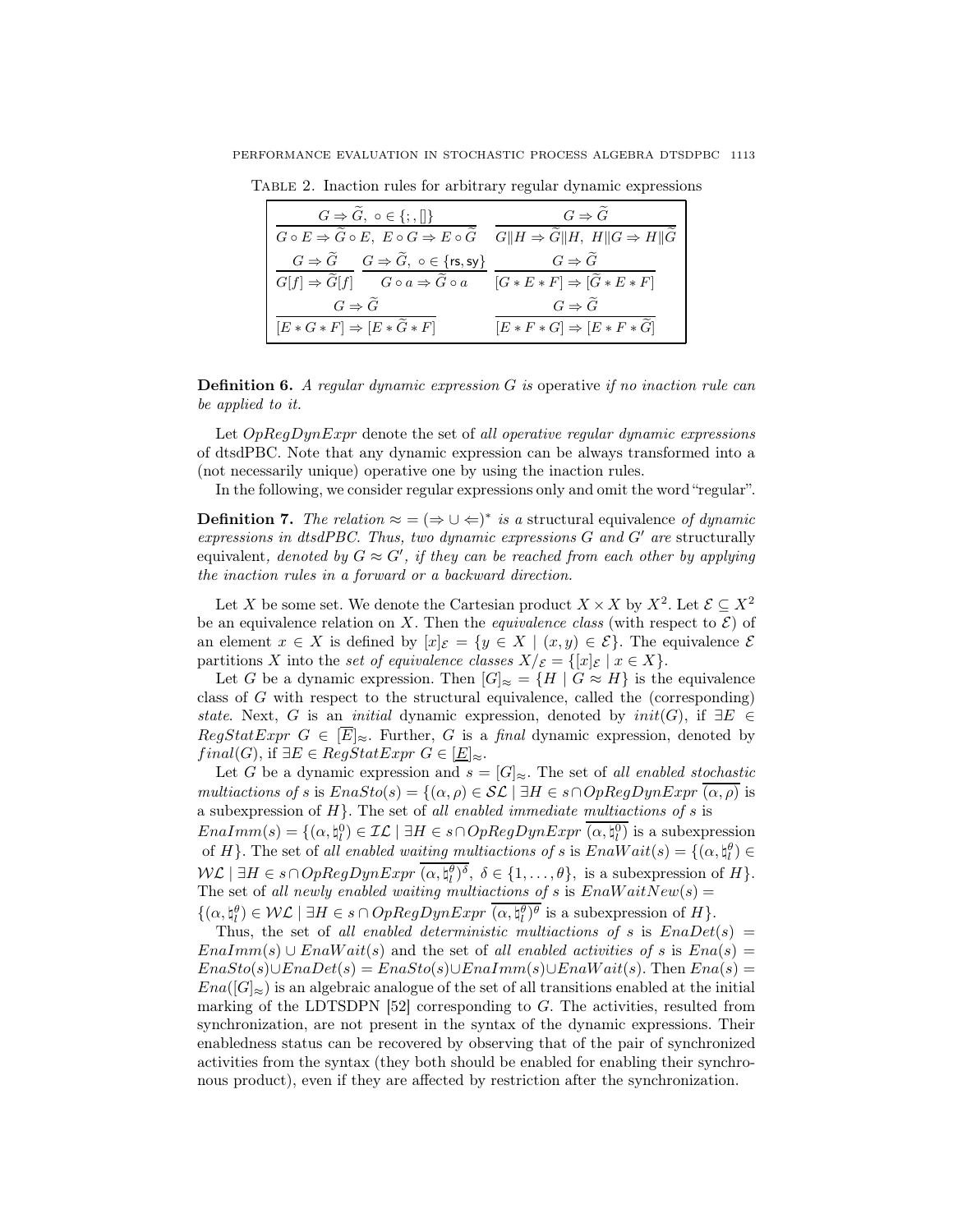| $G \Rightarrow \tilde{G}, o \in \{;,\ \}$                                                                                                                             | $G \Rightarrow \tilde{G}$             |
|-----------------------------------------------------------------------------------------------------------------------------------------------------------------------|---------------------------------------|
| $G \circ E \Rightarrow \widetilde{G} \circ E, E \circ G \Rightarrow E \circ \widetilde{G} \quad G  H \Rightarrow \widetilde{G}  H, H  G \Rightarrow H  \widetilde{G}$ |                                       |
| $G \Rightarrow \widetilde{G}$ $G \Rightarrow \widetilde{G}$ , $\circ \in \{rs, sy\}$                                                                                  | $G \Rightarrow \tilde{G}$             |
| $\overline{G[f] \Rightarrow \widetilde{G}[f]}$ $\overline{G \circ a \Rightarrow \widetilde{G} \circ a}$ $\overline{[G * E * F] \Rightarrow [\widetilde{G} * E * F]}$  |                                       |
| $G \Rightarrow \tilde{G}$                                                                                                                                             | $G \Rightarrow \tilde{G}$             |
| $[E * G * F] \Rightarrow [E * \tilde{G} * F]$                                                                                                                         | $[E * F * G] \Rightarrow [E * F * G]$ |

Table 2. Inaction rules for arbitrary regular dynamic expressions

**Definition 6.** A regular dynamic expression  $G$  is operative if no inaction rule can be applied to it.

Let  $OpRegDynExpr$  denote the set of all operative regular dynamic expressions of dtsdPBC. Note that any dynamic expression can be always transformed into a (not necessarily unique) operative one by using the inaction rules.

In the following, we consider regular expressions only and omit the word "regular".

**Definition 7.** The relation  $\approx$  =  $(\Rightarrow \cup \Leftarrow)^*$  is a structural equivalence of dynamic expressions in dtsdPBC. Thus, two dynamic expressions  $G$  and  $G'$  are structurally equivalent, denoted by  $G \approx G'$ , if they can be reached from each other by applying the inaction rules in a forward or a backward direction.

Let X be some set. We denote the Cartesian product  $X \times X$  by  $X^2$ . Let  $\mathcal{E} \subseteq X^2$ be an equivalence relation on X. Then the *equivalence class* (with respect to  $\mathcal{E}$ ) of an element  $x \in X$  is defined by  $[x]_{\mathcal{E}} = \{y \in X \mid (x, y) \in \mathcal{E}\}\)$ . The equivalence  $\mathcal{E}$ partitions X into the set of equivalence classes  $X/\varepsilon = \{ [x]_{\varepsilon} \mid x \in X \}.$ 

Let G be a dynamic expression. Then  $[G]_{\approx} = \{H \mid G \approx H\}$  is the equivalence class of G with respect to the structural equivalence, called the (corresponding) state. Next, G is an *initial* dynamic expression, denoted by  $init(G)$ , if  $\exists E \in$  $RegStatExpr$   $G \in \mathbb{E}|_{\approx}$ . Further, G is a final dynamic expression, denoted by  $final(G)$ , if  $\exists E \in RegStatExpr \ G \in [\underline{E}]_{\approx}$ .

Let G be a dynamic expression and  $s = [G]_{\approx}$ . The set of all enabled stochastic multiactions of s is  $EnaSto(s) = \{(\alpha, \rho) \in \mathcal{SL} \mid \exists H \in s \cap OpRegDynExpr (\alpha, \rho)$  is a subexpression of  $H$ }. The set of all enabled immediate multiactions of  $s$  is

 $Enalmm(s) = \{(\alpha, \natural_l^0) \in \mathcal{IL} \mid \exists H \in s \cap OpRegDynExpr \overline{(\alpha, \natural_l^0)} \text{ is a subexpression }\}$ of H}. The set of all enabled waiting multiactions of s is  $EnaWait(s) = \{(\alpha, \xi_i^{\theta}) \in$  $\mathcal{W}\mathcal{L} \mid \exists H \in s \cap OpRegDynExpr \; (\alpha, \natural_l^{\theta})^{\delta}, \; \delta \in \{1, \ldots, \theta\}, \; \text{is a subexpression of} \; H \}.$ The set of all newly enabled waiting multiactions of s is  $EnaWaitNew(s) =$  $\{(\alpha, \natural_l^{\theta}) \in \mathcal{WL} \mid \exists H \in s \cap OpRegDynExpr \ (\alpha, \natural_l^{\theta})^{\theta} \text{ is a subexpression of } H\}.$ 

Thus, the set of all enabled deterministic multiactions of s is  $EnaDet(s)$  =  $EnaImm(s) \cup EnaWait(s)$  and the set of all enabled activities of s is  $Ena(s)$  =  $EnaSto(s) \cup EnaDet(s) = EnaSto(s) \cup EnaImm(s) \cup EnaWait(s)$ . Then  $Ena(s)$  $Ena(|G|_{\approx})$  is an algebraic analogue of the set of all transitions enabled at the initial marking of the LDTSDPN  $[52]$  corresponding to G. The activities, resulted from synchronization, are not present in the syntax of the dynamic expressions. Their enabledness status can be recovered by observing that of the pair of synchronized activities from the syntax (they both should be enabled for enabling their synchronous product), even if they are affected by restriction after the synchronization.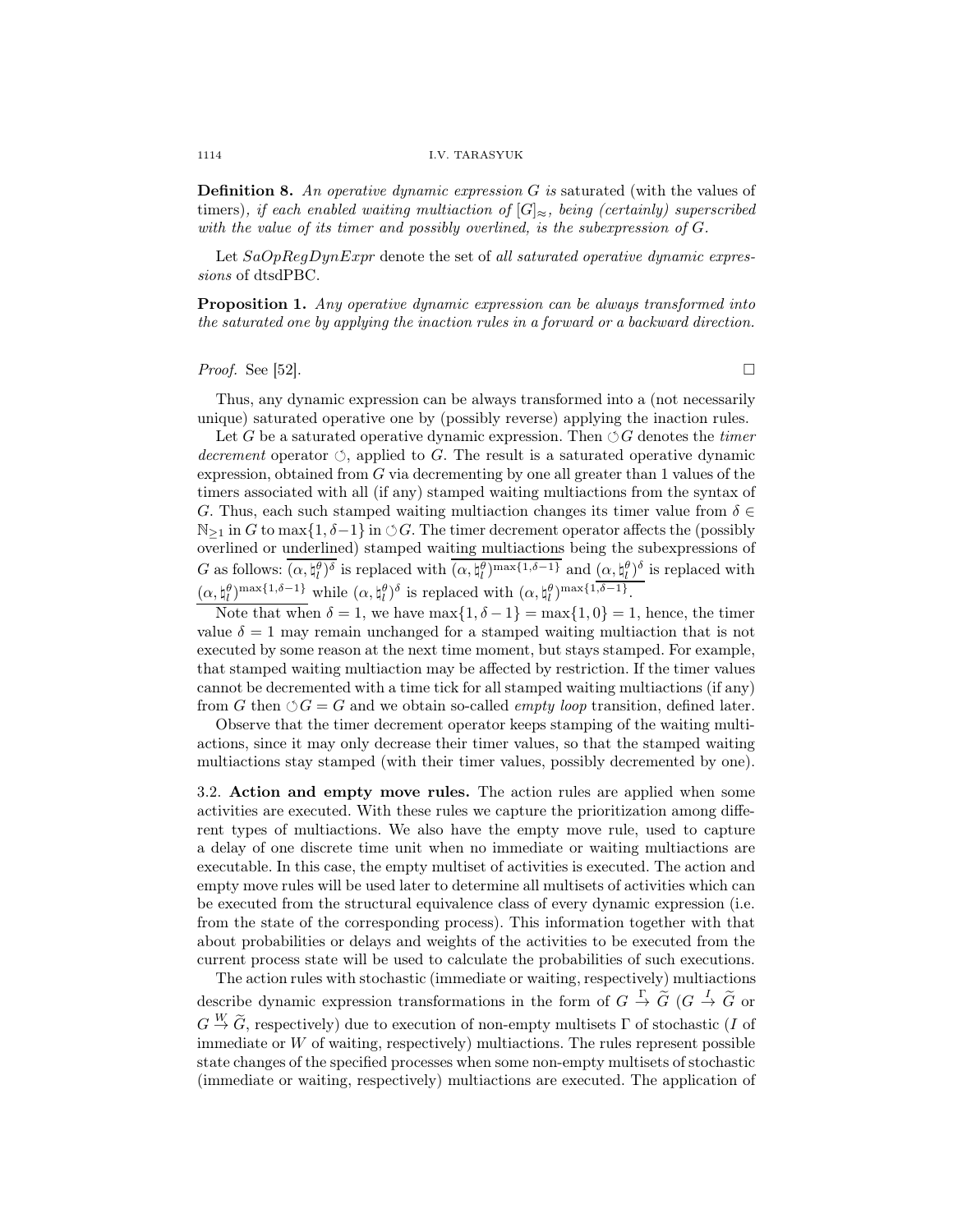**Definition 8.** An operative dynamic expression  $G$  is saturated (with the values of timers), if each enabled waiting multiaction of  $[G]_{\approx}$ , being (certainly) superscribed with the value of its timer and possibly overlined, is the subexpression of G.

Let  $SaOpRegDynExpr$  denote the set of all saturated operative dynamic expressions of dtsdPBC.

Proposition 1. Any operative dynamic expression can be always transformed into the saturated one by applying the inaction rules in a forward or a backward direction.

## *Proof.* See [52].

Thus, any dynamic expression can be always transformed into a (not necessarily unique) saturated operative one by (possibly reverse) applying the inaction rules.

Let G be a saturated operative dynamic expression. Then  $\circlearrowleft G$  denotes the *timer* decrement operator  $\circlearrowleft$ , applied to G. The result is a saturated operative dynamic expression, obtained from G via decrementing by one all greater than 1 values of the timers associated with all (if any) stamped waiting multiactions from the syntax of G. Thus, each such stamped waiting multiaction changes its timer value from  $\delta \in$  $\mathbb{N}_{\geq 1}$  in G to max $\{1,\delta-1\}$  in  $\circlearrowleft G$ . The timer decrement operator affects the (possibly overlined or underlined) stamped waiting multiactions being the subexpressions of G as follows:  $(\alpha, \xi_l^{\theta})^{\delta}$  is replaced with  $(\alpha, \xi_l^{\theta})^{\max\{1, \delta - 1\}}$  and  $(\alpha, \xi_l^{\theta})^{\delta}$  is replaced with  $(\alpha, \natural_l^{\theta})^{\max\{1, \delta-1\}}$  while  $(\alpha, \natural_l^{\theta})^{\delta}$  is replaced with  $(\alpha, \natural_l^{\theta})^{\max\{1, \delta-1\}}$ .

Note that when  $\delta = 1$ , we have  $\max\{1, \delta - 1\} = \max\{1, 0\} = 1$ , hence, the timer value  $\delta = 1$  may remain unchanged for a stamped waiting multiaction that is not executed by some reason at the next time moment, but stays stamped. For example, that stamped waiting multiaction may be affected by restriction. If the timer values cannot be decremented with a time tick for all stamped waiting multiactions (if any) from G then  $\circ$  G = G and we obtain so-called *empty loop* transition, defined later.

Observe that the timer decrement operator keeps stamping of the waiting multiactions, since it may only decrease their timer values, so that the stamped waiting multiactions stay stamped (with their timer values, possibly decremented by one).

3.2. Action and empty move rules. The action rules are applied when some activities are executed. With these rules we capture the prioritization among different types of multiactions. We also have the empty move rule, used to capture a delay of one discrete time unit when no immediate or waiting multiactions are executable. In this case, the empty multiset of activities is executed. The action and empty move rules will be used later to determine all multisets of activities which can be executed from the structural equivalence class of every dynamic expression (i.e. from the state of the corresponding process). This information together with that about probabilities or delays and weights of the activities to be executed from the current process state will be used to calculate the probabilities of such executions.

The action rules with stochastic (immediate or waiting, respectively) multiactions describe dynamic expression transformations in the form of  $G \stackrel{\Gamma}{\to} \widetilde{G}$  ( $G \stackrel{I}{\to} \widetilde{G}$  or  $G \stackrel{W}{\rightarrow} \tilde{G}$ , respectively) due to execution of non-empty multisets  $\Gamma$  of stochastic (I of immediate or W of waiting, respectively) multiactions. The rules represent possible state changes of the specified processes when some non-empty multisets of stochastic (immediate or waiting, respectively) multiactions are executed. The application of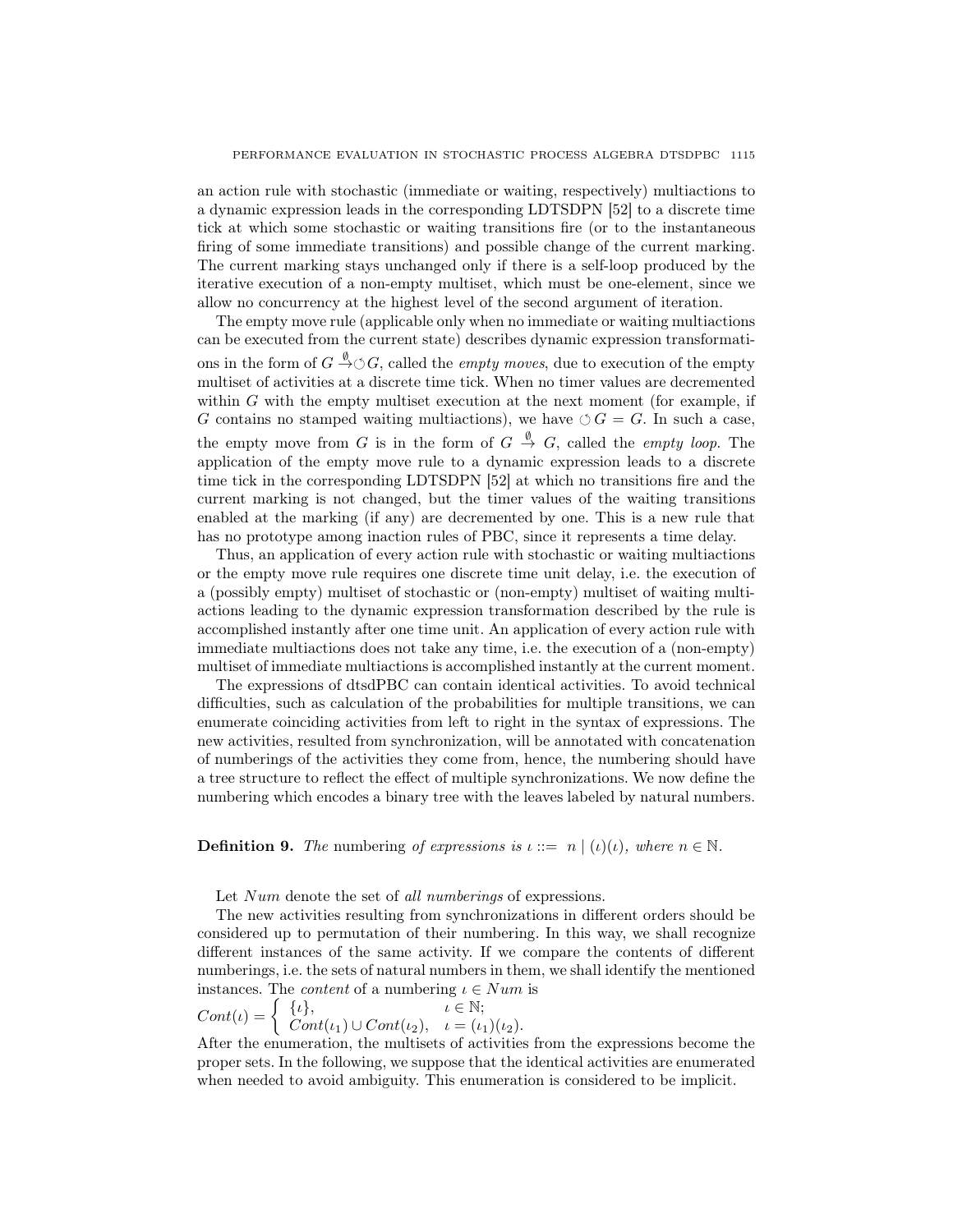an action rule with stochastic (immediate or waiting, respectively) multiactions to a dynamic expression leads in the corresponding LDTSDPN [52] to a discrete time tick at which some stochastic or waiting transitions fire (or to the instantaneous firing of some immediate transitions) and possible change of the current marking. The current marking stays unchanged only if there is a self-loop produced by the iterative execution of a non-empty multiset, which must be one-element, since we allow no concurrency at the highest level of the second argument of iteration.

The empty move rule (applicable only when no immediate or waiting multiactions can be executed from the current state) describes dynamic expression transformations in the form of  $G \stackrel{\emptyset}{\rightarrow} \circlearrowleft G$ , called the *empty moves*, due to execution of the empty multiset of activities at a discrete time tick. When no timer values are decremented within  $G$  with the empty multiset execution at the next moment (for example, if G contains no stamped waiting multiactions), we have  $\circ$  G = G. In such a case, the empty move from G is in the form of  $G \stackrel{\emptyset}{\rightarrow} G$ , called the *empty loop*. The application of the empty move rule to a dynamic expression leads to a discrete time tick in the corresponding LDTSDPN [52] at which no transitions fire and the current marking is not changed, but the timer values of the waiting transitions enabled at the marking (if any) are decremented by one. This is a new rule that has no prototype among inaction rules of PBC, since it represents a time delay.

Thus, an application of every action rule with stochastic or waiting multiactions or the empty move rule requires one discrete time unit delay, i.e. the execution of a (possibly empty) multiset of stochastic or (non-empty) multiset of waiting multiactions leading to the dynamic expression transformation described by the rule is accomplished instantly after one time unit. An application of every action rule with immediate multiactions does not take any time, i.e. the execution of a (non-empty) multiset of immediate multiactions is accomplished instantly at the current moment.

The expressions of dtsdPBC can contain identical activities. To avoid technical difficulties, such as calculation of the probabilities for multiple transitions, we can enumerate coinciding activities from left to right in the syntax of expressions. The new activities, resulted from synchronization, will be annotated with concatenation of numberings of the activities they come from, hence, the numbering should have a tree structure to reflect the effect of multiple synchronizations. We now define the numbering which encodes a binary tree with the leaves labeled by natural numbers.

**Definition 9.** The numbering of expressions is  $\iota ::= n | (\iota)(\iota)$ , where  $n \in \mathbb{N}$ .

Let Num denote the set of all numberings of expressions.

The new activities resulting from synchronizations in different orders should be considered up to permutation of their numbering. In this way, we shall recognize different instances of the same activity. If we compare the contents of different numberings, i.e. the sets of natural numbers in them, we shall identify the mentioned instances. The *content* of a numbering  $\iota \in Num$  is

$$
Cont(\iota) = \begin{cases} {\iota}, & \iota \in \mathbb{N}; \\ Cont(\iota_1) \cup Cont(\iota_2), & \iota = (\iota_1)(\iota_2). \end{cases}
$$

After the enumeration, the multisets of activities from the expressions become the proper sets. In the following, we suppose that the identical activities are enumerated when needed to avoid ambiguity. This enumeration is considered to be implicit.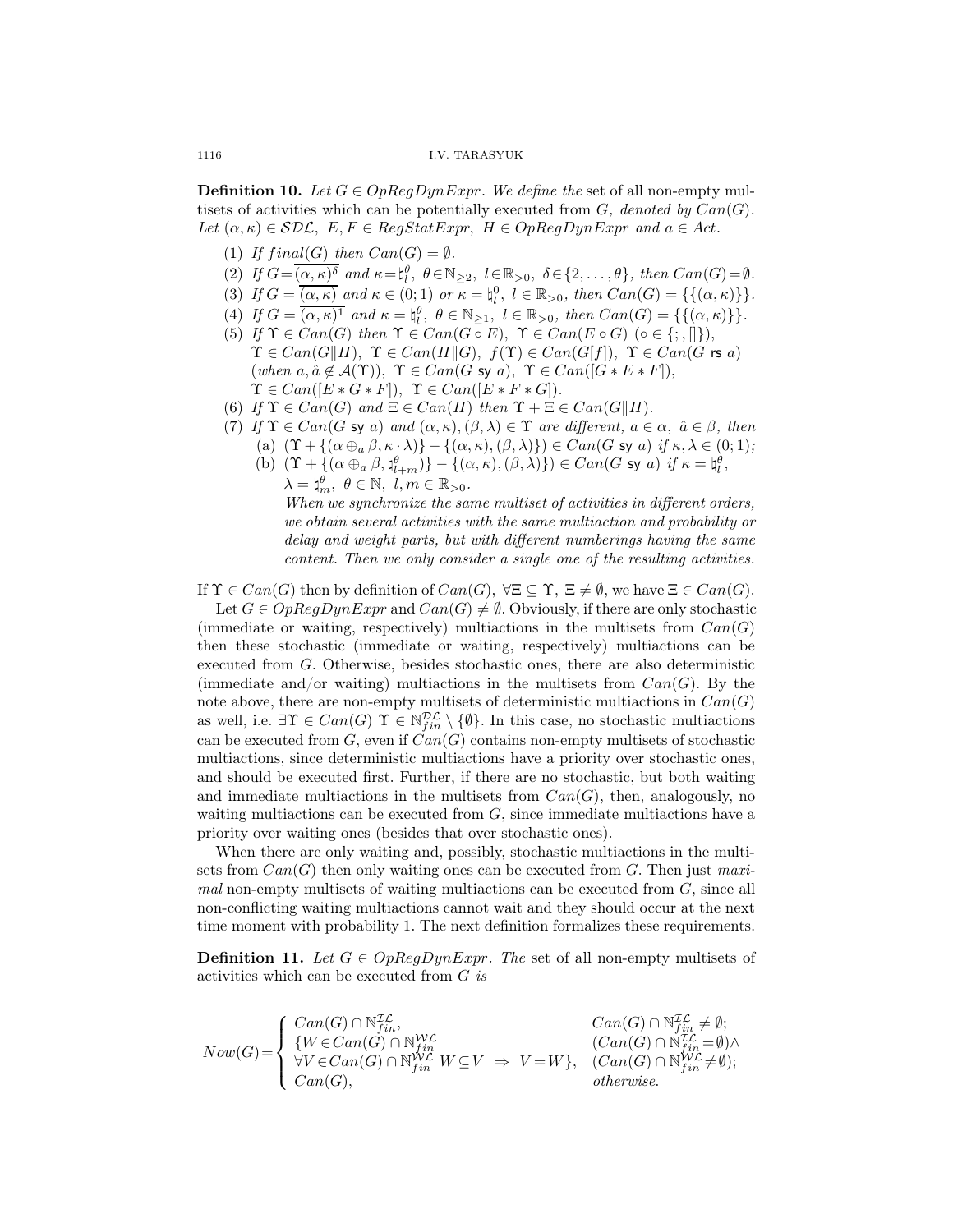**Definition 10.** Let  $G \in OpRegDynExpr$ . We define the set of all non-empty multisets of activities which can be potentially executed from  $G$ , denoted by  $Can(G)$ . Let  $(\alpha, \kappa) \in \mathcal{SDL}$ ,  $E, F \in RegStatexpr$ ,  $H \in OpRegDynExpr$  and  $a \in Act$ .

- (1) If  $final(G)$  then  $Can(G) = \emptyset$ .
- (2) If  $G = \overline{(\alpha, \kappa)^{\delta}}$  and  $\kappa = \natural_{l}^{\theta}, \ \theta \in \mathbb{N}_{\geq 2}, \ l \in \mathbb{R}_{>0}, \ \delta \in \{2, \ldots, \theta\}, \ then \ Can(G) = \emptyset.$
- (3) If  $G = \overline{(\alpha, \kappa)}$  and  $\kappa \in (0, 1)$  or  $\kappa = \natural_l^0$ ,  $l \in \mathbb{R}_{>0}$ , then  $Can(G) = \{\{(\alpha, \kappa)\}\}.$
- (4) If  $G = \overline{(\alpha, \kappa)^1}$  and  $\kappa = \natural_l^{\theta}, \ \theta \in \mathbb{N}_{\geq 1}, \ l \in \mathbb{R}_{>0}, \ then \ Can(G) = \{\{(\alpha, \kappa)\}\}.$
- (5) If  $\Upsilon \in Can(G)$  then  $\Upsilon \in Can(G \circ E)$ ,  $\Upsilon \in Can(E \circ G)$  ( $\circ \in \{\cdot, \cdot\}$ ),  $\Upsilon \in Can(G||H), \ \Upsilon \in Can(H||G), \ f(\Upsilon) \in Can(G|f]), \ \Upsilon \in Can(G \text{ rs } a)$ (when  $a, \hat{a} \notin A(\Upsilon)$ ),  $\Upsilon \in Can(G \text{ sy } a)$ ,  $\Upsilon \in Can([G * E * F])$ ,  $\Upsilon \in Can([E * G * F]), \ \Upsilon \in Can([E * F * G]).$
- (6) If  $\Upsilon \in Can(G)$  and  $\Xi \in Can(H)$  then  $\Upsilon + \Xi \in Can(G||H)$ .
- (7) If  $\Upsilon \in Can(G \text{ sy } a)$  and  $(\alpha, \kappa), (\beta, \lambda) \in \Upsilon$  are different,  $a \in \alpha, \ \hat{a} \in \beta$ , then
- (a)  $(\Upsilon + {\alpha \oplus_{a} \beta, \kappa \cdot \lambda}) {\alpha, \kappa}, (\beta, \lambda)$ )  $\in Can(G \text{ sy } a) \text{ if } \kappa, \lambda \in (0, 1);$ 
	- (b)  $(\Upsilon + \{(\alpha \oplus_a \beta, \natural_{l+m}^{\theta})\} \{(\alpha, \kappa), (\beta, \lambda)\}) \in Can(G \text{ sy } a) \text{ if } \kappa = \natural_{l}^{\theta},$  $\lambda = \n\sharp_m^{\theta}, \ \theta \in \mathbb{N}, \ l, m \in \mathbb{R}_{>0}.$

When we synchronize the same multiset of activities in different orders, we obtain several activities with the same multiaction and probability or delay and weight parts, but with different numberings having the same content. Then we only consider a single one of the resulting activities.

If  $\Upsilon \in Can(G)$  then by definition of  $Can(G)$ ,  $\forall \Xi \subseteq \Upsilon$ ,  $\Xi \neq \emptyset$ , we have  $\Xi \in Can(G)$ .

Let  $G \in OpRegDynExpr$  and  $Can(G) \neq \emptyset$ . Obviously, if there are only stochastic (immediate or waiting, respectively) multiactions in the multisets from  $Can(G)$ then these stochastic (immediate or waiting, respectively) multiactions can be executed from G. Otherwise, besides stochastic ones, there are also deterministic (immediate and/or waiting) multiactions in the multisets from  $Can(G)$ . By the note above, there are non-empty multisets of deterministic multiactions in  $Can(G)$ as well, i.e.  $\exists \Upsilon \in Can(G) \ \Upsilon \in \mathbb{N}_{fin}^{\mathcal{DL}} \setminus \{\emptyset\}$ . In this case, no stochastic multiactions can be executed from  $G$ , even if  $Can(G)$  contains non-empty multisets of stochastic multiactions, since deterministic multiactions have a priority over stochastic ones, and should be executed first. Further, if there are no stochastic, but both waiting and immediate multiactions in the multisets from  $Can(G)$ , then, analogously, no waiting multiactions can be executed from  $G$ , since immediate multiactions have a priority over waiting ones (besides that over stochastic ones).

When there are only waiting and, possibly, stochastic multiactions in the multisets from  $Can(G)$  then only waiting ones can be executed from G. Then just maxi $mal$  non-empty multisets of waiting multiactions can be executed from  $G$ , since all non-conflicting waiting multiactions cannot wait and they should occur at the next time moment with probability 1. The next definition formalizes these requirements.

**Definition 11.** Let  $G \in OpRegDynExpr$ . The set of all non-empty multisets of activities which can be executed from  $G$  is

$$
Now(G) = \begin{cases} Can(G) \cap \mathbb{N}_{fin}^{\mathcal{IL}}, & Can(G) \cap \mathbb{N}_{fin}^{\mathcal{IL}} \neq \emptyset; \\ \{W \in Can(G) \cap \mathbb{N}_{fin}^{\mathcal{WL}} \mid & (Can(G) \cap \mathbb{N}_{fin}^{\mathcal{IL}} = \emptyset) \land \\ \forall V \in Can(G) \cap \mathbb{N}_{fin}^{\mathcal{WL}} \mid W \subseteq V \implies V = W \}, & (Can(G) \cap \mathbb{N}_{fin}^{\mathcal{UL}} \neq \emptyset); \\ Can(G), & otherwise. \end{cases}
$$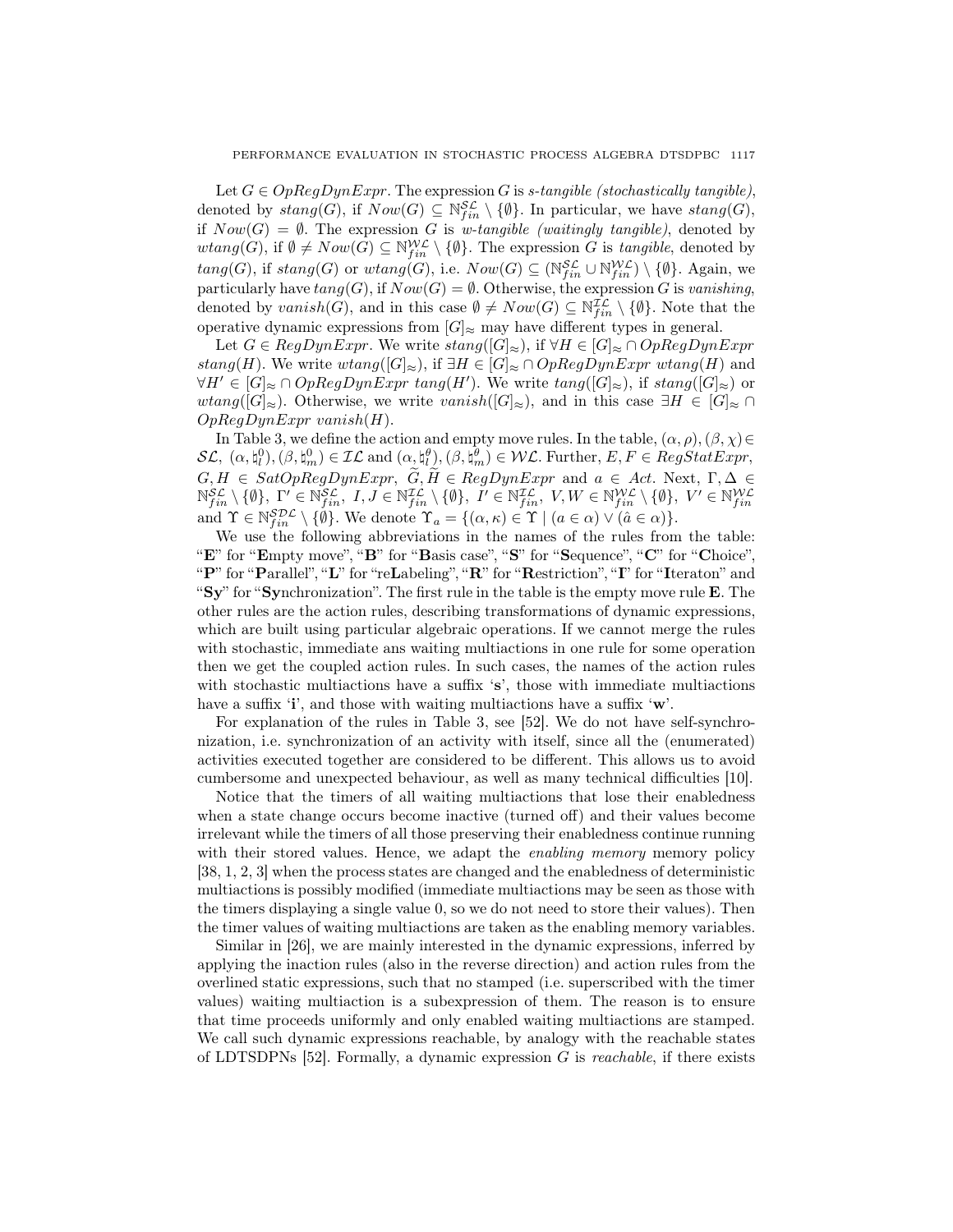Let  $G \in OpRegDynExpr$ . The expression G is s-tangible (stochastically tangible), denoted by  $stang(G)$ , if  $Now(G) \subseteq \mathbb{N}_{fin}^{\mathcal{SL}} \setminus \{\emptyset\}$ . In particular, we have  $stang(G)$ , if  $Now(G) = \emptyset$ . The expression G is w-tangible (waitingly tangible), denoted by  $wtang(G)$ , if  $\emptyset \neq Now(G) \subseteq \mathbb{N}_{fin}^{W\mathcal{L}} \setminus \{\emptyset\}$ . The expression G is tangible, denoted by  $tang(G)$ , if  $stang(G)$  or  $wtang(G)$ , i.e.  $Now(G) \subseteq (\mathbb{N}_{fin}^{\mathcal{SL}} \cup \mathbb{N}_{fin}^{\mathcal{W\mathcal{L}}}) \setminus \{\emptyset\}$ . Again, we particularly have  $tang(G)$ , if  $Now(G) = \emptyset$ . Otherwise, the expression G is vanishing, denoted by  $vanish(G)$ , and in this case  $\emptyset \neq Now(G) \subseteq N_{fin}^{\mathcal{IL}} \setminus \{\emptyset\}$ . Note that the operative dynamic expressions from  $[G]_{\approx}$  may have different types in general.

Let  $G \in RegDynExpr$ . We write  $stang([G]_{\approx})$ , if  $\forall H \in [G]_{\approx} \cap OpRegDynExpr$ stang(H). We write wtang( $[G]_{\approx}$ ), if  $\exists H \in [G]_{\approx} \cap OpRegDynExpr$  wtang(H) and  $\forall H' \in [G]_{\approx} \cap OpRegDynExpr$  tang $(H')$ . We write  $tang([G]_{\approx})$ , if  $stang([G]_{\approx})$  or *wtang*( $[G]_{\approx}$ ). Otherwise, we write *vanish*( $[G]_{\approx}$ ), and in this case  $\exists H \in [G]_{\approx} \cap$  $OpRegDynExpr$  vanish $(H)$ .

In Table 3, we define the action and empty move rules. In the table,  $(\alpha, \rho), (\beta, \chi) \in$  $\mathcal{SL}, \ (\alpha, \mathfrak{h}_l^0), (\beta, \mathfrak{h}_m^0) \in \mathcal{IL} \text{ and } (\alpha, \mathfrak{h}_l^{\theta}), (\beta, \mathfrak{h}_m^{\theta}) \in \mathcal{WL}. \text{ Further}, E, F \in RegStatexpr,$  $\lbrack l \rbrack, \lbrack l \rbrack, \lbrack q, \lbrack q, \lbrack q \rbrack \rbrack$  $G, H \in SatOpRegDynExpr, G, H \in RegDynExpr$  and  $a \in Act$ . Next,  $\Gamma, \Delta \in \mathbb{N}_{fin}^{SL} \setminus \{\emptyset\}, \Gamma' \in \mathbb{N}_{fin}^{SL}, I, J \in \mathbb{N}_{fin}^{IL} \setminus \{\emptyset\}, I' \in \mathbb{N}_{fin}^{IL}, V, W \in \mathbb{N}_{fin}^{WL} \setminus \{\emptyset\}, V' \in \mathbb{N}_{fin}^{WL}$  and  $\Upsilon \in \mathbb{N}_{fin}^{SDL} \setminus \{\emptyset\}.$  We denote  $\Upsilon_a = \{$ 

We use the following abbreviations in the names of the rules from the table: "E" for "Empty move", "B" for "Basis case", "S" for "Sequence", "C" for "Choice", "P" for "Parallel", "L" for "reLabeling", "R" for "Restriction", "I" for "Iteraton" and "Sy" for "Synchronization". The first rule in the table is the empty move rule E. The other rules are the action rules, describing transformations of dynamic expressions, which are built using particular algebraic operations. If we cannot merge the rules with stochastic, immediate ans waiting multiactions in one rule for some operation then we get the coupled action rules. In such cases, the names of the action rules with stochastic multiactions have a suffix 's', those with immediate multiactions have a suffix 'i', and those with waiting multiactions have a suffix 'w'.

For explanation of the rules in Table 3, see [52]. We do not have self-synchronization, i.e. synchronization of an activity with itself, since all the (enumerated) activities executed together are considered to be different. This allows us to avoid cumbersome and unexpected behaviour, as well as many technical difficulties [10].

Notice that the timers of all waiting multiactions that lose their enabledness when a state change occurs become inactive (turned off) and their values become irrelevant while the timers of all those preserving their enabledness continue running with their stored values. Hence, we adapt the *enabling memory* memory policy [38, 1, 2, 3] when the process states are changed and the enabledness of deterministic multiactions is possibly modified (immediate multiactions may be seen as those with the timers displaying a single value 0, so we do not need to store their values). Then the timer values of waiting multiactions are taken as the enabling memory variables.

Similar in [26], we are mainly interested in the dynamic expressions, inferred by applying the inaction rules (also in the reverse direction) and action rules from the overlined static expressions, such that no stamped (i.e. superscribed with the timer values) waiting multiaction is a subexpression of them. The reason is to ensure that time proceeds uniformly and only enabled waiting multiactions are stamped. We call such dynamic expressions reachable, by analogy with the reachable states of LDTSDPNs  $[52]$ . Formally, a dynamic expression G is *reachable*, if there exists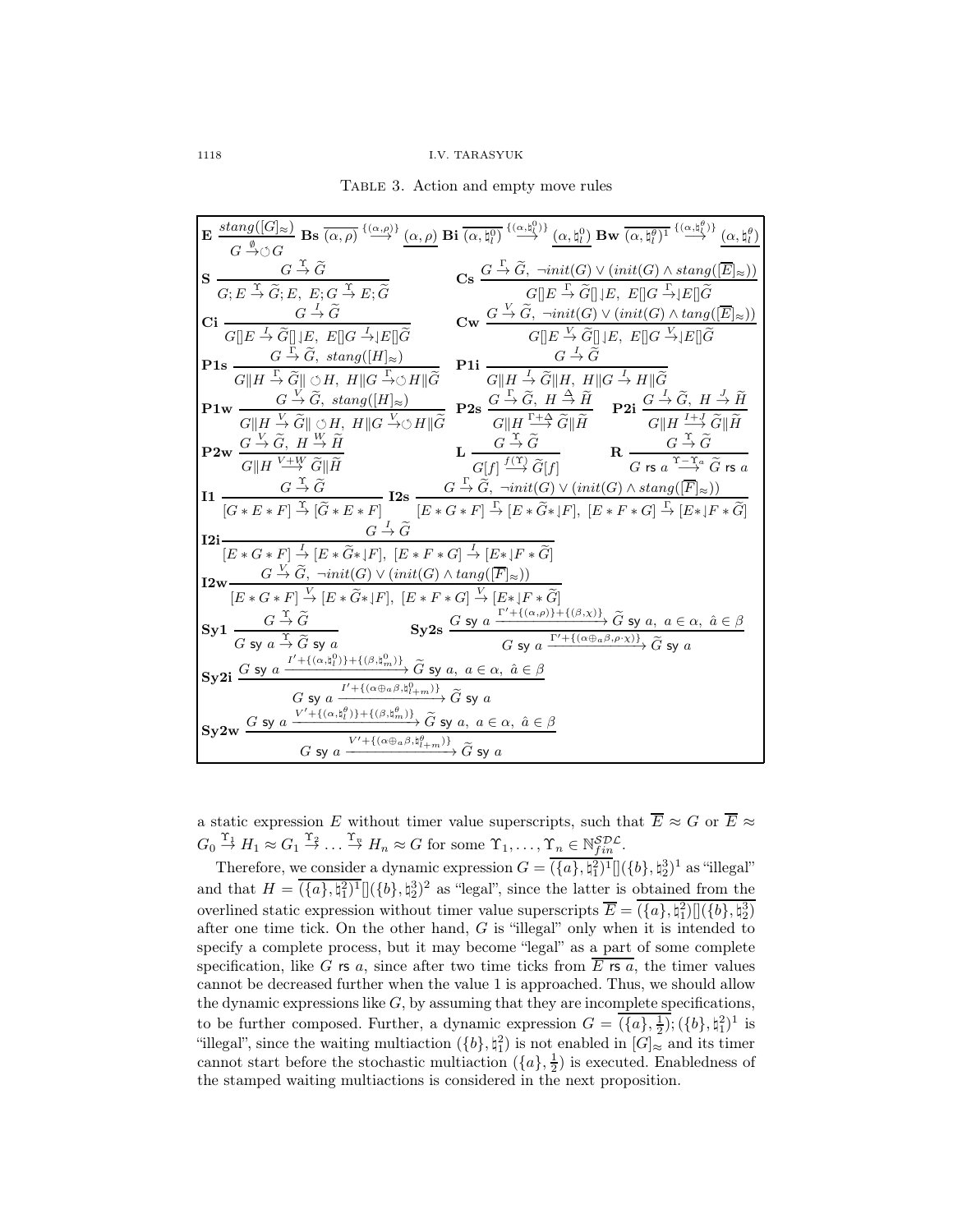Table 3. Action and empty move rules

|                                                                                                                                                                                                                                                                                                                                                                                                                                 | $\mathbf{E}\xrightarrow[G\xrightarrow[\theta\to 0]{\mathcal{B}}\mathbf{B}\mathbf{s}\xrightarrow[\alpha,\rho)\xrightarrow{\{(\alpha,\rho)\}}(\alpha,\rho)\mathbf{Bi}\xrightarrow[\alpha,\natural^0_0]{\{(\alpha,\natural^0_l)\}}\xrightarrow{\{(\alpha,\natural^0_l)\}}\mathbf{B}\mathbf{w}\xrightarrow[\alpha,\natural^{\theta}_l)^1\xrightarrow{\{(\alpha,\natural^{\theta}_l)\}}(\alpha,\natural^{\theta}_l)$                                                                                                     |
|---------------------------------------------------------------------------------------------------------------------------------------------------------------------------------------------------------------------------------------------------------------------------------------------------------------------------------------------------------------------------------------------------------------------------------|---------------------------------------------------------------------------------------------------------------------------------------------------------------------------------------------------------------------------------------------------------------------------------------------------------------------------------------------------------------------------------------------------------------------------------------------------------------------------------------------------------------------|
| $\mathbf{S} \xrightarrow[G; E \xrightarrow{\Upsilon} \widetilde{G}; E, E; G \xrightarrow{\Upsilon} E; \widetilde{G}$                                                                                                                                                                                                                                                                                                            | $\textbf{Cs} \xrightarrow{G \xrightarrow{\Gamma} \widetilde{G}, \ \neg init(G) \vee (init(G) \wedge stag([\overline{E}]_{\approx}))} G  E \xrightarrow{\Gamma} \widetilde{G}  E, E  G \xrightarrow{\Gamma}  E \widetilde{G}$                                                                                                                                                                                                                                                                                        |
| Ci $\frac{G \stackrel{I}{\rightarrow} \widetilde{G}}{G}$<br>$\frac{\mathrm{G} \to \mathrm{G}}{G[\hspace{-.10em}][E \to \widetilde{G}]\hspace{-.10em}][\hspace{-.10em}][E, \hspace{.10em}E\hspace{-.10em}][\hspace{-.10em}][G \to \hspace{-.10em}][E\hspace{-.10em}][\hspace{-.10em}\widetilde{G}]}$                                                                                                                             | $\mathbf{C}\mathbf{w} \xrightarrow{G \xrightarrow{V} \widetilde{G}, \ \neg init(G) \vee (init(G) \wedge tang([\overline{E}]_{\approx}))} G[[E \xrightarrow{V} \widetilde{G}]] \downarrow E, \ E[[G \xrightarrow{V} \downarrow E][\widetilde{G}$                                                                                                                                                                                                                                                                     |
| <b>P1s</b> $\frac{G \stackrel{\Gamma}{\rightarrow} \widetilde{G}, \ \text{stang}([H]_{\approx})}{G  H \stackrel{\Gamma}{\rightarrow} \widetilde{G}   \circ H, \ H  G \stackrel{\Gamma}{\rightarrow} \circ H  \widetilde{G}}$ <b>P1i</b> $\frac{G \stackrel{\overline{f}}{\rightarrow} \widetilde{G}}{G  H \stackrel{\overline{f}}{\rightarrow} \widetilde{G}  H, \ H  G \stackrel{\overline{f}}{\rightarrow} H  \widetilde{G}}$ |                                                                                                                                                                                                                                                                                                                                                                                                                                                                                                                     |
|                                                                                                                                                                                                                                                                                                                                                                                                                                 |                                                                                                                                                                                                                                                                                                                                                                                                                                                                                                                     |
|                                                                                                                                                                                                                                                                                                                                                                                                                                 | $\mathbf{P1w}\xrightarrow[G][H\stackrel{\vee}{\to} \widetilde{G}]\xrightarrow[V\stackrel{\vee}{\to} \widetilde{G},\ \text{stang}([H]_{\approx})\stackrel{\vee}{\to} 2\mathbf{S}\xrightarrow[G]\stackrel{\Gamma}{\to} \widetilde{G},\ \text{if}\ \stackrel{\Delta}{\to} \widetilde{H}]{G} \mathbf{P2s}\xrightarrow[G][H\stackrel{\Gamma+\Delta}{\to} \widetilde{G}][\widetilde{H}]\mathbf{P2i}\xrightarrow[G][H\stackrel{I+J}{\to} \widetilde{G}][\widetilde{H}]{G}$                                                 |
| $P2w \xrightarrow[G][H]{} \frac{G \xrightarrow{V} \widetilde{G}, H \xrightarrow{W} \widetilde{H}}{G  H \xrightarrow{V+W} \widetilde{G}  \widetilde{H}}$                                                                                                                                                                                                                                                                         | $\mathbf{L} \xrightarrow[G][f] \xrightarrow{G \xrightarrow{\Upsilon} \widetilde{G}} \widetilde{G}[f]$ $\mathbf{R} \xrightarrow[G \xrightarrow{\Upsilon \xrightarrow{\Upsilon} \widetilde{G}} \widetilde{G} \xrightarrow{\Upsilon \xrightarrow{\Upsilon} \widetilde{G}} \widetilde{G} \xrightarrow{\Upsilon \xrightarrow{\Upsilon} \widetilde{G}} \widetilde{G} \xrightarrow{\Upsilon \xrightarrow{\Upsilon} \widetilde{G}} \widetilde{G} \xrightarrow{\Upsilon \xrightarrow{\Upsilon} \widetilde{G}} \widetilde{G}$ |
|                                                                                                                                                                                                                                                                                                                                                                                                                                 | $\label{eq:11} \begin{aligned} \textbf{I1} \begin{array}{l} G \xrightarrow{\Upsilon} \widetilde{G} \\ \hline [G*E*F] \xrightarrow{\Upsilon} [\widetilde{G}*E*F] \end{array} \textbf{I2s} \begin{array}{l} G \xrightarrow{\Gamma} \widetilde{G}, \ \neg init(G) \vee (init(G) \wedge stand([\overline{F}]_{\approx})) \\ \hline [E*G*F] \xrightarrow{\Upsilon} [E*\widetilde{G}*]F], \ [E*F*G] \xrightarrow{\Gamma} [E*]F*\widetilde{G}] \end{array} \end{aligned}$                                                  |
| $G \stackrel{I}{\rightarrow} \tilde{G}$<br>$I2i-$<br>$\overline{[E*G*F] \xrightarrow{I} [E*\widetilde{G}*]F]}, \ \overline{[E*F*G]} \xrightarrow{I} [E*]F*\widetilde{G}]$                                                                                                                                                                                                                                                       |                                                                                                                                                                                                                                                                                                                                                                                                                                                                                                                     |
| $\textbf{I2w}\frac{G \overset{V}\to \widetilde{G}, \ \neg init(G) \vee (init(G) \wedge tang([\overline{F}]_{\approx}))}{[E * G * F] \overset{V}\to [E * \widetilde{G} * J F], \ [E * F * G] \overset{V}\to [E * J F * \widetilde{G}]}$                                                                                                                                                                                          |                                                                                                                                                                                                                                                                                                                                                                                                                                                                                                                     |
|                                                                                                                                                                                                                                                                                                                                                                                                                                 |                                                                                                                                                                                                                                                                                                                                                                                                                                                                                                                     |
| $Syl \frac{G \stackrel{\Upsilon}{\rightarrow} \widetilde{G}}{G \text{ sy } a \stackrel{\Upsilon}{\rightarrow} \widetilde{G} \text{ sy } a}$                                                                                                                                                                                                                                                                                     | Sy2s $\frac{G \text{ sy } a \xrightarrow{\Gamma'+\{(\alpha,\rho)\}+\{(\beta,\chi)\}}} {\overline{G} \text{ sy } a, a \in \alpha, \hat{a} \in \beta}$<br>$\overline{G \text{ sy } a \xrightarrow{\Gamma'+\{(\alpha \oplus \alpha \beta, \rho \cdot \chi)\}}} \widetilde{G} \text{ sy } a$                                                                                                                                                                                                                            |
| Sy2i $\frac{G \text{ sy } a \xrightarrow{I'+\{(\alpha, \mathfrak{h}_l^0)\}+\{(\beta, \mathfrak{h}_m^0)\}} \widetilde{G} \text{ sy } a, a \in \alpha, \hat{a} \in \beta}{G \text{ sy } a \xrightarrow{I'+\{(\alpha \oplus a \beta, \mathfrak{h}_{l+m}^0)\}} \widetilde{G} \text{ sy } a}$                                                                                                                                        |                                                                                                                                                                                                                                                                                                                                                                                                                                                                                                                     |
| Sy2w $\frac{G \text{ sy } a \xrightarrow{V'+\{(\alpha,\xi_t^{\theta})\}+\{(\beta,\xi_m^{\theta})\}} \widetilde{G} \text{ sy } a, a \in \alpha, \hat{a} \in \beta}{G \text{ sy } a \xrightarrow{V'+\{(\alpha \oplus a \beta,\xi_{l+m}^{\theta})\}} \widetilde{G} \text{ sy } a}$                                                                                                                                                 |                                                                                                                                                                                                                                                                                                                                                                                                                                                                                                                     |
|                                                                                                                                                                                                                                                                                                                                                                                                                                 |                                                                                                                                                                                                                                                                                                                                                                                                                                                                                                                     |

a static expression E without timer value superscripts, such that  $E \approx G$  or  $E \approx$  $G_0 \overset{\Upsilon_1}{\to} H_1 \approx G_1 \overset{\Upsilon_2}{\to} \ldots \overset{\Upsilon_n}{\to} H_n \approx G$  for some  $\Upsilon_1, \ldots, \Upsilon_n \in \mathbb{N}_{fin}^{SDL}$ .

Therefore, we consider a dynamic expression  $G = \overline{(\{a\}, \sharp_1^2)^\text{I}} \left[ \left( \{b\}, \sharp_2^3 \right)^1 \text{ as "illegal" } \right]$ and that  $H = \overline{(\{a\}, \sharp_1^2)^\text{I}} \left[ (\{b\}, \sharp_2^3)^2 \right]$  as "legal", since the latter is obtained from the overlined static expression without timer value superscripts  $\overline{E} = (\{a\}, \natural_1^2) [](\{b\}, \natural_2^3)$ after one time tick. On the other hand,  $G$  is "illegal" only when it is intended to specify a complete process, but it may become "legal" as a part of some complete specification, like G rs a, since after two time ticks from  $\overline{E}$  rs  $\overline{a}$ , the timer values cannot be decreased further when the value 1 is approached. Thus, we should allow the dynamic expressions like  $G$ , by assuming that they are incomplete specifications, to be further composed. Further, a dynamic expression  $G = (\{a\}, \frac{1}{2}); (\{b\}, \natural_1^2)^1$  is "illegal", since the waiting multiaction  $(\{b\}, \natural_1^2)$  is not enabled in  $[G]_{\approx}$  and its timer cannot start before the stochastic multiaction  $(\lbrace a \rbrace, \frac{1}{2})$  is executed. Enabledness of the stamped waiting multiactions is considered in the next proposition.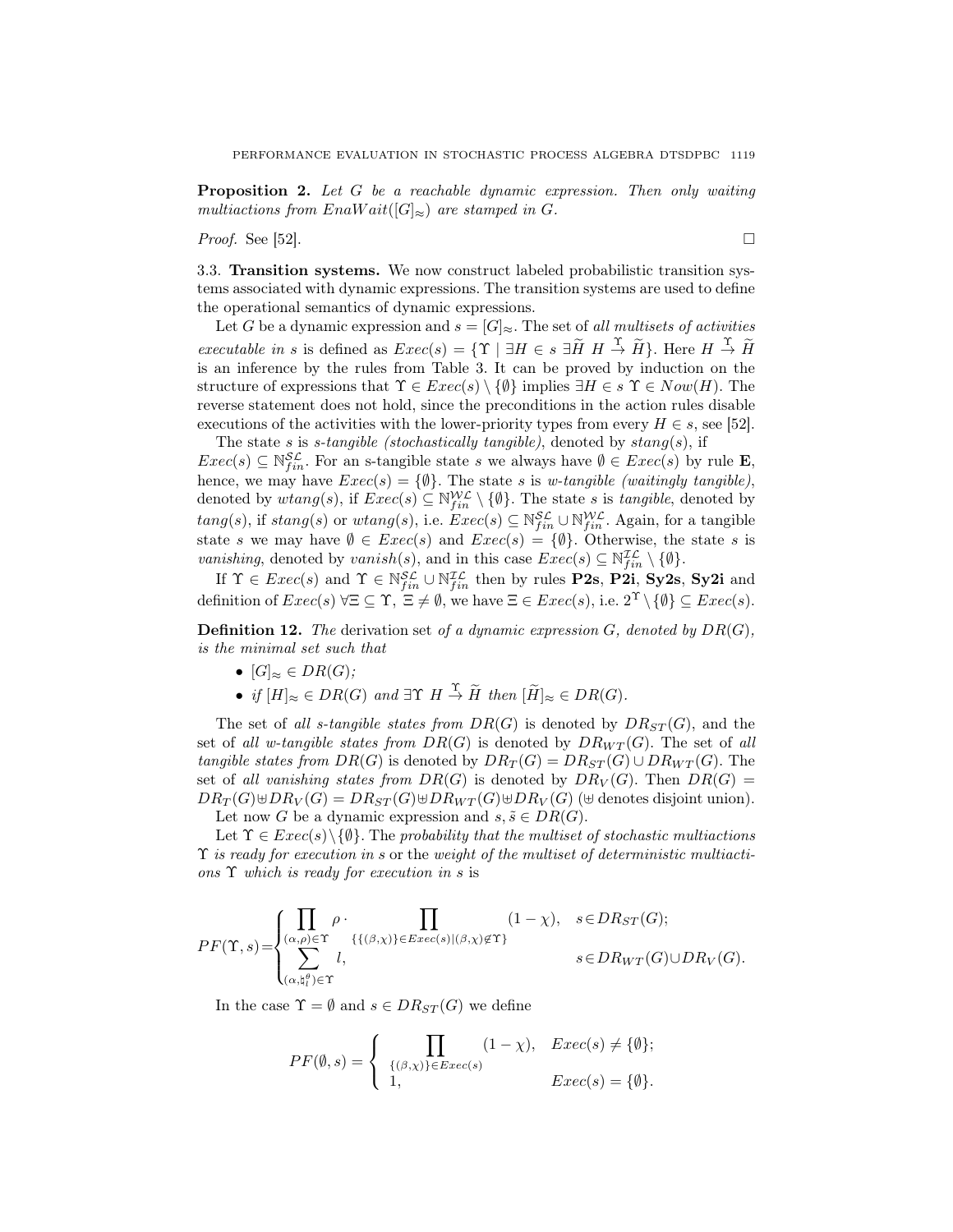Proposition 2. Let G be a reachable dynamic expression. Then only waiting multiactions from EnaW ait( $[G]_{\approx}$ ) are stamped in G.

*Proof.* See [52].

3.3. Transition systems. We now construct labeled probabilistic transition systems associated with dynamic expressions. The transition systems are used to define the operational semantics of dynamic expressions.

Let G be a dynamic expression and  $s = [G]_{\approx}$ . The set of all multisets of activities executable in s is defined as  $Exec(s) = \{\Upsilon \mid \exists H \in s \exists \widetilde{H} \ H \stackrel{\Upsilon}{\to} \widetilde{H}\}\.$  Here  $H \stackrel{\Upsilon}{\to} \widetilde{H}$ is an inference by the rules from Table 3. It can be proved by induction on the structure of expressions that  $\Upsilon \in Exc(s) \setminus \{\emptyset\}$  implies  $\exists H \in s \ \Upsilon \in Now(H)$ . The reverse statement does not hold, since the preconditions in the action rules disable executions of the activities with the lower-priority types from every  $H \in s$ , see [52].

The state s is s-tangible (stochastically tangible), denoted by  $stang(s)$ , if  $Exec(s) \subseteq \mathbb{N}_{fin}^{\mathcal{SL}}$ . For an s-tangible state s we always have  $\emptyset \inExec(s)$  by rule **E**, hence, we may have  $Exec(s) = \{\emptyset\}$ . The state s is w-tangible (waitingly tangible), denoted by  $wtan g(s)$ , if  $Exec(s) \subseteq \mathbb{N}_{fin}^{W\mathcal{L}} \setminus {\emptyset}$ . The state s is tangible, denoted by  $tang(s)$ , if  $stang(s)$  or  $wtang(s)$ , i.e.  $Exec(s) \subseteq \mathbb{N}_{fin}^{\mathcal{SL}} \cup \mathbb{N}_{fin}^{\mathcal{WL}}$ . Again, for a tangible state s we may have  $\emptyset \in \text{Exec}(s)$  and  $\text{Exec}(s) = \{\emptyset\}$ . Otherwise, the state s is vanishing, denoted by vanish(s), and in this case  $Exec(s) \subseteq \mathbb{N}_{fin}^{\mathcal{IL}} \setminus \{\emptyset\}.$ 

If  $\Upsilon \in \text{Exec}(s)$  and  $\Upsilon \in \mathbb{N}_{fin}^{\mathcal{SL}} \cup \mathbb{N}_{fin}^{\mathcal{IL}}$  then by rules **P2s**, **P2i**, **Sy2s**, **Sy2i** and definition of  $Exec(s)$   $\forall \Xi \subseteq \Upsilon$ ,  $\Xi \neq \emptyset$ , we have  $\Xi \in Excel(s)$ , i.e.  $2^{\Upsilon} \setminus {\emptyset} \subseteq Excel(s)$ .

**Definition 12.** The derivation set of a dynamic expression  $G$ , denoted by  $DR(G)$ , is the minimal set such that

- $[G]_{\approx} \in DR(G);$
- if  $[H]_{\approx} \in DR(G)$  and  $\exists \Upsilon \ H \stackrel{\Upsilon}{\rightarrow} \widetilde{H}$  then  $[\widetilde{H}]_{\approx} \in DR(G)$ .

The set of all s-tangible states from  $DR(G)$  is denoted by  $DR_{ST}(G)$ , and the set of all w-tangible states from  $DR(G)$  is denoted by  $DR_{WT}(G)$ . The set of all tangible states from  $DR(G)$  is denoted by  $DR_T(G) = DR_{ST}(G) \cup DR_{WT}(G)$ . The set of all vanishing states from  $DR(G)$  is denoted by  $DR_V(G)$ . Then  $DR(G)$  =  $DR_T(G) \oplus DR_V(G) = DR_{ST}(G) \oplus DR_{WT}(G) \oplus DR_V(G)$  ( $\oplus$  denotes disjoint union).

Let now G be a dynamic expression and  $s, \tilde{s} \in DR(G)$ .

Let  $\Upsilon \in \text{Exec}(s) \setminus \{\emptyset\}$ . The probability that the multiset of stochastic multiactions  $\Upsilon$  is ready for execution in s or the weight of the multiset of deterministic multiactions  $\Upsilon$  which is ready for execution in s is

$$
PF(\Upsilon,s) = \begin{cases} \prod_{(\alpha,\rho) \in \Upsilon} \rho \cdot \prod_{\{ \{ (\beta,\chi) \} \in E \text{vec}(s) | (\beta,\chi) \notin \Upsilon \} } (1-\chi), & s \in DR_{ST}(G); \\ \sum_{(\alpha,\natural_l^{\theta}) \in \Upsilon} l, & s \in DR_{WT}(G) \cup DR_{V}(G). \end{cases}
$$

In the case  $\Upsilon = \emptyset$  and  $s \in DR_{ST}(G)$  we define

$$
PF(\emptyset, s) = \begin{cases} \prod_{\{(\beta,\chi)\}\in E \text{vec}(s)} (1-\chi), & E \text{vec}(s) \neq \{\emptyset\}; \\ 1, & E \text{vec}(s) = \{\emptyset\}. \end{cases}
$$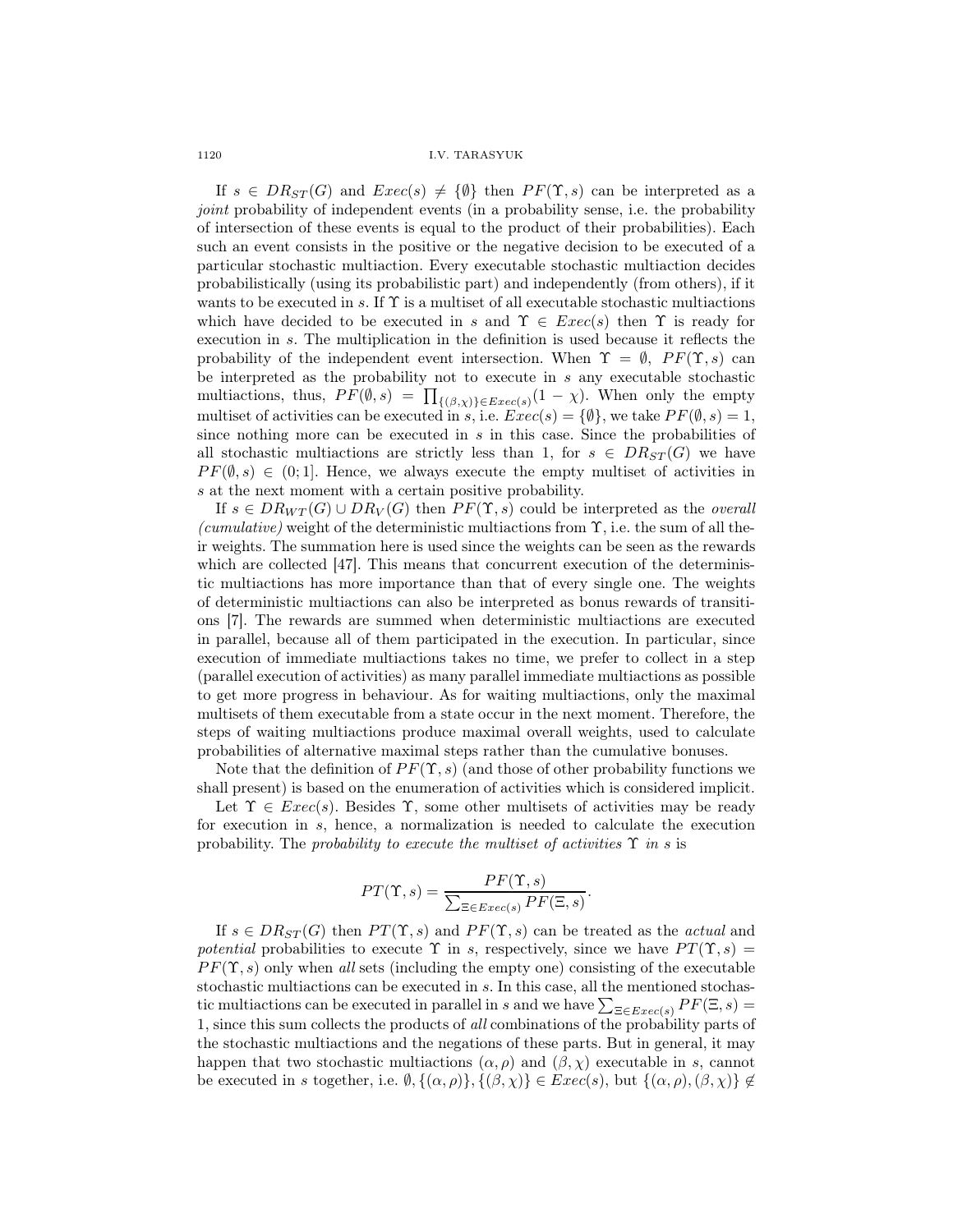If  $s \in DR_{ST}(G)$  and  $Exec(s) \neq {\emptyset}$  then  $PF(\Upsilon, s)$  can be interpreted as a joint probability of independent events (in a probability sense, i.e. the probability of intersection of these events is equal to the product of their probabilities). Each such an event consists in the positive or the negative decision to be executed of a particular stochastic multiaction. Every executable stochastic multiaction decides probabilistically (using its probabilistic part) and independently (from others), if it wants to be executed in s. If  $\Upsilon$  is a multiset of all executable stochastic multiactions which have decided to be executed in s and  $\Upsilon \in \text{Exec}(s)$  then  $\Upsilon$  is ready for execution in s. The multiplication in the definition is used because it reflects the probability of the independent event intersection. When  $\Upsilon = \emptyset$ ,  $PF(\Upsilon, s)$  can be interpreted as the probability not to execute in s any executable stochastic multiactions, thus,  $PF(\emptyset, s) = \prod_{\{(\beta,\chi)\}\in Exercise(s)} (1-\chi)$ . When only the empty multiset of activities can be executed in s, i.e.  $Exec(s) = \{\emptyset\}$ , we take  $PF(\emptyset, s) = 1$ , since nothing more can be executed in  $s$  in this case. Since the probabilities of all stochastic multiactions are strictly less than 1, for  $s \in DR_{ST}(G)$  we have  $PF(\emptyset, s) \in (0, 1]$ . Hence, we always execute the empty multiset of activities in s at the next moment with a certain positive probability.

If  $s \in DR_{WT}(G) \cup DR_V(G)$  then  $PF(\Upsilon, s)$  could be interpreted as the *overall* (cumulative) weight of the deterministic multiactions from  $\Upsilon$ , i.e. the sum of all their weights. The summation here is used since the weights can be seen as the rewards which are collected [47]. This means that concurrent execution of the deterministic multiactions has more importance than that of every single one. The weights of deterministic multiactions can also be interpreted as bonus rewards of transitions [7]. The rewards are summed when deterministic multiactions are executed in parallel, because all of them participated in the execution. In particular, since execution of immediate multiactions takes no time, we prefer to collect in a step (parallel execution of activities) as many parallel immediate multiactions as possible to get more progress in behaviour. As for waiting multiactions, only the maximal multisets of them executable from a state occur in the next moment. Therefore, the steps of waiting multiactions produce maximal overall weights, used to calculate probabilities of alternative maximal steps rather than the cumulative bonuses.

Note that the definition of  $PF(\Upsilon, s)$  (and those of other probability functions we shall present) is based on the enumeration of activities which is considered implicit.

Let  $\Upsilon \in \text{Exec}(s)$ . Besides  $\Upsilon$ , some other multisets of activities may be ready for execution in s, hence, a normalization is needed to calculate the execution probability. The probability to execute the multiset of activities  $\Upsilon$  in s is

$$
PT(\Upsilon, s) = \frac{PF(\Upsilon, s)}{\sum_{\Xi \in E \text{zero}(s)} PF(\Xi, s)}.
$$

If  $s \in DR_{ST}(G)$  then  $PT(\Upsilon, s)$  and  $PF(\Upsilon, s)$  can be treated as the *actual* and potential probabilities to execute  $\Upsilon$  in s, respectively, since we have  $PT(\Upsilon, s) =$  $PF(\Upsilon, s)$  only when all sets (including the empty one) consisting of the executable stochastic multiactions can be executed in s. In this case, all the mentioned stochastic multiactions can be executed in parallel in s and we have  $\sum_{\Xi \in Exercise(s)} PF(\Xi, s)$ 1, since this sum collects the products of all combinations of the probability parts of the stochastic multiactions and the negations of these parts. But in general, it may happen that two stochastic multiactions  $(\alpha, \rho)$  and  $(\beta, \chi)$  executable in s, cannot be executed in s together, i.e.  $\emptyset$ ,  $\{(\alpha, \rho)\}, \{(\beta, \chi)\}\in \mathcal{E}$  $\mathcal{E}$  $\mathcal{E}(s)$ , but  $\{(\alpha, \rho), (\beta, \chi)\}\notin$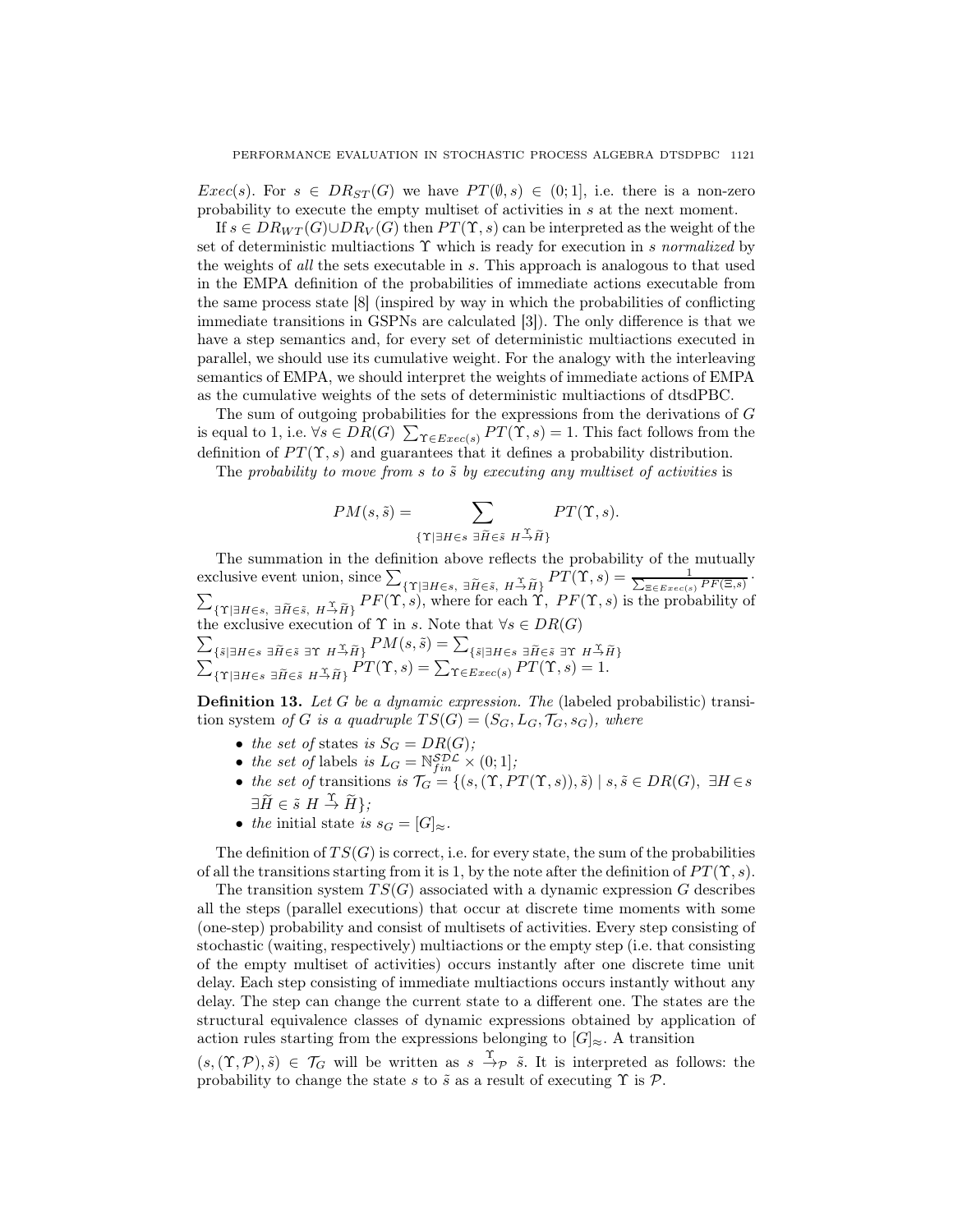$Exec(s)$ . For  $s \in DR_{ST}(G)$  we have  $PT(\emptyset, s) \in (0,1]$ , i.e. there is a non-zero probability to execute the empty multiset of activities in s at the next moment.

If  $s \in DR_{WT}(G) \cup DR_V(G)$  then  $PT(\Upsilon, s)$  can be interpreted as the weight of the set of deterministic multiactions  $\Upsilon$  which is ready for execution in s normalized by the weights of all the sets executable in s. This approach is analogous to that used in the EMPA definition of the probabilities of immediate actions executable from the same process state [8] (inspired by way in which the probabilities of conflicting immediate transitions in GSPNs are calculated [3]). The only difference is that we have a step semantics and, for every set of deterministic multiactions executed in parallel, we should use its cumulative weight. For the analogy with the interleaving semantics of EMPA, we should interpret the weights of immediate actions of EMPA as the cumulative weights of the sets of deterministic multiactions of dtsdPBC.

The sum of outgoing probabilities for the expressions from the derivations of G is equal to 1, i.e.  $\forall s \in DR(G)$   $\sum_{\Upsilon \in Excel(s)} PT(\Upsilon, s) = 1$ . This fact follows from the definition of  $PT(\Upsilon, s)$  and guarantees that it defines a probability distribution.

The probability to move from s to  $\tilde{s}$  by executing any multiset of activities is

$$
PM(s, \tilde{s}) = \sum_{\{\Upsilon \mid \exists H \in s \ \exists \tilde{H} \in \tilde{s} \ H \stackrel{\Upsilon}{\rightarrow} \tilde{H}\}} PT(\Upsilon, s).
$$

The summation in the definition above reflects the probability of the mutually exclusive event union, since  $\sum_{\{\Upsilon | \exists H \in s, \ \exists \widetilde{H} \in \tilde{s}, \ H \to \widetilde{H}\}} PT(\Upsilon, s) = \frac{1}{\sum_{\Xi \in E \text{vec}(s)} PF(\Xi, s)}$ .  $\sum_{\{\Upsilon \mid \exists H \in \mathcal{S}, \ H \to \widetilde{H}\}} PF(\Upsilon, s)$ , where for each  $\Upsilon$ ,  $PF(\Upsilon, s)$  is the probability of  $\sum_{\{\tilde{s}|\exists H\in s\; \exists \tilde{H}\in \tilde{s}\; \exists \Upsilon\; H\stackrel{\Upsilon}{\rightarrow} \tilde{H}\}} \frac{PM(s,\tilde{s})=\sum_{\{\tilde{s}|\exists H\in s\; \exists \tilde{H}\in \tilde{s}\; \exists \Upsilon\; H\stackrel{\Upsilon}{\rightarrow} \tilde{H}\}}{\sum_{\{\Upsilon|\exists H\in s\; \exists \tilde{H}\in \tilde{s}\; H\stackrel{\Upsilon}{\rightarrow} \tilde{H}\}} \frac{PM(\Upsilon,s)=\sum_{\Upsilon\in Exercise(s)} PT(\Upsilon,s)=1.}$ the exclusive execution of  $\Upsilon$  in s. Note that  $\forall s \in DR(G)$ 

**Definition 13.** Let G be a dynamic expression. The (labeled probabilistic) transition system of G is a quadruple  $TS(G) = (S_G, L_G, \mathcal{T}_G, s_G)$ , where

- the set of states is  $S_G = DR(G);$
- the set of labels is  $L_G = \mathbb{N}_{fin}^{\mathcal{SDL}} \times (0, 1];$
- the set of transitions is  $\mathcal{T}_G = \{ (s, (\Upsilon, PT(\Upsilon, s)), \tilde{s}) \mid s, \tilde{s} \in DR(G), \exists H \in s \}$  $\exists \widetilde{H} \in \widetilde{s} \ H \stackrel{\Upsilon}{\to} \widetilde{H} \};$
- the initial state is  $s_G = [G]_{\approx}$ .

The definition of  $TS(G)$  is correct, i.e. for every state, the sum of the probabilities of all the transitions starting from it is 1, by the note after the definition of  $PT(\Upsilon, s)$ .

The transition system  $TS(G)$  associated with a dynamic expression G describes all the steps (parallel executions) that occur at discrete time moments with some (one-step) probability and consist of multisets of activities. Every step consisting of stochastic (waiting, respectively) multiactions or the empty step (i.e. that consisting of the empty multiset of activities) occurs instantly after one discrete time unit delay. Each step consisting of immediate multiactions occurs instantly without any delay. The step can change the current state to a different one. The states are the structural equivalence classes of dynamic expressions obtained by application of action rules starting from the expressions belonging to  $[G]_{\approx}$ . A transition

 $(s,(\Upsilon,\mathcal{P}),\tilde{s}) \in \mathcal{T}_G$  will be written as  $s \stackrel{\Upsilon}{\to} \tilde{s}$ . It is interpreted as follows: the probability to change the state s to  $\tilde{s}$  as a result of executing  $\Upsilon$  is  $\mathcal{P}$ .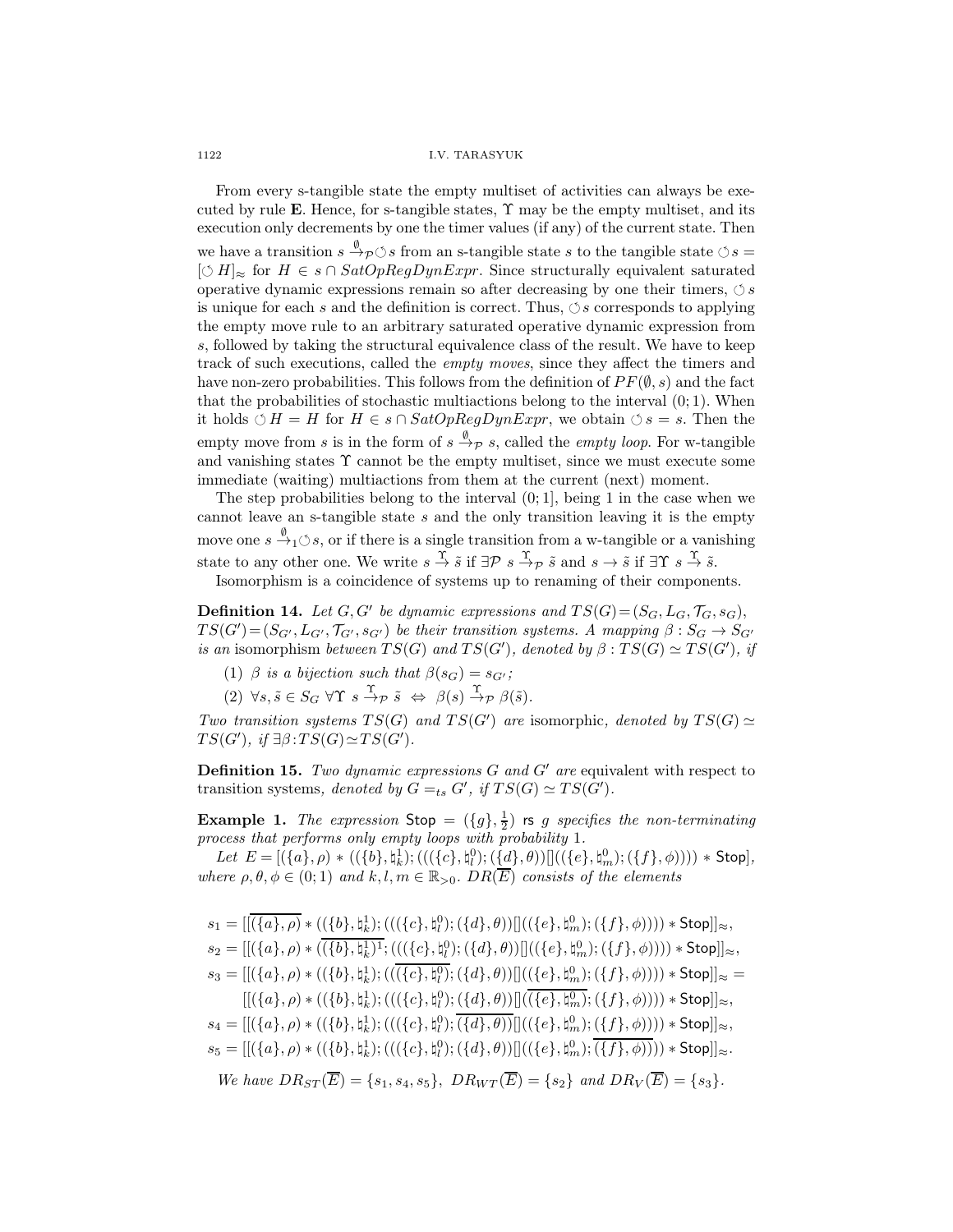From every s-tangible state the empty multiset of activities can always be executed by rule E. Hence, for s-tangible states,  $\Upsilon$  may be the empty multiset, and its execution only decrements by one the timer values (if any) of the current state. Then we have a transition  $s \xrightarrow{\emptyset} \infty$  from an s-tangible state s to the tangible state  $\circlearrowleft s =$  $[\circlearrowleft H]_{\approx}$  for  $H \in s \cap \text{SatOpRegDynExpr}$ . Since structurally equivalent saturated operative dynamic expressions remain so after decreasing by one their timers,  $\circledcirc s$ is unique for each s and the definition is correct. Thus,  $\circ$  s corresponds to applying the empty move rule to an arbitrary saturated operative dynamic expression from s, followed by taking the structural equivalence class of the result. We have to keep track of such executions, called the empty moves, since they affect the timers and have non-zero probabilities. This follows from the definition of  $PF(\emptyset, s)$  and the fact that the probabilities of stochastic multiactions belong to the interval  $(0, 1)$ . When it holds  $\circ H = H$  for  $H \in s \cap SatOpRegDynExpr$ , we obtain  $\circ s = s$ . Then the empty move from s is in the form of  $s \stackrel{\emptyset}{\to} \mathcal{P} s$ , called the *empty loop*. For w-tangible and vanishing states  $\Upsilon$  cannot be the empty multiset, since we must execute some immediate (waiting) multiactions from them at the current (next) moment.

The step probabilities belong to the interval  $(0, 1]$ , being 1 in the case when we cannot leave an s-tangible state  $s$  and the only transition leaving it is the empty move one  $s \stackrel{\emptyset}{\rightarrow}_1 \circlearrowleft s$ , or if there is a single transition from a w-tangible or a vanishing state to any other one. We write  $s \stackrel{\Upsilon}{\rightarrow} \tilde{s}$  if  $\exists \mathcal{P} \ s \stackrel{\Upsilon}{\rightarrow} \tilde{p}$  and  $s \rightarrow \tilde{s}$  if  $\exists \Upsilon \ s \stackrel{\Upsilon}{\rightarrow} \tilde{s}$ .

Isomorphism is a coincidence of systems up to renaming of their components.

**Definition 14.** Let  $G, G'$  be dynamic expressions and  $TS(G) = (S_G, L_G, \mathcal{T}_G, s_G)$ ,  $TS(G') = (S_{G'}, L_{G'}, \mathcal{T}_{G'}, s_{G'})$  be their transition systems. A mapping  $\beta : S_G \rightarrow S_{G'}$ is an isomorphism between  $TS(G)$  and  $TS(G')$ , denoted by  $\beta: TS(G) \simeq TS(G')$ , if

(1)  $\beta$  is a bijection such that  $\beta(s_G) = s_{G'}$ ;

(2)  $\forall s, \tilde{s} \in S_G \ \forall \Upsilon \ s \stackrel{\Upsilon}{\rightarrow} \mathcal{P} \ \tilde{s} \ \Leftrightarrow \ \beta(s) \stackrel{\Upsilon}{\rightarrow} \mathcal{P} \ \beta(\tilde{s}).$ 

Two transition systems  $TS(G)$  and  $TS(G')$  are isomorphic, denoted by  $TS(G) \simeq$  $TS(G')$ , if  $\exists \beta : TS(G) \simeq TS(G')$ .

**Definition 15.** Two dynamic expressions  $G$  and  $G'$  are equivalent with respect to transition systems, denoted by  $G =_{ts} G'$ , if  $TS(G) \simeq TS(G')$ .

**Example 1.** The expression  $\text{Stop} = (\{g\}, \frac{1}{2})$  is g specifies the non-terminating process that performs only empty loops with probability 1.

Let  $E=[(\{a\}, \rho)*((\{b\}, \natural_k^1); (((\{c\}, \natural_l^0); (\{\underline{d}\}, \theta))]((\{e\}, \natural_m^0); (\{f\}, \phi)))))*\text{Stop}],$ where  $\rho, \theta, \phi \in (0, 1)$  and  $k, l, m \in \mathbb{R}_{>0}$ .  $DR(\overline{E})$  consists of the elements

 $s_1 = [[\overline{(\{a\}, \rho)} * ((\{b\},\natural_k^1);(((\{c\},\natural_l^0);(\{d\},\theta))]]((\{e\},\natural_m^0);(\{f\},\phi)))) * \mathsf{Stop}]]_{\approx},$  $s_2=[[(\{a\},\rho)*(\overline{(\{b\},\natural_k^1)^1};(((\{c\},\natural_l^0);(\{d\},\theta))]]((\{e\},\natural_m^0);(\{f\},\phi)))))*\mathsf{Stop}]]_{\approx},$  $s_3 = [[(\{a\}, \rho) * ((\{b\}, \natural_k^1); (((\{c\}, \natural_l^0); (\{d\}, \theta))]]((\{e\}, \natural_m^0); (\{f\}, \phi)))) * \mathsf{Stop}]_{\approx} =$  $[[(\{a\},\rho)*((\{b\},\natural_k^1);(((\{c\},\natural_l^0);(\{d\},\theta))[](\overline{(\{e\},\natural_m^0)};(\{f\},\phi)))))*\mathsf{Stop}]]_{\approx},$  $s_4 = [[(\{a\},\rho) * ((\{b\},\natural_k^1);(((\{c\},\natural_l^0);\overline{(\{d\},\theta))}]]((\{e\},\natural_m^0);(\{f\},\phi)))) * \mathsf{Stop}]]_{\approx},$  $s_5 = [[(\{a\}, \rho) * ((\{b\}, \natural_k^1); (((\{c\}, \natural_l^0); (\{d\}, \theta))]((\{e\}, \natural_m^0); \overline{(\{f\}, \phi)})) * \mathsf{Stop}]_{\approx}.$ We have  $DR_{ST}(\overline{E}) = \{s_1, s_4, s_5\}, \ D R_{WT}(\overline{E}) = \{s_2\} \ and \ DR_V(\overline{E}) = \{s_3\}.$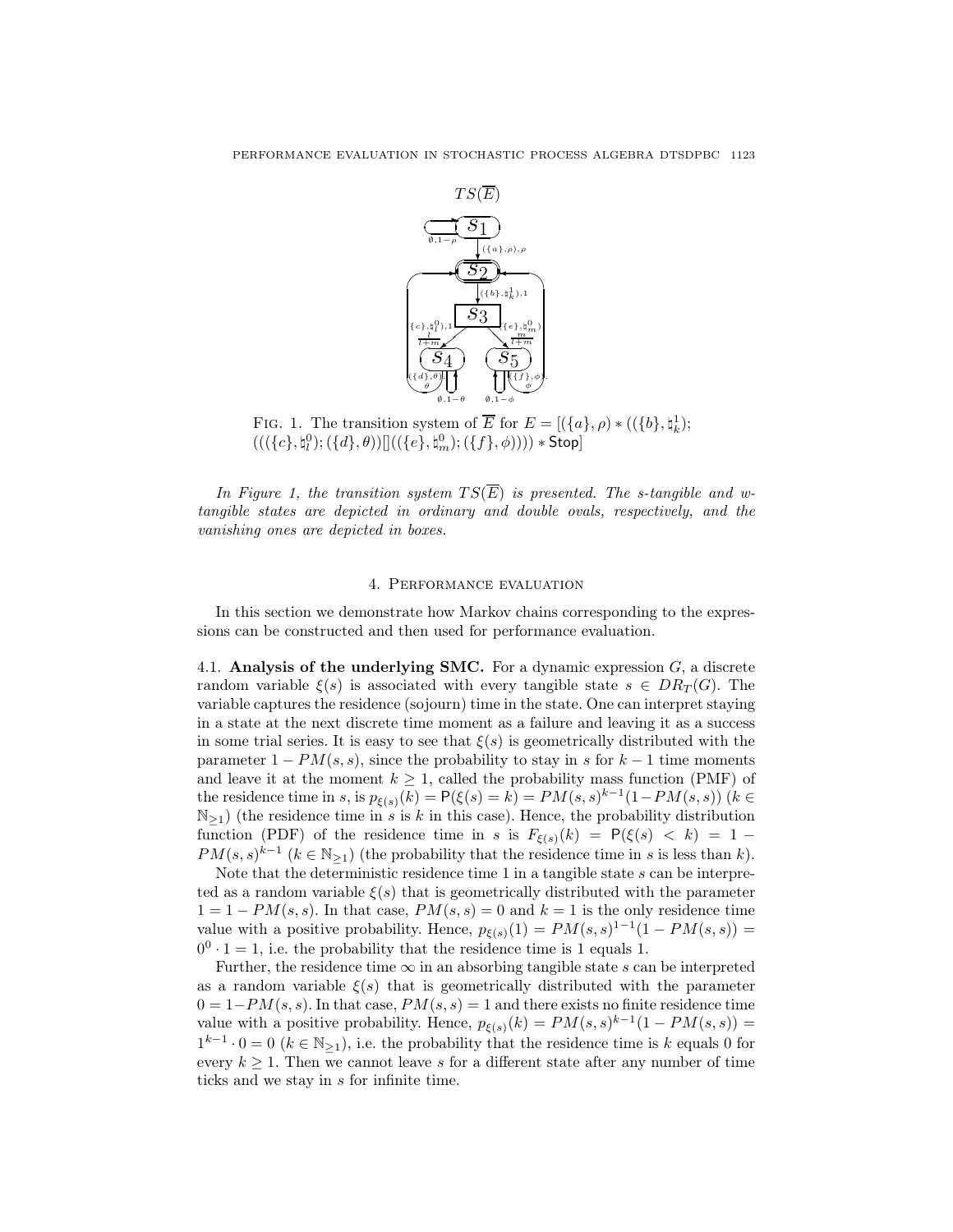

FIG. 1. The transition system of  $\overline{E}$  for  $E = [(\lbrace a \rbrace, \rho) * ((\lbrace b \rbrace, \natural_k^1);$  $\left( ((\{c\},\natural^0_l);(\{d\},\theta))[ \left( ((\{e\},\natural^0_m);(\{f\},\phi))) \right) \ast \mathsf{Stop} \right]$ 

In Figure 1, the transition system  $TS(\overline{E})$  is presented. The s-tangible and wtangible states are depicted in ordinary and double ovals, respectively, and the vanishing ones are depicted in boxes.

## 4. Performance evaluation

In this section we demonstrate how Markov chains corresponding to the expressions can be constructed and then used for performance evaluation.

4.1. Analysis of the underlying SMC. For a dynamic expression  $G$ , a discrete random variable  $\xi(s)$  is associated with every tangible state  $s \in DR_T(G)$ . The variable captures the residence (sojourn) time in the state. One can interpret staying in a state at the next discrete time moment as a failure and leaving it as a success in some trial series. It is easy to see that  $\xi(s)$  is geometrically distributed with the parameter  $1 - PM(s, s)$ , since the probability to stay in s for  $k - 1$  time moments and leave it at the moment  $k \geq 1$ , called the probability mass function (PMF) of the residence time in s, is  $p_{\xi(s)}(k) = P(\xi(s) = k) = PM(s, s)^{k-1}(1 - PM(s, s))$  ( $k \in$  $\mathbb{N}_{\geq 1}$ ) (the residence time in s is k in this case). Hence, the probability distribution function (PDF) of the residence time in s is  $F_{\xi(s)}(k) = P(\xi(s) < k) = 1 PM(s, s)^{k-1}$   $(k \in \mathbb{N}_{\geq 1})$  (the probability that the residence time in s is less than k).

Note that the deterministic residence time  $1$  in a tangible state  $s$  can be interpreted as a random variable  $\xi(s)$  that is geometrically distributed with the parameter  $1 = 1 - PM(s, s)$ . In that case,  $PM(s, s) = 0$  and  $k = 1$  is the only residence time value with a positive probability. Hence,  $p_{\xi(s)}(1) = PM(s, s)^{1-1}(1 - PM(s, s)) =$  $0^0 \cdot 1 = 1$ , i.e. the probability that the residence time is 1 equals 1.

Further, the residence time  $\infty$  in an absorbing tangible state s can be interpreted as a random variable  $\xi(s)$  that is geometrically distributed with the parameter  $0 = 1 - PM(s, s)$ . In that case,  $PM(s, s) = 1$  and there exists no finite residence time value with a positive probability. Hence,  $p_{\xi(s)}(k) = PM(s, s)^{k-1}(1 - PM(s, s)) =$  $1^{k-1} \cdot 0 = 0$  ( $k \in \mathbb{N}_{\ge 1}$ ), i.e. the probability that the residence time is k equals 0 for every  $k \geq 1$ . Then we cannot leave s for a different state after any number of time ticks and we stay in s for infinite time.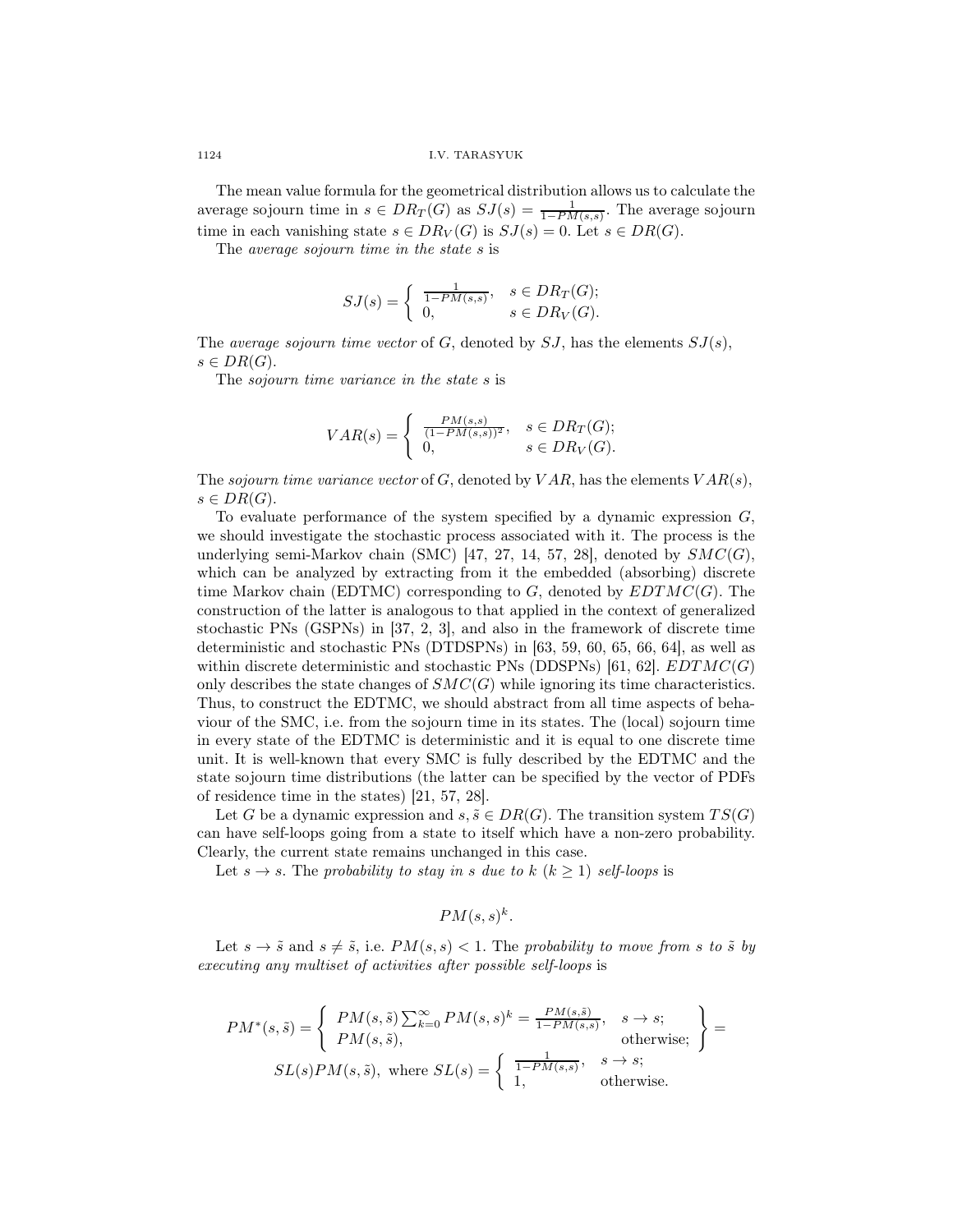The mean value formula for the geometrical distribution allows us to calculate the average sojourn time in  $s \in DR_T(G)$  as  $SJ(s) = \frac{1}{1 - PM(s,s)}$ . The average sojourn time in each vanishing state  $s \in DR_V(G)$  is  $SJ(s) = 0$ . Let  $s \in DR(G)$ .

The average sojourn time in the state s is

$$
SJ(s) = \begin{cases} \frac{1}{1 - PM(s, s)}, & s \in DR_T(G); \\ 0, & s \in DR_V(G). \end{cases}
$$

The *average sojourn time vector* of  $G$ , denoted by  $SJ$ , has the elements  $SJ(s)$ ,  $s \in DR(G).$ 

The sojourn time variance in the state s is

$$
VAR(s) = \begin{cases} \frac{PM(s,s)}{(1 - PM(s,s))^2}, & s \in DR_T(G); \\ 0, & s \in DR_V(G). \end{cases}
$$

The sojourn time variance vector of G, denoted by  $VAR$ , has the elements  $VAR(s)$ ,  $s \in DR(G).$ 

To evaluate performance of the system specified by a dynamic expression G, we should investigate the stochastic process associated with it. The process is the underlying semi-Markov chain (SMC) [47, 27, 14, 57, 28], denoted by  $SMC(G)$ , which can be analyzed by extracting from it the embedded (absorbing) discrete time Markov chain (EDTMC) corresponding to  $G$ , denoted by  $EDTMC(G)$ . The construction of the latter is analogous to that applied in the context of generalized stochastic PNs (GSPNs) in [37, 2, 3], and also in the framework of discrete time deterministic and stochastic PNs (DTDSPNs) in [63, 59, 60, 65, 66, 64], as well as within discrete deterministic and stochastic PNs (DDSPNs) [61, 62].  $EDTMC(G)$ only describes the state changes of  $SMC(G)$  while ignoring its time characteristics. Thus, to construct the EDTMC, we should abstract from all time aspects of behaviour of the SMC, i.e. from the sojourn time in its states. The (local) sojourn time in every state of the EDTMC is deterministic and it is equal to one discrete time unit. It is well-known that every SMC is fully described by the EDTMC and the state sojourn time distributions (the latter can be specified by the vector of PDFs of residence time in the states) [21, 57, 28].

Let G be a dynamic expression and  $s, \tilde{s} \in DR(G)$ . The transition system  $TS(G)$ can have self-loops going from a state to itself which have a non-zero probability. Clearly, the current state remains unchanged in this case.

Let  $s \to s$ . The probability to stay in s due to  $k$   $(k \geq 1)$  self-loops is

$$
PM(s,s)^k.
$$

Let  $s \to \tilde{s}$  and  $s \neq \tilde{s}$ , i.e.  $PM(s, s) < 1$ . The probability to move from s to  $\tilde{s}$  by executing any multiset of activities after possible self-loops is

$$
PM^*(s, \tilde{s}) = \begin{cases} PM(s, \tilde{s}) \sum_{k=0}^{\infty} PM(s, s)^k = \frac{PM(s, \tilde{s})}{1 - PM(s, s)}, & s \to s; \\ PM(s, \tilde{s}), & \text{otherwise}; \end{cases} = SL(s)PM(s, \tilde{s}), \text{ where } SL(s) = \begin{cases} \frac{1}{1 - PM(s, s)}, & s \to s; \\ 1, & \text{otherwise}. \end{cases}
$$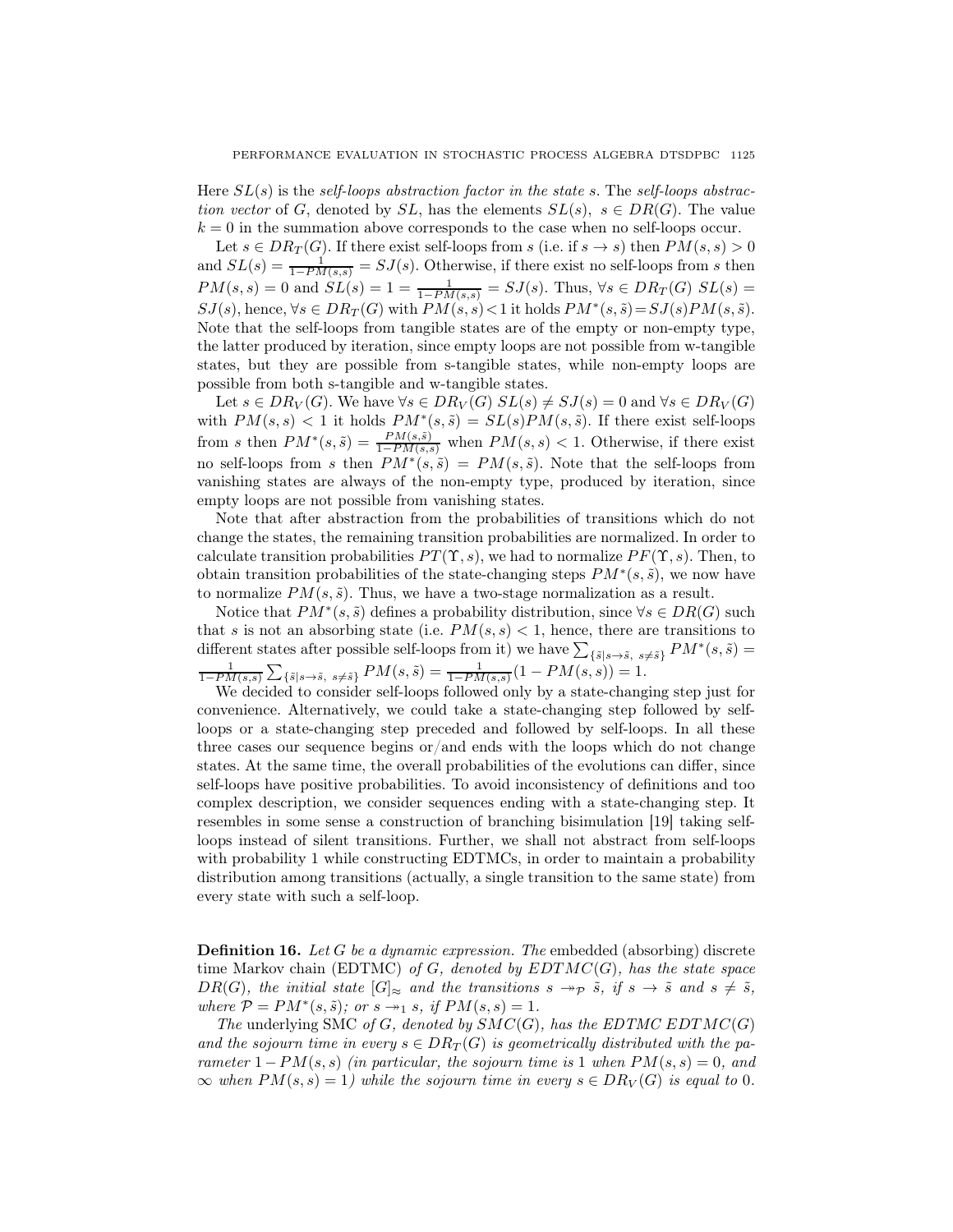Here  $SL(s)$  is the self-loops abstraction factor in the state s. The self-loops abstraction vector of G, denoted by SL, has the elements  $SL(s)$ ,  $s \in DR(G)$ . The value  $k = 0$  in the summation above corresponds to the case when no self-loops occur.

Let  $s \in DR_T(G)$ . If there exist self-loops from s (i.e. if  $s \to s$ ) then  $PM(s, s) > 0$ and  $SL(s) = \frac{1}{1 - PM(s,s)} = SJ(s)$ . Otherwise, if there exist no self-loops from s then  $PM(s, s) = 0$  and  $SL(s) = 1 = \frac{1}{1 - PM(s, s)} = SJ(s)$ . Thus,  $\forall s \in DR_T(G)$   $SL(s) =$  $SJ(s)$ , hence,  $\forall s \in DR_T(G)$  with  $PM(s, s) < 1$  it holds  $PM^*(s, \tilde{s}) = SJ(s)PM(s, \tilde{s})$ . Note that the self-loops from tangible states are of the empty or non-empty type, the latter produced by iteration, since empty loops are not possible from w-tangible states, but they are possible from s-tangible states, while non-empty loops are possible from both s-tangible and w-tangible states.

Let  $s \in DR_V(G)$ . We have  $\forall s \in DR_V(G)$   $SL(s) \neq SU(s) = 0$  and  $\forall s \in DR_V(G)$ with  $PM(s, s) < 1$  it holds  $PM^*(s, \tilde{s}) = SL(s)PM(s, \tilde{s})$ . If there exist self-loops from s then  $PM^*(s, \tilde{s}) = \frac{PM(s, \tilde{s})}{1 - PM(s, s)}$  when  $PM(s, s) < 1$ . Otherwise, if there exist no self-loops from s then  $PM^*(s, \tilde{s}) = PM(s, \tilde{s})$ . Note that the self-loops from vanishing states are always of the non-empty type, produced by iteration, since empty loops are not possible from vanishing states.

Note that after abstraction from the probabilities of transitions which do not change the states, the remaining transition probabilities are normalized. In order to calculate transition probabilities  $PT(\Upsilon, s)$ , we had to normalize  $PF(\Upsilon, s)$ . Then, to obtain transition probabilities of the state-changing steps  $PM^*(s, \tilde{s})$ , we now have to normalize  $PM(s, \tilde{s})$ . Thus, we have a two-stage normalization as a result.

Notice that  $PM^*(s, \tilde{s})$  defines a probability distribution, since  $\forall s \in DR(G)$  such that s is not an absorbing state (i.e.  $PM(s, s) < 1$ , hence, there are transitions to different states after possible self-loops from it) we have  $\sum_{\{\tilde{s}|s\to \tilde{s}, s\neq \tilde{s}\}} PM^*(s, \tilde{s}) =$  $\frac{1}{1-PM(s,s)}\sum_{\{\tilde{s}\mid s\to \tilde{s}, \ s\neq \tilde{s}\}}PM(s,\tilde{s}) = \frac{1}{1-PM(s,s)}(1-PM(s,s)) = 1.$ 

We decided to consider self-loops followed only by a state-changing step just for convenience. Alternatively, we could take a state-changing step followed by selfloops or a state-changing step preceded and followed by self-loops. In all these three cases our sequence begins or/and ends with the loops which do not change states. At the same time, the overall probabilities of the evolutions can differ, since self-loops have positive probabilities. To avoid inconsistency of definitions and too complex description, we consider sequences ending with a state-changing step. It resembles in some sense a construction of branching bisimulation [19] taking selfloops instead of silent transitions. Further, we shall not abstract from self-loops with probability 1 while constructing EDTMCs, in order to maintain a probability distribution among transitions (actually, a single transition to the same state) from every state with such a self-loop.

**Definition 16.** Let G be a dynamic expression. The embedded (absorbing) discrete time Markov chain (EDTMC) of G, denoted by  $EDTMC(G)$ , has the state space  $DR(G)$ , the initial state  $|G|_{\approx}$  and the transitions  $s \rightarrow p \tilde{s}$ , if  $s \rightarrow \tilde{s}$  and  $s \neq \tilde{s}$ , where  $P = PM^*(s, \tilde{s})$ ; or  $s \rightarrow 1$ , if  $PM(s, s) = 1$ .

The underlying SMC of G, denoted by  $SMC(G)$ , has the EDTMC EDTMC(G) and the sojourn time in every  $s \in DR_T(G)$  is geometrically distributed with the parameter  $1 - PM(s, s)$  (in particular, the sojourn time is 1 when  $PM(s, s) = 0$ , and  $\infty$  when  $PM(s, s) = 1$ ) while the sojourn time in every  $s \in DR_V(G)$  is equal to 0.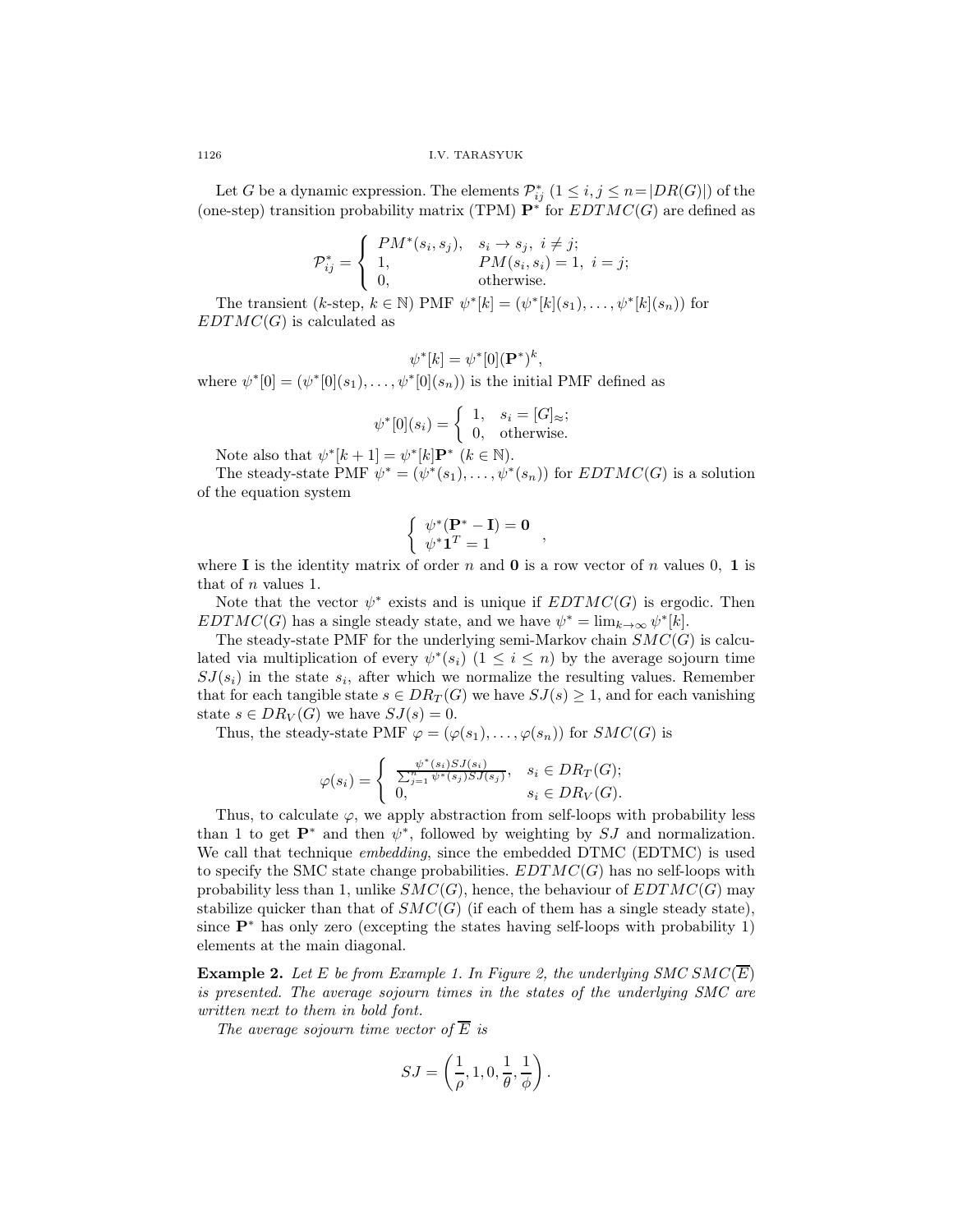Let G be a dynamic expression. The elements  $\mathcal{P}_{ij}^*$   $(1 \leq i, j \leq n = |DR(G)|)$  of the (one-step) transition probability matrix (TPM)  $\mathbf{P}^*$  for  $EDTMC(G)$  are defined as

$$
\mathcal{P}_{ij}^* = \left\{ \begin{array}{ll} PM^*(s_i,s_j), & s_i \rightarrow s_j, \ i \neq j; \\ 1, & PM(s_i,s_i) = 1, \ i = j; \\ 0, & \text{otherwise}. \end{array} \right.
$$

The transient  $(k\text{-step}, k \in \mathbb{N})$  PMF  $\psi^*[k] = (\psi^*[k](s_1), \dots, \psi^*[k](s_n))$  for  $EDTMC(G)$  is calculated as

$$
\psi^*[k] = \psi^*[0]({\bf P}^*)^k,
$$

where  $\psi^*[0] = (\psi^*[0](s_1), \ldots, \psi^*[0](s_n))$  is the initial PMF defined as

$$
\psi^*[0](s_i) = \begin{cases} 1, & s_i = [G]_{\approx}; \\ 0, & \text{otherwise.} \end{cases}
$$

Note also that  $\psi^*[k+1] = \psi^*[k] \mathbf{P}^*$   $(k \in \mathbb{N})$ .

The steady-state PMF  $\psi^* = (\psi^*(s_1), \dots, \psi^*(s_n))$  for  $EDTMC(G)$  is a solution of the equation system

$$
\left\{ \begin{array}{c} \psi^*(\mathbf{P}^* - \mathbf{I}) = \mathbf{0} \\ \psi^* \mathbf{1}^T = 1 \end{array} \right.,
$$

where I is the identity matrix of order n and 0 is a row vector of n values 0, 1 is that of n values 1.

Note that the vector  $\psi^*$  exists and is unique if  $EDTMC(G)$  is ergodic. Then  $EDTMC(G)$  has a single steady state, and we have  $\psi^* = \lim_{k \to \infty} \psi^*[k]$ .

The steady-state PMF for the underlying semi-Markov chain  $SMC(G)$  is calculated via multiplication of every  $\psi^*(s_i)$   $(1 \leq i \leq n)$  by the average sojourn time  $SJ(s_i)$  in the state  $s_i$ , after which we normalize the resulting values. Remember that for each tangible state  $s \in DR_T(G)$  we have  $SJ(s) \geq 1$ , and for each vanishing state  $s \in DR_V(G)$  we have  $SJ(s) = 0$ .

Thus, the steady-state PMF  $\varphi = (\varphi(s_1), \ldots, \varphi(s_n))$  for  $SMC(G)$  is

$$
\varphi(s_i) = \begin{cases} \frac{\psi^*(s_i)SJ(s_i)}{\sum_{j=1}^n \psi^*(s_j)SJ(s_j)}, & s_i \in DR_T(G); \\ 0, & s_i \in DR_V(G). \end{cases}
$$

Thus, to calculate  $\varphi$ , we apply abstraction from self-loops with probability less than 1 to get  $\mathbf{P}^*$  and then  $\psi^*$ , followed by weighting by  $SJ$  and normalization. We call that technique *embedding*, since the embedded DTMC (EDTMC) is used to specify the SMC state change probabilities.  $EDTMC(G)$  has no self-loops with probability less than 1, unlike  $SMC(G)$ , hence, the behaviour of  $EDTMC(G)$  may stabilize quicker than that of  $SMC(G)$  (if each of them has a single steady state), since  $\mathbf{P}^*$  has only zero (excepting the states having self-loops with probability 1) elements at the main diagonal.

**Example 2.** Let E be from Example 1. In Figure 2, the underlying SMC SMC( $\overline{E}$ ) is presented. The average sojourn times in the states of the underlying SMC are written next to them in bold font.

The average sojourn time vector of  $E$  is

$$
SJ=\left(\frac{1}{\rho},1,0,\frac{1}{\theta},\frac{1}{\phi}\right).
$$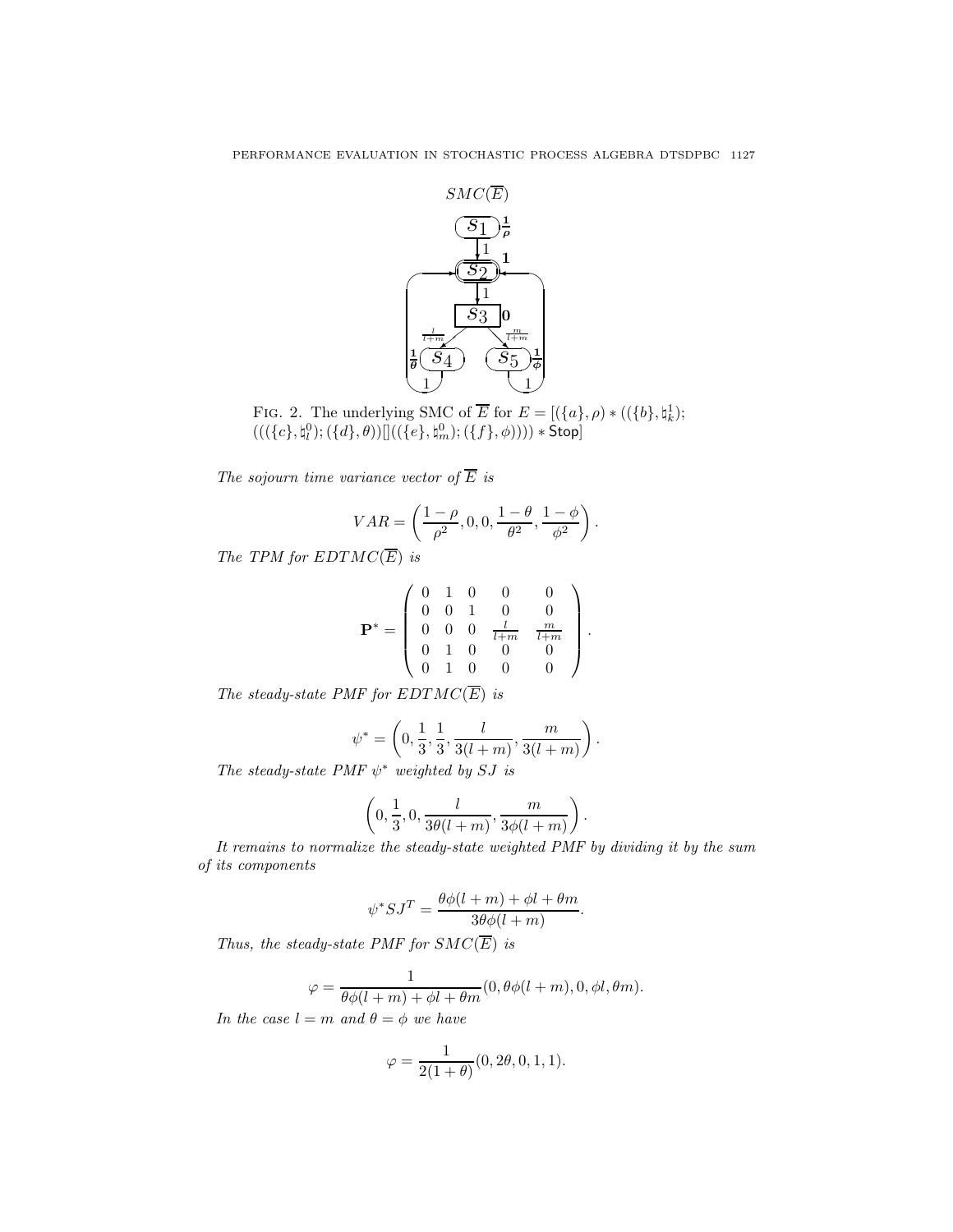

FIG. 2. The underlying SMC of  $\overline{E}$  for  $E = [(\lbrace a \rbrace, \rho) * ((\lbrace b \rbrace, \natural_k^1);$  $(((\lbrace c \rbrace , \natural_i^0); (\lbrace d \rbrace , \theta))[] ((\lbrace e \rbrace , \natural_m^0); (\lbrace f \rbrace , \phi)))) * \mathsf{Stop}]$ 

The sojourn time variance vector of  $\overline{E}$  is

$$
VAR = \left(\frac{1-\rho}{\rho^2}, 0, 0, \frac{1-\theta}{\theta^2}, \frac{1-\phi}{\phi^2}\right).
$$

The TPM for  $EDTMC(\overline{E})$  is

$$
\mathbf{P}^* = \left(\begin{array}{cccc} 0 & 1 & 0 & 0 & 0 \\ 0 & 0 & 1 & 0 & 0 \\ 0 & 0 & 0 & \frac{l}{l+m} & \frac{m}{l+m} \\ 0 & 1 & 0 & 0 & 0 \\ 0 & 1 & 0 & 0 & 0 \end{array}\right)
$$

.

.

The steady-state PMF for  $EDTMC(\overline{E})$  is

$$
\psi^* = \left(0, \frac{1}{3}, \frac{1}{3}, \frac{l}{3(l+m)}, \frac{m}{3(l+m)}\right).
$$

The steady-state PMF  $\psi^*$  weighted by SJ is

$$
\left(0,\frac{1}{3},0,\frac{l}{3\theta(l+m)},\frac{m}{3\phi(l+m)}\right)
$$

It remains to normalize the steady-state weighted PMF by dividing it by the sum of its components

$$
\psi^* SJ^T = \frac{\theta \phi(l+m) + \phi l + \theta m}{3\theta \phi(l+m)}.
$$

Thus, the steady-state PMF for  $SMC(\overline{E})$  is

$$
\varphi = \frac{1}{\theta \phi(l+m) + \phi l + \theta m}(0, \theta \phi(l+m), 0, \phi l, \theta m).
$$

In the case  $l = m$  and  $\theta = \phi$  we have

$$
\varphi = \frac{1}{2(1+\theta)}(0, 2\theta, 0, 1, 1).
$$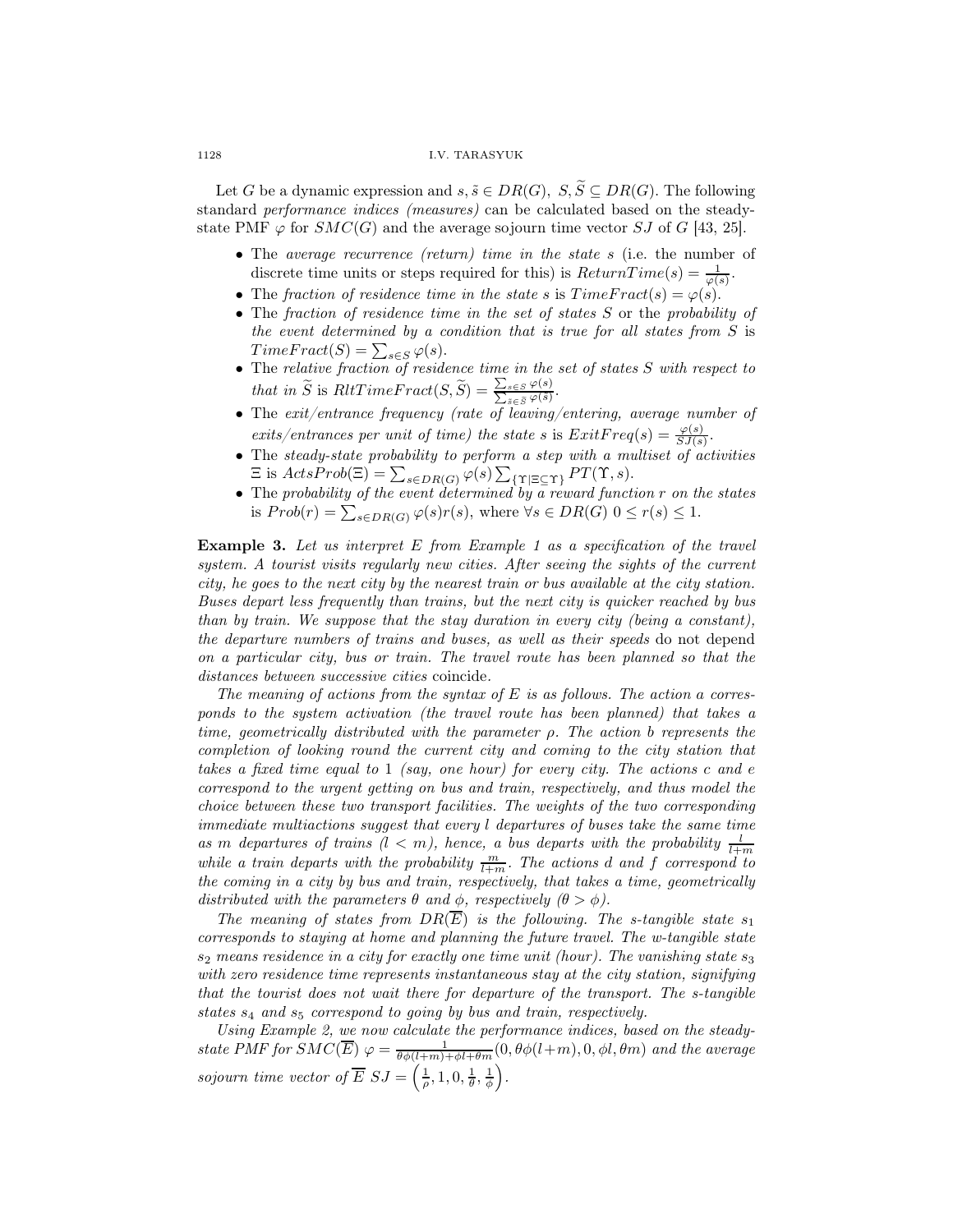Let G be a dynamic expression and  $s, \tilde{s} \in DR(G), S, \tilde{S} \subseteq DR(G)$ . The following standard performance indices (measures) can be calculated based on the steadystate PMF  $\varphi$  for  $SMC(G)$  and the average sojourn time vector SJ of G [43, 25].

- The average recurrence (return) time in the state s (i.e. the number of discrete time units or steps required for this) is  $ReturnTime(s) = \frac{1}{\varphi(s)}$ .
- The fraction of residence time in the state s is  $Time Fract(s) = \varphi(s)$ .
- The fraction of residence time in the set of states S or the probability of the event determined by a condition that is true for all states from  $S$  is  $Time Fract(S) = \sum_{s \in S} \varphi(s).$
- The relative fraction of residence time in the set of states S with respect to that in  $\widetilde{S}$  is  $RltTimeF$  ract $(S, \widetilde{S}) = \frac{\sum_{s \in S} \varphi(s)}{\sum_{\tilde{s} \in \tilde{S}} \varphi(\tilde{s})}$ .
- The exit/entrance frequency (rate of leaving/entering, average number of exits/entrances per unit of time) the state s is  $ExitFreq(s) = \frac{\varphi(s)}{SJ(s)}$ .
- The steady-state probability to perform a step with a multiset of activities  $\Xi$  is  $ActsProb(\Xi) = \sum_{s \in DR(G)} \varphi(s) \sum_{\{\Upsilon \mid \Xi \subseteq \Upsilon\}} PT(\Upsilon, s).$
- The probability of the event determined by a reward function r on the states is  $Prob(r) = \sum_{s \in DR(G)} \varphi(s)r(s)$ , where  $\forall s \in DR(G)$   $0 \leq r(s) \leq 1$ .

**Example 3.** Let us interpret  $E$  from Example 1 as a specification of the travel system. A tourist visits regularly new cities. After seeing the sights of the current city, he goes to the next city by the nearest train or bus available at the city station. Buses depart less frequently than trains, but the next city is quicker reached by bus than by train. We suppose that the stay duration in every city (being a constant), the departure numbers of trains and buses, as well as their speeds do not depend on a particular city, bus or train. The travel route has been planned so that the distances between successive cities coincide.

The meaning of actions from the syntax of  $E$  is as follows. The action a corresponds to the system activation (the travel route has been planned) that takes a time, geometrically distributed with the parameter  $\rho$ . The action b represents the completion of looking round the current city and coming to the city station that takes a fixed time equal to 1 (say, one hour) for every city. The actions c and e correspond to the urgent getting on bus and train, respectively, and thus model the choice between these two transport facilities. The weights of the two corresponding immediate multiactions suggest that every l departures of buses take the same time as m departures of trains  $(l < m)$ , hence, a bus departs with the probability  $\frac{l}{l+m}$ while a train departs with the probability  $\frac{m}{l+m}$ . The actions d and f correspond to the coming in a city by bus and train, respectively, that takes a time, geometrically distributed with the parameters  $\theta$  and  $\phi$ , respectively  $(\theta > \phi)$ .

The meaning of states from  $DR(\overline{E})$  is the following. The s-tangible state  $s_1$ corresponds to staying at home and planning the future travel. The w-tangible state  $s_2$  means residence in a city for exactly one time unit (hour). The vanishing state  $s_3$ with zero residence time represents instantaneous stay at the city station, signifying that the tourist does not wait there for departure of the transport. The s-tangible states  $s_4$  and  $s_5$  correspond to going by bus and train, respectively.

Using Example 2, we now calculate the performance indices, based on the steadystate PMF for  $SMC(\overline{E}) \varphi = \frac{1}{\theta \phi(l+m)+\phi l+\theta m}(0, \theta \phi(l+m), 0, \phi l, \theta m)$  and the average sojourn time vector of  $\overline{E} S J = \left(\frac{1}{\rho}, 1, 0, \frac{1}{\theta}, \frac{1}{\phi}\right)$ .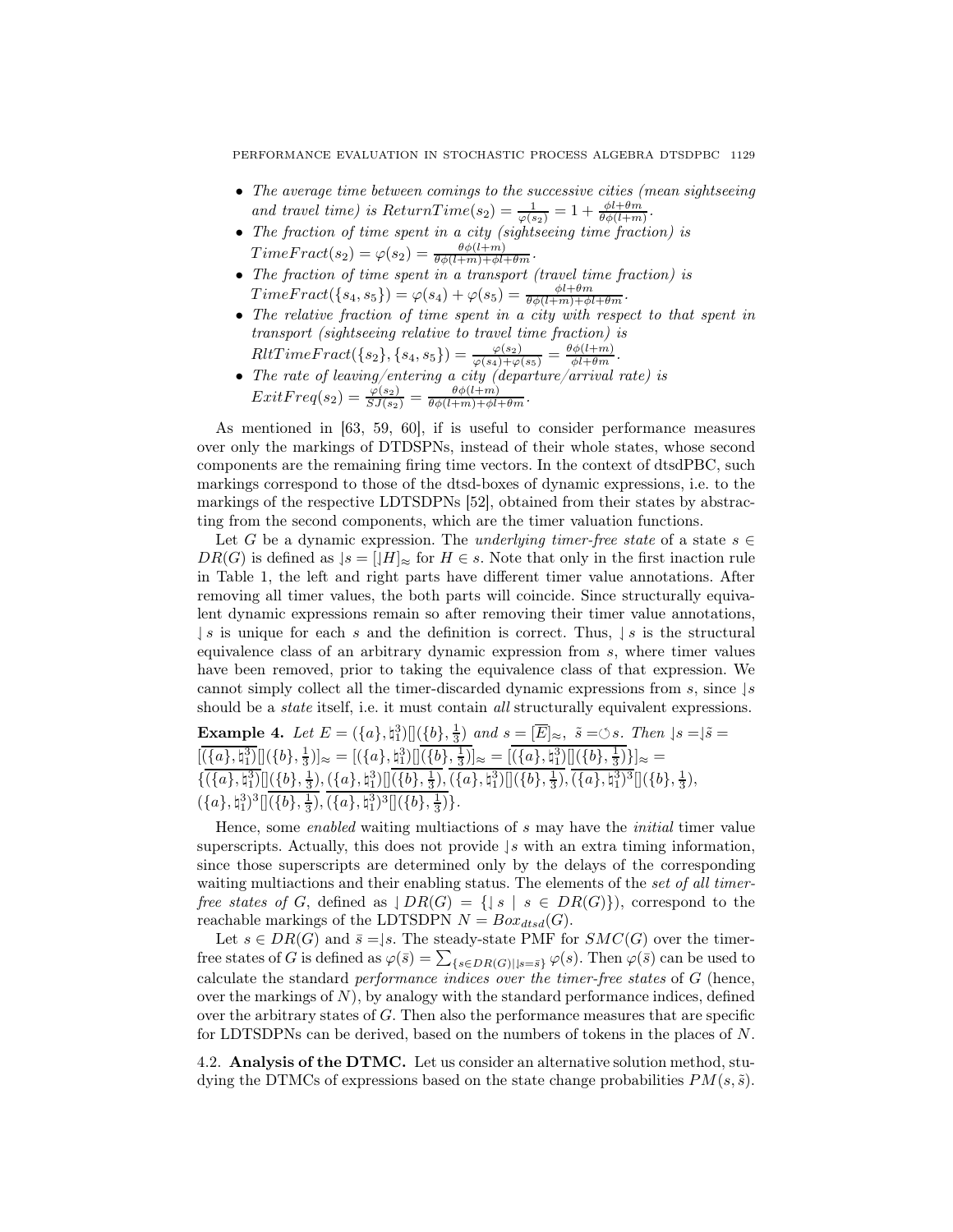- The average time between comings to the successive cities (mean sightseeing and travel time) is  $ReturnTime(s_2) = \frac{1}{\varphi(s_2)} = 1 + \frac{\phi l + \theta m}{\theta \phi(l+m)}$ .
- The fraction of time spent in a city (sightseeing time fraction) is  $Time Fract(s_2) = \varphi(s_2) = \frac{\theta \phi(l+m)}{\theta \phi(l+m) + \phi l + \theta m}.$
- The fraction of time spent in a transport (travel time fraction) is  $Time Fract({s_4, s_5}) = \varphi(s_4) + \varphi(s_5) = \frac{\phi l + \theta m}{\theta \phi(l+m) + \phi l + \theta m}.$
- The relative fraction of time spent in a city with respect to that spent in transport (sightseeing relative to travel time fraction) is  $RltTime Fract({s_2}, {s_4, s_5}) = \frac{\varphi(s_2)}{\varphi(s_4) + \varphi(s_5)} = \frac{\theta \phi(l+m)}{\phi l+\theta m}.$
- The rate of leaving/entering a city (departure/arrival rate) is  $ExitFreq(s_2) = \frac{\varphi(s_2)}{SJ(s_2)} = \frac{\theta\phi(l+m)}{\theta\phi(l+m)+\phi l+\theta m}.$

As mentioned in [63, 59, 60], if is useful to consider performance measures over only the markings of DTDSPNs, instead of their whole states, whose second components are the remaining firing time vectors. In the context of dtsdPBC, such markings correspond to those of the dtsd-boxes of dynamic expressions, i.e. to the markings of the respective LDTSDPNs [52], obtained from their states by abstracting from the second components, which are the timer valuation functions.

Let G be a dynamic expression. The underlying timer-free state of a state  $s \in$  $DR(G)$  is defined as  $|s = |H|_{\infty}$  for  $H \in s$ . Note that only in the first inaction rule in Table 1, the left and right parts have different timer value annotations. After removing all timer values, the both parts will coincide. Since structurally equivalent dynamic expressions remain so after removing their timer value annotations,  $\downarrow s$  is unique for each s and the definition is correct. Thus,  $\downarrow s$  is the structural equivalence class of an arbitrary dynamic expression from s, where timer values have been removed, prior to taking the equivalence class of that expression. We cannot simply collect all the timer-discarded dynamic expressions from s, since  $\frac{1}{s}$ should be a *state* itself, i.e. it must contain *all* structurally equivalent expressions.

**Example 4.** Let  $E = (\{a\}, \{a\}) [](\{b\}, \frac{1}{3})$  and  $s = [\overline{E}]_{\approx}$ ,  $\tilde{s} = \circlearrowleft s$ . Then  $|s = |\tilde{s} = \tilde{s}|$ **Example 4:**  $\text{Let } L = ((u_1, u_1) \cup (v_1, v_3) \text{ and } s = |L| \approx, s = 0.3$ . Then<br>  $[(a), \frac{1}{3})] \cup [(b), \frac{1}{3})] \approx = [((a), \frac{1}{3})] \cup [(b), \frac{1}{3})] \approx = [((a), \frac{1}{3})] \cup [(b), \frac{1}{3})] \approx =$  $\{\overline{(\{a\},\natural_1^3)}\}[(\{b\},\frac{1}{3}),(\{a\},\natural_1^3)][(\{b\},\frac{1}{3}),(\{a\},\natural_1^3)][(\{b\},\frac{1}{3}),(\overline{\{a\},\natural_1^3)^3}][(\{b\},\frac{1}{3}),$  $({a}, \natural_1^3)^3[]( {b}, \frac{1}{3}), ( {a}, \natural_1^3)^3[]( {b}, \frac{1}{3})$ 

Hence, some *enabled* waiting multiactions of s may have the *initial* timer value superscripts. Actually, this does not provide  $|s|$  with an extra timing information, since those superscripts are determined only by the delays of the corresponding waiting multiactions and their enabling status. The elements of the set of all timerfree states of G, defined as  $\bigcup R(G) = \{ |s | s \in DR(G) \} \big)$ , correspond to the reachable markings of the LDTSDPN  $N = Box_{dtsd}(G)$ .

Let  $s \in DR(G)$  and  $\overline{s} = \downharpoonleft s$ . The steady-state PMF for  $SMC(G)$  over the timerfree states of G is defined as  $\varphi(\bar{s}) = \sum_{\{s \in DR(G)| | s=\bar{s}\}} \varphi(s)$ . Then  $\varphi(\bar{s})$  can be used to calculate the standard performance indices over the timer-free states of G (hence, over the markings of  $N$ ), by analogy with the standard performance indices, defined over the arbitrary states of  $G$ . Then also the performance measures that are specific for LDTSDPNs can be derived, based on the numbers of tokens in the places of N.

4.2. Analysis of the DTMC. Let us consider an alternative solution method, studying the DTMCs of expressions based on the state change probabilities  $PM(s, \tilde{s})$ .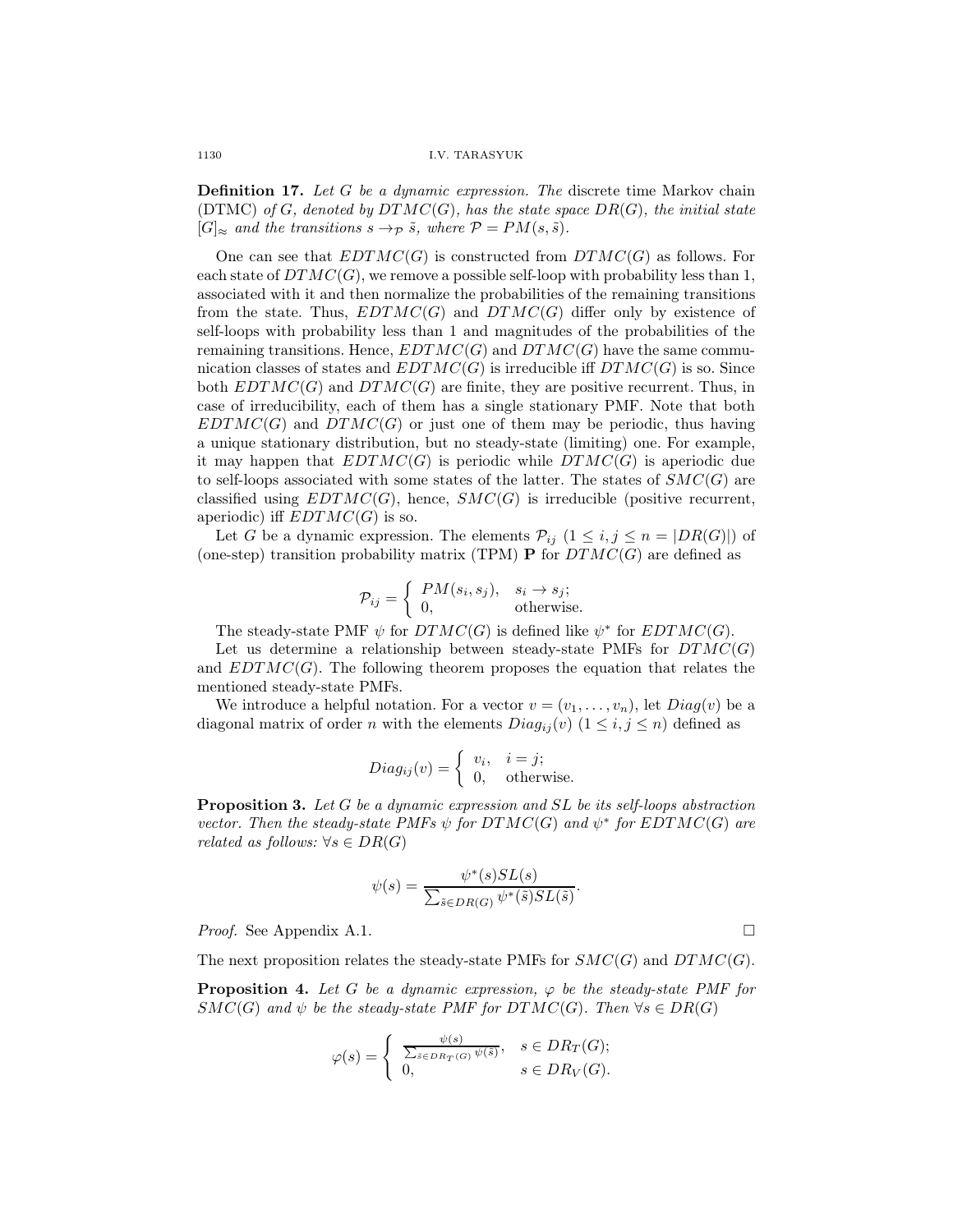**Definition 17.** Let G be a dynamic expression. The discrete time Markov chain (DTMC) of G, denoted by  $DTMC(G)$ , has the state space  $DR(G)$ , the initial state  $[G]_{\approx}$  and the transitions  $s \to_{\mathcal{P}} \tilde{s}$ , where  $\mathcal{P} = PM(s, \tilde{s})$ .

One can see that  $EDTMC(G)$  is constructed from  $DTMC(G)$  as follows. For each state of  $DTMC(G)$ , we remove a possible self-loop with probability less than 1, associated with it and then normalize the probabilities of the remaining transitions from the state. Thus,  $EDTMC(G)$  and  $DTMC(G)$  differ only by existence of self-loops with probability less than 1 and magnitudes of the probabilities of the remaining transitions. Hence,  $EDTMC(G)$  and  $DTMC(G)$  have the same communication classes of states and  $EDTMC(G)$  is irreducible iff  $DTMC(G)$  is so. Since both  $EDTMC(G)$  and  $DTMC(G)$  are finite, they are positive recurrent. Thus, in case of irreducibility, each of them has a single stationary PMF. Note that both  $EDTMC(G)$  and  $DTMC(G)$  or just one of them may be periodic, thus having a unique stationary distribution, but no steady-state (limiting) one. For example, it may happen that  $EDTMC(G)$  is periodic while  $DTMC(G)$  is aperiodic due to self-loops associated with some states of the latter. The states of  $SMC(G)$  are classified using  $EDTMC(G)$ , hence,  $SMC(G)$  is irreducible (positive recurrent, aperiodic) iff  $EDTMC(G)$  is so.

Let G be a dynamic expression. The elements  $\mathcal{P}_{ij}$   $(1 \leq i, j \leq n = |DR(G)|)$  of (one-step) transition probability matrix (TPM) **P** for  $DTMC(G)$  are defined as

$$
\mathcal{P}_{ij} = \begin{cases} PM(s_i, s_j), & s_i \to s_j; \\ 0, & \text{otherwise.} \end{cases}
$$

The steady-state PMF  $\psi$  for  $DTMC(G)$  is defined like  $\psi^*$  for  $EDTMC(G)$ .

Let us determine a relationship between steady-state PMFs for  $DTMC(G)$ and  $EDTMC(G)$ . The following theorem proposes the equation that relates the mentioned steady-state PMFs.

We introduce a helpful notation. For a vector  $v = (v_1, \ldots, v_n)$ , let  $Diag(v)$  be a diagonal matrix of order n with the elements  $Diag_{ij}(v)$   $(1 \leq i, j \leq n)$  defined as

$$
Diag_{ij}(v) = \begin{cases} v_i, & i = j; \\ 0, & \text{otherwise.} \end{cases}
$$

**Proposition 3.** Let G be a dynamic expression and SL be its self-loops abstraction vector. Then the steady-state PMFs  $\psi$  for  $DTMC(G)$  and  $\psi^*$  for  $EDTMC(G)$  are related as follows:  $\forall s \in DR(G)$ 

$$
\psi(s) = \frac{\psi^*(s)SL(s)}{\sum_{\tilde{s} \in DR(G)} \psi^*(\tilde{s})SL(\tilde{s})}.
$$

*Proof.* See Appendix A.1. □

The next proposition relates the steady-state PMFs for  $SMC(G)$  and  $DTMC(G)$ .

**Proposition 4.** Let G be a dynamic expression,  $\varphi$  be the steady-state PMF for  $SMC(G)$  and  $\psi$  be the steady-state PMF for DTMC(G). Then  $\forall s \in DR(G)$ 

$$
\varphi(s) = \begin{cases} \frac{\psi(s)}{\sum_{\tilde{s} \in DR_T(G)} \psi(\tilde{s})}, & s \in DR_T(G); \\ 0, & s \in DR_V(G). \end{cases}
$$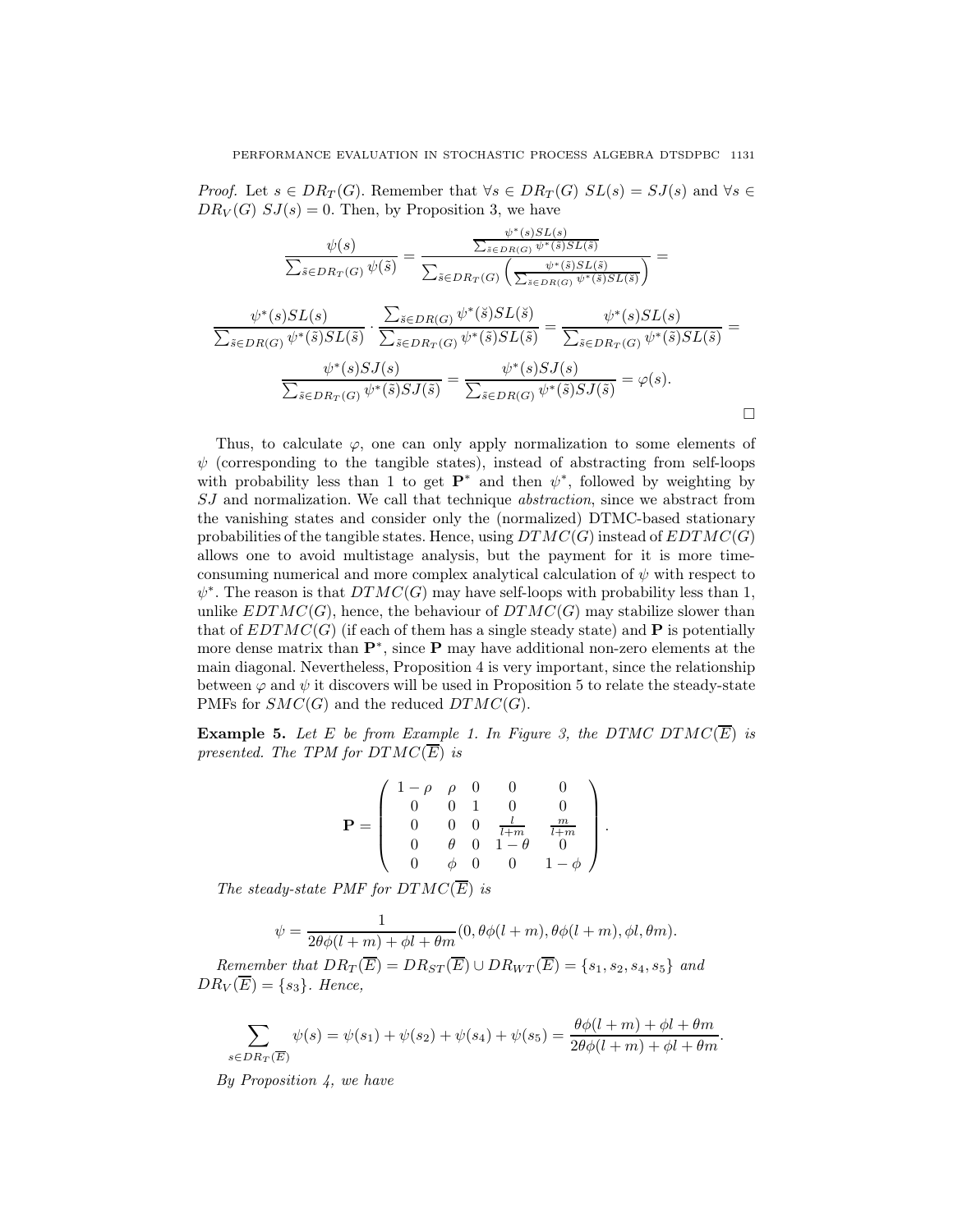*Proof.* Let  $s \in DR_T(G)$ . Remember that  $\forall s \in DR_T(G)$   $SL(s) = SJ(s)$  and  $\forall s \in$  $DR_V(G)$   $SJ(s) = 0$ . Then, by Proposition 3, we have

$$
\frac{\psi(s)}{\sum_{\tilde{s}\in DR_T(G)}\psi(\tilde{s})} = \frac{\frac{\psi^*(s)SL(s)}{\sum_{\tilde{s}\in DR_T(G)}\psi^*(\tilde{s})SL(\tilde{s})}}{\sum_{\tilde{s}\in DR_T(G)}\left(\frac{\psi^*(\tilde{s})SL(\tilde{s})}{\sum_{\tilde{s}\in DR(G)}\psi^*(\tilde{s})SL(\tilde{s})}\right)} = \frac{\psi^*(s)SL(s)}{\sum_{\tilde{s}\in DR(G)}\psi^*(\tilde{s})SL(\tilde{s})} \cdot \frac{\sum_{\tilde{s}\in DR_T(G)}\psi^*(\tilde{s})SL(\tilde{s})}{\sum_{\tilde{s}\in DR_T(G)}\psi^*(\tilde{s})SL(\tilde{s})} = \frac{\psi^*(s)SL(s)}{\sum_{\tilde{s}\in DR_T(G)}\psi^*(\tilde{s})SL(\tilde{s})} = \frac{\psi^*(s)SL(s)}{\sum_{\tilde{s}\in DR_T(G)}\psi^*(\tilde{s})SL(\tilde{s})} = \varphi(s).
$$

Thus, to calculate  $\varphi$ , one can only apply normalization to some elements of  $\psi$  (corresponding to the tangible states), instead of abstracting from self-loops with probability less than 1 to get  $\mathbf{P}^*$  and then  $\psi^*$ , followed by weighting by SJ and normalization. We call that technique abstraction, since we abstract from the vanishing states and consider only the (normalized) DTMC-based stationary probabilities of the tangible states. Hence, using  $DTMC(G)$  instead of  $EDTMC(G)$ allows one to avoid multistage analysis, but the payment for it is more timeconsuming numerical and more complex analytical calculation of  $\psi$  with respect to  $\psi^*$ . The reason is that  $DTMC(G)$  may have self-loops with probability less than 1, unlike  $EDTMC(G)$ , hence, the behaviour of  $DTMC(G)$  may stabilize slower than that of  $EDTMC(G)$  (if each of them has a single steady state) and **P** is potentially more dense matrix than P<sup>∗</sup> , since P may have additional non-zero elements at the main diagonal. Nevertheless, Proposition 4 is very important, since the relationship between  $\varphi$  and  $\psi$  it discovers will be used in Proposition 5 to relate the steady-state PMFs for  $SMC(G)$  and the reduced  $DTMC(G)$ .

**Example 5.** Let E be from Example 1. In Figure 3, the DTMC DTMC( $\overline{E}$ ) is presented. The TPM for  $DTMC(\overline{E})$  is

$$
\mathbf{P} = \left( \begin{array}{cccccc} 1-\rho & \rho & 0 & 0 & 0 \\ 0 & 0 & 1 & 0 & 0 \\ 0 & 0 & 0 & \frac{l}{l+m} & \frac{m}{l+m} \\ 0 & \theta & 0 & 1-\theta & 0 \\ 0 & \phi & 0 & 0 & 1-\phi \end{array} \right).
$$

The steady-state PMF for  $DTMC(\overline{E})$  is

$$
\psi = \frac{1}{2\theta\phi(l+m)+\phi l+\theta m}(0, \theta\phi(l+m), \theta\phi(l+m), \phi l, \theta m).
$$

Remember that  $DR_T(\overline{E}) = DR_{ST}(\overline{E}) \cup DR_{WT}(\overline{E}) = \{s_1, s_2, s_4, s_5\}$  and  $DR_V(\overline{E}) = \{s_3\}.$  Hence,

$$
\sum_{s \in DR_T(\overline{E})} \psi(s) = \psi(s_1) + \psi(s_2) + \psi(s_4) + \psi(s_5) = \frac{\theta \phi(l+m) + \phi l + \theta m}{2\theta \phi(l+m) + \phi l + \theta m}.
$$

By Proposition 4, we have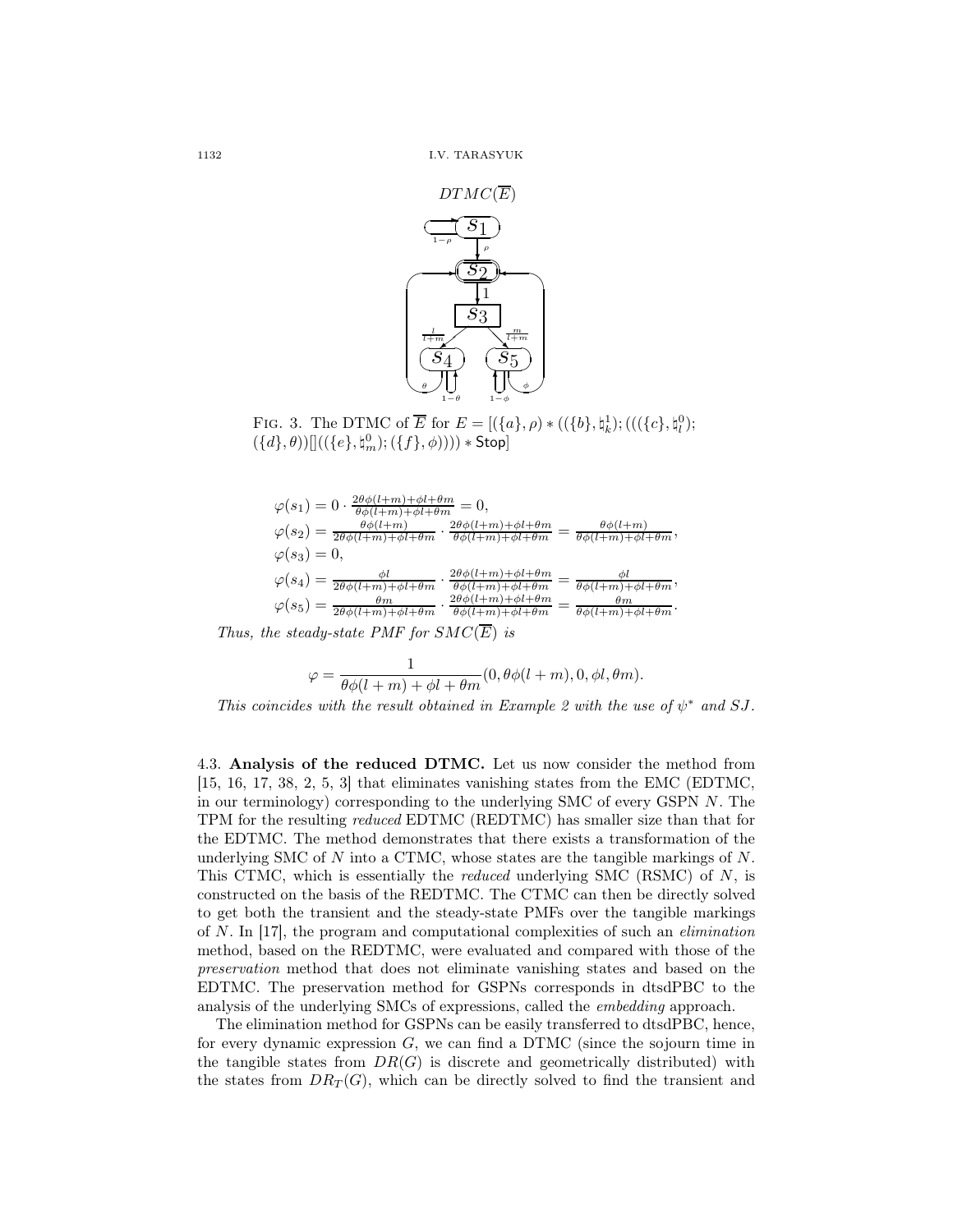

FIG. 3. The DTMC of  $\overline{E}$  for  $E = [({a}, \rho) * (({b}, \natural_k^1); ((({c}, \natural_k^0);$  $(\{d\},\theta))[]((\{e\},\natural_m^0);(\{f\},\phi)))) * \mathsf{Stop}]$ 

$$
\varphi(s_1) = 0 \cdot \frac{2\theta\phi(l+m) + \phi l + \theta m}{\theta\phi(l+m) + \phi l + \theta m} = 0,
$$
  
\n
$$
\varphi(s_2) = \frac{\theta\phi(l+m)}{2\theta\phi(l+m) + \phi l + \theta m} \cdot \frac{2\theta\phi(l+m) + \phi l + \theta m}{\theta\phi(l+m) + \phi l + \theta m} = \frac{\theta\phi(l+m)}{\theta\phi(l+m) + \phi l + \theta m},
$$
  
\n
$$
\varphi(s_3) = 0,
$$
  
\n
$$
\varphi(s_4) = \frac{\phi l}{2\theta\phi(l+m) + \phi l + \theta m} \cdot \frac{2\theta\phi(l+m) + \phi l + \theta m}{\theta\phi(l+m) + \phi l + \theta m} = \frac{\phi l}{\theta\phi(l+m) + \phi l + \theta m},
$$
  
\n
$$
\varphi(s_5) = \frac{\theta m}{2\theta\phi(l+m) + \phi l + \theta m} \cdot \frac{2\theta\phi(l+m) + \phi l + \theta m}{\theta\phi(l+m) + \phi l + \theta m} = \frac{\theta m}{\theta\phi(l+m) + \phi l + \theta m}.
$$

Thus, the steady-state PMF for  $SMC(\overline{E})$  is

$$
\varphi = \frac{1}{\theta \phi(l+m) + \phi l + \theta m}(0, \theta \phi(l+m), 0, \phi l, \theta m).
$$

This coincides with the result obtained in Example 2 with the use of  $\psi^*$  and SJ.

4.3. Analysis of the reduced DTMC. Let us now consider the method from [15, 16, 17, 38, 2, 5, 3] that eliminates vanishing states from the EMC (EDTMC, in our terminology) corresponding to the underlying SMC of every GSPN N. The TPM for the resulting reduced EDTMC (REDTMC) has smaller size than that for the EDTMC. The method demonstrates that there exists a transformation of the underlying SMC of  $N$  into a CTMC, whose states are the tangible markings of  $N$ . This CTMC, which is essentially the reduced underlying SMC (RSMC) of N, is constructed on the basis of the REDTMC. The CTMC can then be directly solved to get both the transient and the steady-state PMFs over the tangible markings of N. In [17], the program and computational complexities of such an elimination method, based on the REDTMC, were evaluated and compared with those of the preservation method that does not eliminate vanishing states and based on the EDTMC. The preservation method for GSPNs corresponds in dtsdPBC to the analysis of the underlying SMCs of expressions, called the embedding approach.

The elimination method for GSPNs can be easily transferred to dtsdPBC, hence, for every dynamic expression  $G$ , we can find a DTMC (since the sojourn time in the tangible states from  $DR(G)$  is discrete and geometrically distributed) with the states from  $DR_T(G)$ , which can be directly solved to find the transient and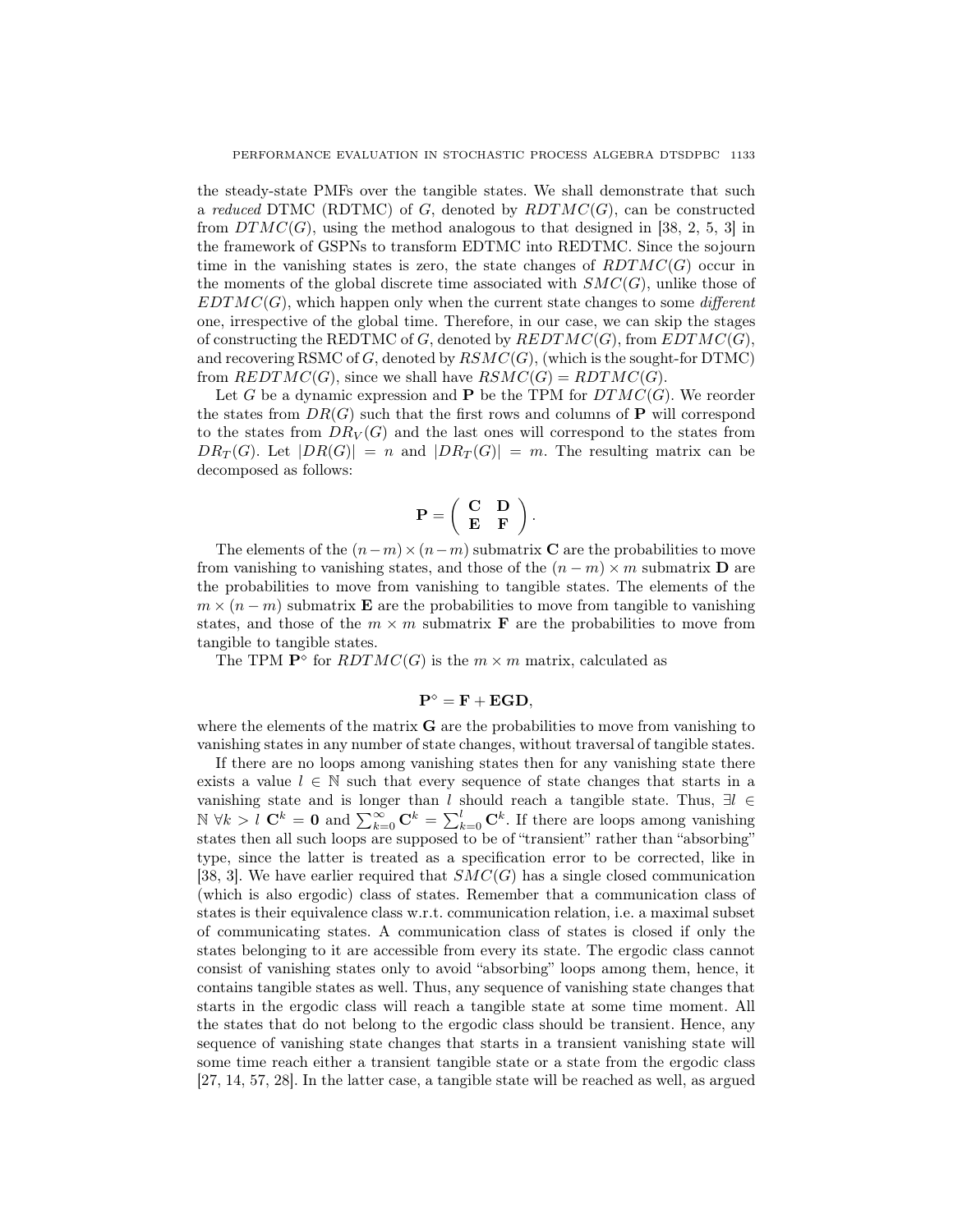the steady-state PMFs over the tangible states. We shall demonstrate that such a reduced DTMC (RDTMC) of G, denoted by  $RDTMC(G)$ , can be constructed from  $DTMC(G)$ , using the method analogous to that designed in [38, 2, 5, 3] in the framework of GSPNs to transform EDTMC into REDTMC. Since the sojourn time in the vanishing states is zero, the state changes of  $RDTMC(G)$  occur in the moments of the global discrete time associated with  $SMC(G)$ , unlike those of  $EDTMC(G)$ , which happen only when the current state changes to some *different* one, irrespective of the global time. Therefore, in our case, we can skip the stages of constructing the REDTMC of G, denoted by  $REDTMC(G)$ , from  $EDTMC(G)$ , and recovering RSMC of  $G$ , denoted by  $RSMC(G)$ , (which is the sought-for DTMC) from  $REDTMC(G)$ , since we shall have  $RSMC(G) = RDTMC(G)$ .

Let G be a dynamic expression and  $P$  be the TPM for  $DTMC(G)$ . We reorder the states from  $DR(G)$  such that the first rows and columns of **P** will correspond to the states from  $DR_V(G)$  and the last ones will correspond to the states from  $DR_T(G)$ . Let  $|DR(G)| = n$  and  $|DR_T(G)| = m$ . The resulting matrix can be decomposed as follows:

$$
\mathbf{P} = \left( \begin{array}{cc} \mathbf{C} & \mathbf{D} \\ \mathbf{E} & \mathbf{F} \end{array} \right).
$$

The elements of the  $(n-m)\times(n-m)$  submatrix C are the probabilities to move from vanishing to vanishing states, and those of the  $(n - m) \times m$  submatrix **D** are the probabilities to move from vanishing to tangible states. The elements of the  $m \times (n-m)$  submatrix **E** are the probabilities to move from tangible to vanishing states, and those of the  $m \times m$  submatrix **F** are the probabilities to move from tangible to tangible states.

The TPM  $\mathbf{P}^{\diamond}$  for  $\mathit{RDTMC}(G)$  is the  $m \times m$  matrix, calculated as

$$
\mathbf{P}^{\diamond} = \mathbf{F} + \mathbf{EGD},
$$

where the elements of the matrix  $\bf{G}$  are the probabilities to move from vanishing to vanishing states in any number of state changes, without traversal of tangible states.

If there are no loops among vanishing states then for any vanishing state there exists a value  $l \in \mathbb{N}$  such that every sequence of state changes that starts in a vanishing state and is longer than l should reach a tangible state. Thus,  $\exists l \in$ N ∀k > l C<sup>k</sup> = 0 and  $\sum_{k=0}^{\infty}$  C<sup>k</sup> =  $\sum_{k=0}^{l}$  C<sup>k</sup>. If there are loops among vanishing states then all such loops are supposed to be of "transient" rather than "absorbing" type, since the latter is treated as a specification error to be corrected, like in [38, 3]. We have earlier required that  $SMC(G)$  has a single closed communication (which is also ergodic) class of states. Remember that a communication class of states is their equivalence class w.r.t. communication relation, i.e. a maximal subset of communicating states. A communication class of states is closed if only the states belonging to it are accessible from every its state. The ergodic class cannot consist of vanishing states only to avoid "absorbing" loops among them, hence, it contains tangible states as well. Thus, any sequence of vanishing state changes that starts in the ergodic class will reach a tangible state at some time moment. All the states that do not belong to the ergodic class should be transient. Hence, any sequence of vanishing state changes that starts in a transient vanishing state will some time reach either a transient tangible state or a state from the ergodic class [27, 14, 57, 28]. In the latter case, a tangible state will be reached as well, as argued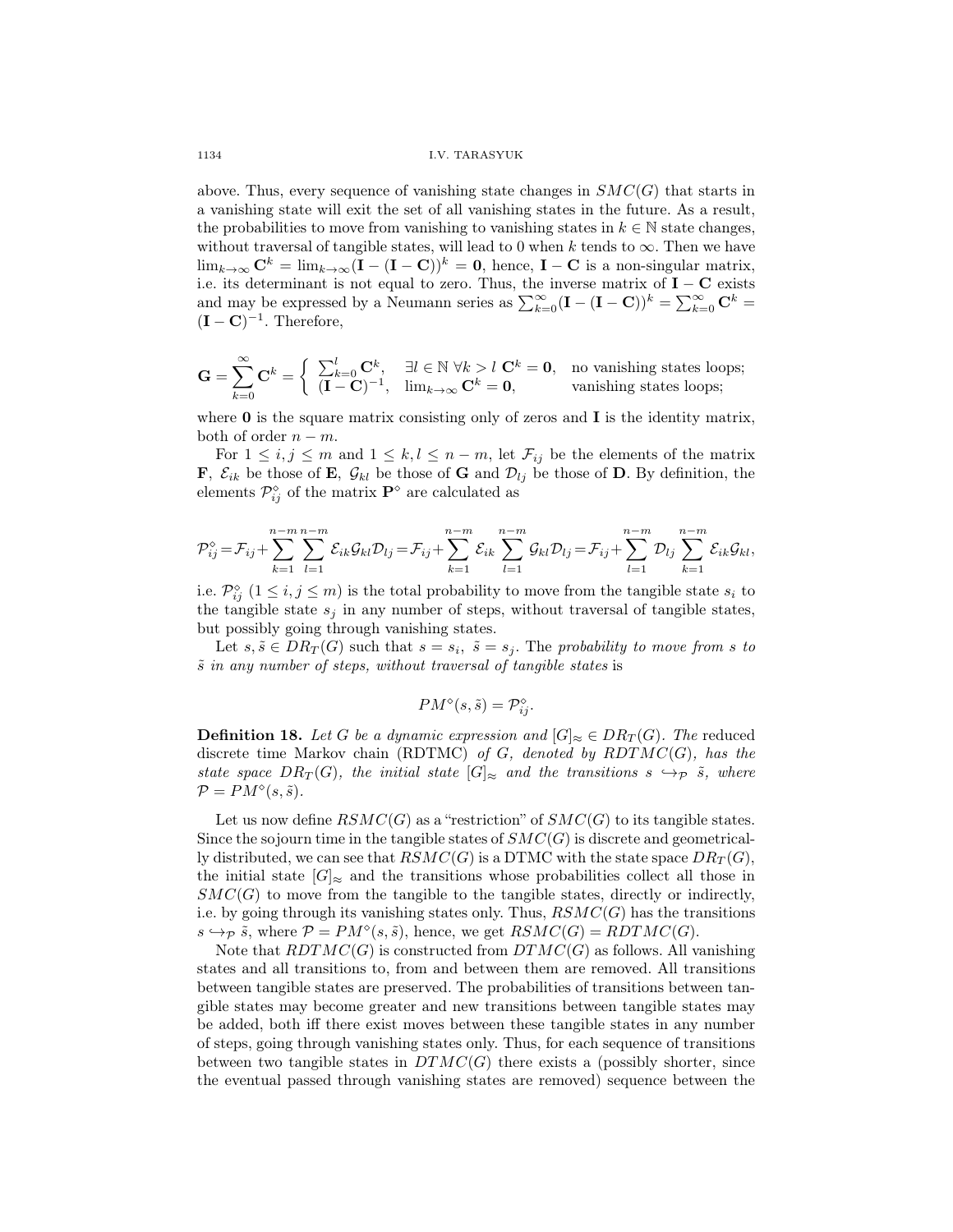above. Thus, every sequence of vanishing state changes in  $SMC(G)$  that starts in a vanishing state will exit the set of all vanishing states in the future. As a result, the probabilities to move from vanishing to vanishing states in  $k \in \mathbb{N}$  state changes, without traversal of tangible states, will lead to 0 when k tends to  $\infty$ . Then we have  $\lim_{k\to\infty} \mathbf{C}^k = \lim_{k\to\infty} (\mathbf{I} - (\mathbf{I} - \mathbf{C}))^k = \mathbf{0}$ , hence,  $\mathbf{I} - \mathbf{C}$  is a non-singular matrix, i.e. its determinant is not equal to zero. Thus, the inverse matrix of  $\mathbf{I} - \mathbf{C}$  exists and may be expressed by a Neumann series as  $\sum_{k=0}^{\infty} (\mathbf{I} - (\mathbf{I} - \mathbf{C}))^k = \sum_{k=0}^{\infty} \mathbf{C}^k$  $(I - C)^{-1}$ . Therefore,

$$
\mathbf{G} = \sum_{k=0}^{\infty} \mathbf{C}^k = \begin{cases} \sum_{k=0}^{l} \mathbf{C}^k, & \exists l \in \mathbb{N} \; \forall k > l \; \mathbf{C}^k = \mathbf{0}, & \text{no vanishing states loops;} \\ (\mathbf{I} - \mathbf{C})^{-1}, & \lim_{k \to \infty} \mathbf{C}^k = \mathbf{0}, & \text{vanishing states loops;} \end{cases}
$$

where  $\bf{0}$  is the square matrix consisting only of zeros and  $\bf{I}$  is the identity matrix, both of order  $n - m$ .

For  $1 \leq i, j \leq m$  and  $1 \leq k, l \leq n-m$ , let  $\mathcal{F}_{ij}$  be the elements of the matrix **F**,  $\mathcal{E}_{ik}$  be those of **E**,  $\mathcal{G}_{kl}$  be those of **G** and  $\mathcal{D}_{lj}$  be those of **D**. By definition, the elements  $\mathcal{P}_{ij}^{\diamond}$  of the matrix  $\mathbf{P}^{\diamond}$  are calculated as

$$
\mathcal{P}_{ij}^{\circ} = \mathcal{F}_{ij} + \sum_{k=1}^{n-m} \sum_{l=1}^{n-m} \mathcal{E}_{ik} \mathcal{G}_{kl} \mathcal{D}_{lj} = \mathcal{F}_{ij} + \sum_{k=1}^{n-m} \mathcal{E}_{ik} \sum_{l=1}^{n-m} \mathcal{G}_{kl} \mathcal{D}_{lj} = \mathcal{F}_{ij} + \sum_{l=1}^{n-m} \mathcal{D}_{lj} \sum_{k=1}^{n-m} \mathcal{E}_{ik} \mathcal{G}_{kl},
$$

i.e.  $\mathcal{P}_{ij}^{\diamond}$   $(1 \leq i, j \leq m)$  is the total probability to move from the tangible state  $s_i$  to the tangible state  $s_j$  in any number of steps, without traversal of tangible states, but possibly going through vanishing states.

Let  $s, \tilde{s} \in DR_T(G)$  such that  $s = s_i$ ,  $\tilde{s} = s_j$ . The probability to move from s to  $\tilde{s}$  in any number of steps, without traversal of tangible states is

$$
PM^{\diamond}(s,\tilde{s}) = \mathcal{P}_{ij}^{\diamond}.
$$

**Definition 18.** Let G be a dynamic expression and  $[G]_{\approx} \in DR_T(G)$ . The reduced discrete time Markov chain (RDTMC) of  $G$ , denoted by  $RDTMC(G)$ , has the state space  $DR_T(G)$ , the initial state  $[G]_{\approx}$  and the transitions  $s \hookrightarrow_{\mathcal{P}} \tilde{s}$ , where  $\mathcal{P} = PM^{\diamond}(s, \tilde{s}).$ 

Let us now define  $\mathit{RSMC}(G)$  as a "restriction" of  $\mathit{SMC}(G)$  to its tangible states. Since the sojourn time in the tangible states of  $SMC(G)$  is discrete and geometrically distributed, we can see that  $\overline{RSMC}(G)$  is a DTMC with the state space  $DR_T(G)$ , the initial state  $|G|_{\approx}$  and the transitions whose probabilities collect all those in  $SMC(G)$  to move from the tangible to the tangible states, directly or indirectly, i.e. by going through its vanishing states only. Thus,  $\mathcal{RSMC}(G)$  has the transitions  $s \hookrightarrow_{\mathcal{P}} \tilde{s}$ , where  $\mathcal{P} = PM^{\diamond}(s, \tilde{s})$ , hence, we get  $RSMC(G) = RDTMC(G)$ .

Note that  $RDTMC(G)$  is constructed from  $DTMC(G)$  as follows. All vanishing states and all transitions to, from and between them are removed. All transitions between tangible states are preserved. The probabilities of transitions between tangible states may become greater and new transitions between tangible states may be added, both iff there exist moves between these tangible states in any number of steps, going through vanishing states only. Thus, for each sequence of transitions between two tangible states in  $DTMC(G)$  there exists a (possibly shorter, since the eventual passed through vanishing states are removed) sequence between the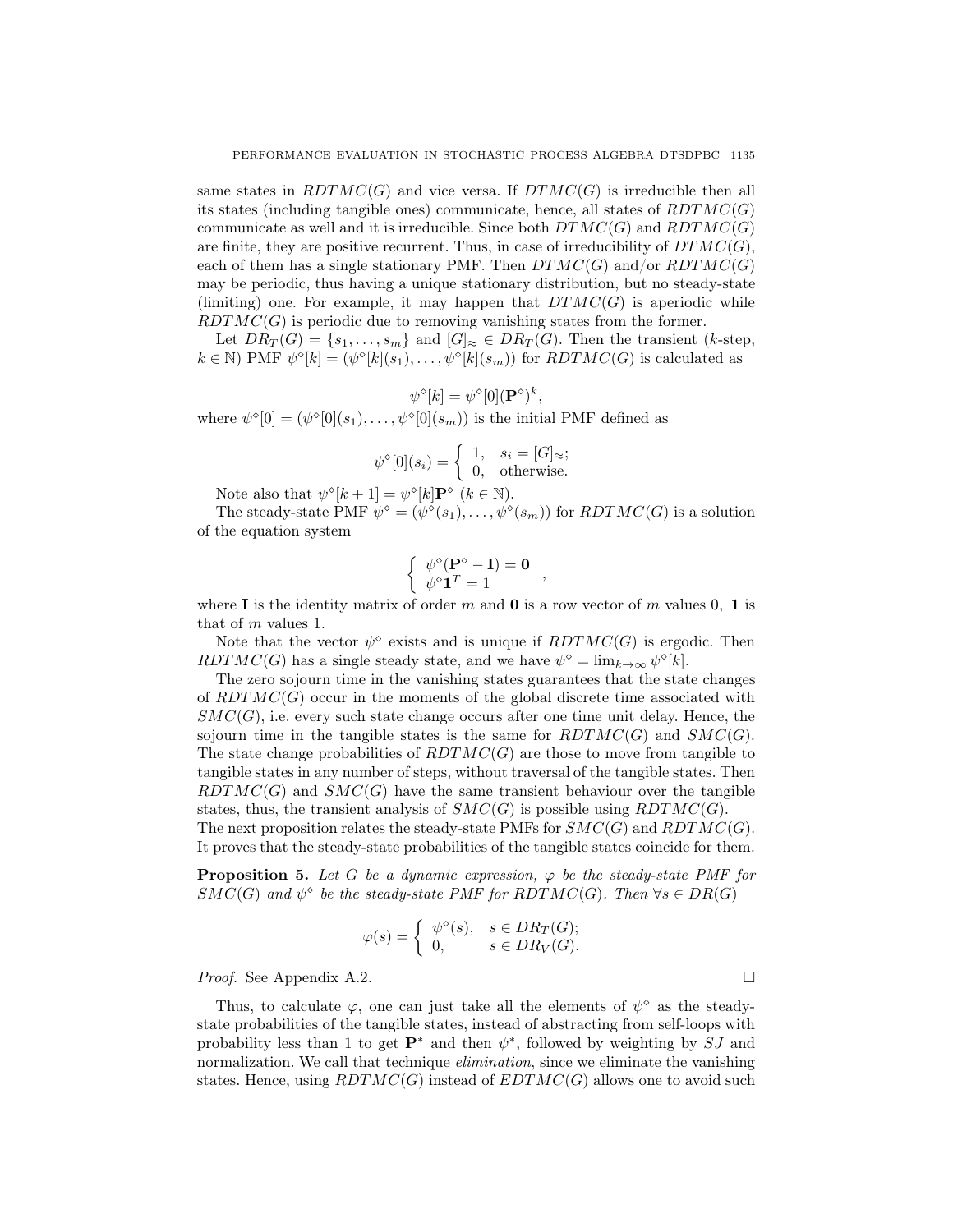same states in  $RDTMC(G)$  and vice versa. If  $DTMC(G)$  is irreducible then all its states (including tangible ones) communicate, hence, all states of  $RDTMC(G)$ communicate as well and it is irreducible. Since both  $DTMC(G)$  and  $RDTMC(G)$ are finite, they are positive recurrent. Thus, in case of irreducibility of  $DTMC(G)$ , each of them has a single stationary PMF. Then  $DTMC(G)$  and/or  $RDTMC(G)$ may be periodic, thus having a unique stationary distribution, but no steady-state (limiting) one. For example, it may happen that  $DTMC(G)$  is aperiodic while  $RDTMC(G)$  is periodic due to removing vanishing states from the former.

Let  $DR_T(G) = \{s_1, \ldots, s_m\}$  and  $[G]_{\approx} \in DR_T(G)$ . Then the transient (k-step,  $k \in \mathbb{N}$ ) PMF  $\psi^{\diamond}[k] = (\psi^{\diamond}[k](s_1), \ldots, \psi^{\diamond}[k](s_m))$  for  $RDTMC(G)$  is calculated as

$$
\psi^{\diamond}[k] = \psi^{\diamond}[0](\mathbf{P}^{\diamond})^k,
$$

where  $\psi^{\diamond}[0] = (\psi^{\diamond}[0](s_1), \dots, \psi^{\diamond}[0](s_m))$  is the initial PMF defined as

$$
\psi^{\diamond}[0](s_i) = \begin{cases} 1, & s_i = [G]_{\approx}; \\ 0, & \text{otherwise}. \end{cases}
$$

Note also that  $\psi^{\diamond}[k+1] = \psi^{\diamond}[k] \mathbf{P}^{\diamond}$   $(k \in \mathbb{N})$ .

The steady-state PMF  $\psi^{\diamond} = (\psi^{\diamond}(s_1), \dots, \psi^{\diamond}(s_m))$  for  $RDTMC(G)$  is a solution of the equation system

$$
\begin{cases} \psi^{\diamond}(\mathbf{P}^{\diamond} - \mathbf{I}) = \mathbf{0} \\ \psi^{\diamond} \mathbf{1}^T = 1 \end{cases}
$$

where I is the identity matrix of order m and  $\mathbf{0}$  is a row vector of m values 0, 1 is that of m values 1.

Note that the vector  $\psi^{\diamond}$  exists and is unique if  $RDTMC(G)$  is ergodic. Then RDTMC(G) has a single steady state, and we have  $\psi^{\diamond} = \lim_{k \to \infty} \psi^{\diamond}[k]$ .

The zero sojourn time in the vanishing states guarantees that the state changes of  $RDTMC(G)$  occur in the moments of the global discrete time associated with  $SMC(G)$ , i.e. every such state change occurs after one time unit delay. Hence, the sojourn time in the tangible states is the same for  $RDTMC(G)$  and  $SMC(G)$ . The state change probabilities of  $RDTMC(G)$  are those to move from tangible to tangible states in any number of steps, without traversal of the tangible states. Then  $RDTMC(G)$  and  $SMC(G)$  have the same transient behaviour over the tangible states, thus, the transient analysis of  $SMC(G)$  is possible using  $RDTMC(G)$ .

The next proposition relates the steady-state PMFs for  $SMC(G)$  and  $RDTMC(G)$ . It proves that the steady-state probabilities of the tangible states coincide for them.

**Proposition 5.** Let G be a dynamic expression,  $\varphi$  be the steady-state PMF for  $SMC(G)$  and  $\psi^{\diamond}$  be the steady-state PMF for RDTMC(G). Then  $\forall s \in DR(G)$ 

$$
\varphi(s) = \begin{cases} \psi^{\diamond}(s), & s \in DR_T(G); \\ 0, & s \in DR_V(G). \end{cases}
$$

*Proof.* See Appendix A.2.

Thus, to calculate  $\varphi$ , one can just take all the elements of  $\psi^{\diamond}$  as the steadystate probabilities of the tangible states, instead of abstracting from self-loops with probability less than 1 to get  $\mathbf{P}^*$  and then  $\psi^*$ , followed by weighting by  $\overline{SJ}$  and normalization. We call that technique *elimination*, since we eliminate the vanishing states. Hence, using  $RDTMC(G)$  instead of  $EDTMC(G)$  allows one to avoid such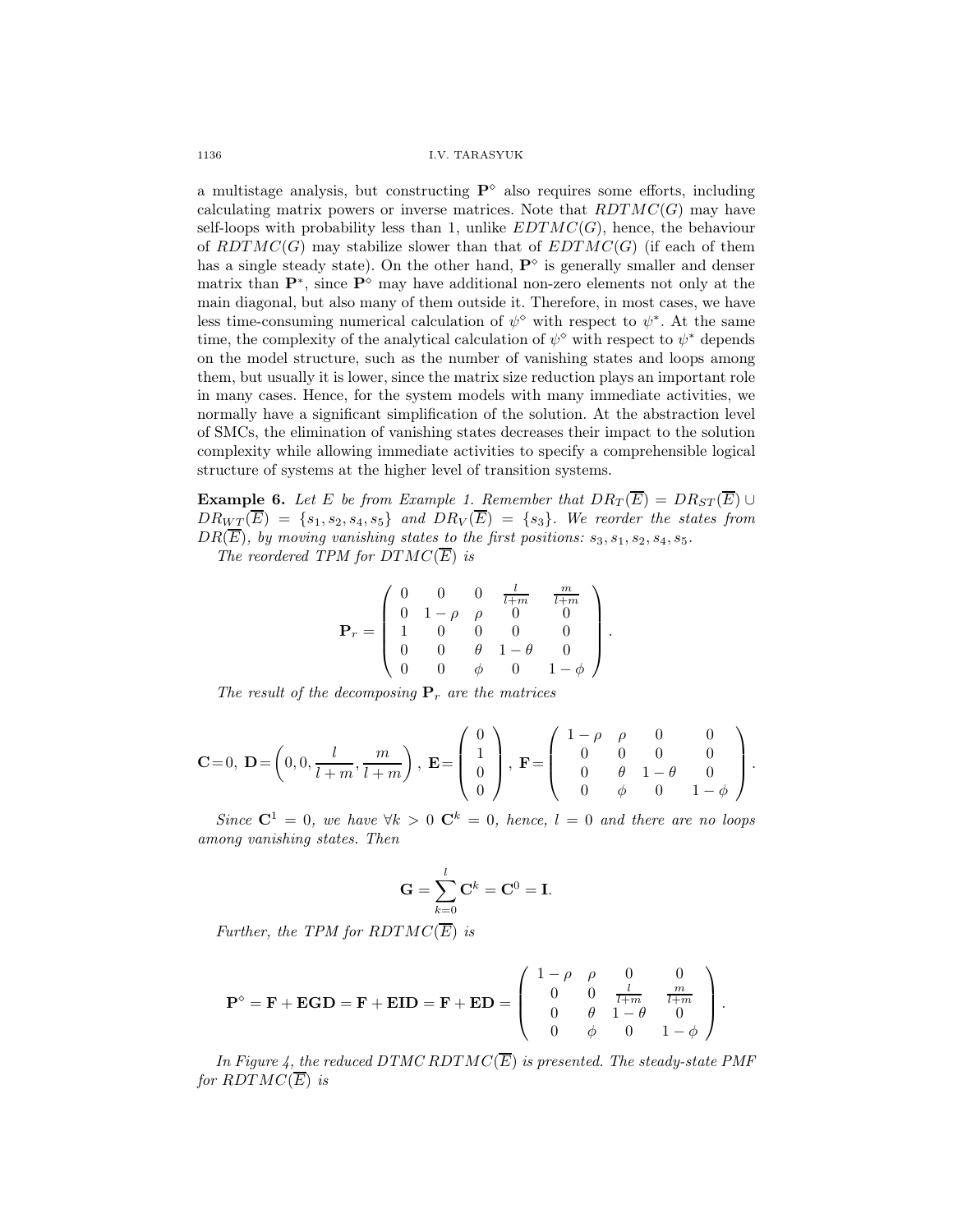a multistage analysis, but constructing  $\mathbf{P}^{\diamond}$  also requires some efforts, including calculating matrix powers or inverse matrices. Note that  $RDTMC(G)$  may have self-loops with probability less than 1, unlike  $EDTMC(G)$ , hence, the behaviour of  $RDTMC(G)$  may stabilize slower than that of  $EDTMC(G)$  (if each of them has a single steady state). On the other hand,  $\mathbf{P}^{\diamond}$  is generally smaller and denser matrix than  $\mathbf{P}^*$ , since  $\mathbf{P}^{\diamond}$  may have additional non-zero elements not only at the main diagonal, but also many of them outside it. Therefore, in most cases, we have less time-consuming numerical calculation of  $\psi^{\diamond}$  with respect to  $\psi^*$ . At the same time, the complexity of the analytical calculation of  $\psi^{\diamond}$  with respect to  $\psi^*$  depends on the model structure, such as the number of vanishing states and loops among them, but usually it is lower, since the matrix size reduction plays an important role in many cases. Hence, for the system models with many immediate activities, we normally have a significant simplification of the solution. At the abstraction level of SMCs, the elimination of vanishing states decreases their impact to the solution complexity while allowing immediate activities to specify a comprehensible logical structure of systems at the higher level of transition systems.

**Example 6.** Let E be from Example 1. Remember that  $DR_T(\overline{E}) = DR_{ST}(\overline{E}) \cup$  $DR_{WT}(\overline{E}) = \{s_1, s_2, s_4, s_5\}$  and  $DR_V(\overline{E}) = \{s_3\}$ . We reorder the states from  $DR(\overline{E})$ , by moving vanishing states to the first positions:  $s_3, s_1, s_2, s_4, s_5$ .

The reordered TPM for  $DTMC(\overline{E})$  is

$$
\mathbf{P}_r = \left(\begin{array}{cccccc} 0 & 0 & 0 & \frac{l}{l+m} & \frac{m}{l+m} \\ 0 & 1-\rho & \rho & 0 & 0 \\ 1 & 0 & 0 & 0 & 0 \\ 0 & 0 & \theta & 1-\theta & 0 \\ 0 & 0 & \phi & 0 & 1-\phi \end{array}\right).
$$

The result of the decomposing  $P_r$  are the matrices

$$
\mathbf{C}=0, \ \mathbf{D}=\left(0,0,\frac{l}{l+m},\frac{m}{l+m}\right), \ \mathbf{E}=\left(\begin{array}{c}0\\1\\0\\0\end{array}\right), \ \mathbf{F}=\left(\begin{array}{cccc}1-\rho & \rho & 0 & 0\\0 & 0 & 0 & 0\\0 & \theta & 1-\theta & 0\\0 & \phi & 0 & 1-\phi\end{array}\right).
$$

Since  $C^1 = 0$ , we have  $\forall k > 0$   $C^k = 0$ , hence,  $l = 0$  and there are no loops among vanishing states. Then

$$
\mathbf{G} = \sum_{k=0}^{l} \mathbf{C}^{k} = \mathbf{C}^{0} = \mathbf{I}.
$$

Further, the TPM for  $RDTMC(\overline{E})$  is

$$
\mathbf{P}^{\diamond} = \mathbf{F} + \mathbf{EGD} = \mathbf{F} + \mathbf{EID} = \mathbf{F} + \mathbf{ED} = \begin{pmatrix} 1 - \rho & \rho & 0 & 0 \\ 0 & 0 & \frac{l}{l + m} & \frac{m}{l + m} \\ 0 & \theta & 1 - \theta & 0 \\ 0 & \phi & 0 & 1 - \phi \end{pmatrix}.
$$

In Figure 4, the reduced DTMC RDTMC( $\overline{E}$ ) is presented. The steady-state PMF for  $RDTMC(\overline{E})$  is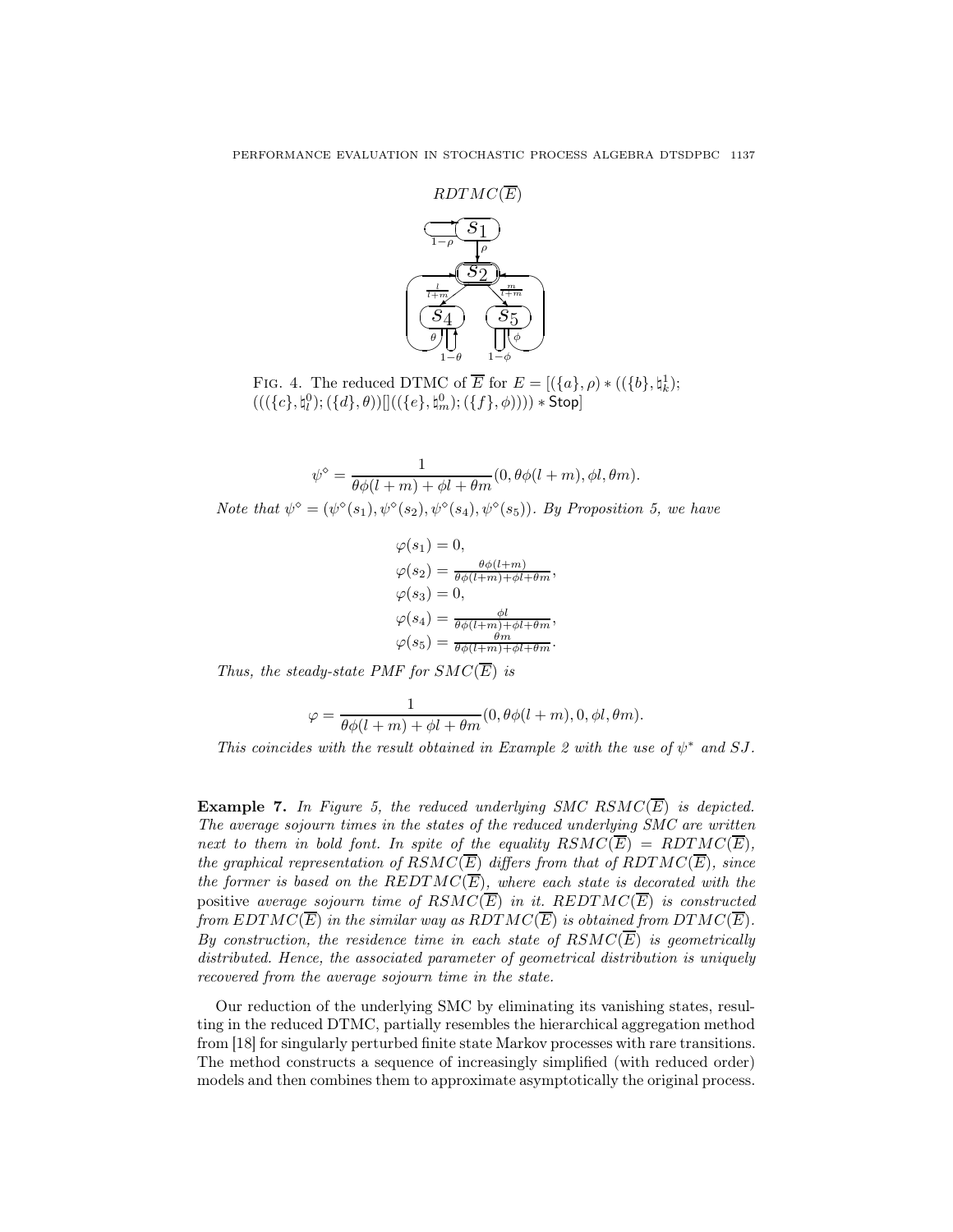

FIG. 4. The reduced DTMC of  $\overline{E}$  for  $E = [(\lbrace a \rbrace, \rho) * ((\lbrace b \rbrace, \natural_k^1);$  $(((\lbrace c \rbrace , \natural_i^0); (\lbrace d \rbrace , \theta))[] ((\lbrace e \rbrace , \natural_m^0); (\lbrace f \rbrace , \phi)))) * \mathsf{Stop}]$ 

$$
\psi^{\diamond} = \frac{1}{\theta \phi(l+m) + \phi l + \theta m}(0, \theta \phi(l+m), \phi l, \theta m).
$$
  
Note that  $\psi^{\diamond} = (\psi^{\diamond}(s_1), \psi^{\diamond}(s_2), \psi^{\diamond}(s_4), \psi^{\diamond}(s_5)).$  By Proposition 5, we have

$$
\varphi(s_1) = 0,
$$
  
\n
$$
\varphi(s_2) = \frac{\theta \phi(l+m)}{\theta \phi(l+m) + \phi l + \theta m},
$$
  
\n
$$
\varphi(s_3) = 0,
$$
  
\n
$$
\varphi(s_4) = \frac{\phi l}{\theta \phi(l+m) + \phi l + \theta m},
$$
  
\n
$$
\varphi(s_5) = \frac{\theta m}{\theta \phi(l+m) + \phi l + \theta m}.
$$

Thus, the steady-state PMF for  $SMC(\overline{E})$  is

$$
\varphi = \frac{1}{\theta \phi(l+m) + \phi l + \theta m}(0, \theta \phi(l+m), 0, \phi l, \theta m).
$$

This coincides with the result obtained in Example 2 with the use of  $\psi^*$  and SJ.

**Example 7.** In Figure 5, the reduced underlying SMC RSMC( $\overline{E}$ ) is depicted. The average sojourn times in the states of the reduced underlying SMC are written next to them in bold font. In spite of the equality  $RSMC(\overline{E}) = RDTMC(\overline{E}),$ the graphical representation of  $\overline{RSMC(\overline{E})}$  differs from that of  $\overline{RDTMC(\overline{E})}$ , since the former is based on the REDTMC( $\overline{E}$ ), where each state is decorated with the positive average sojourn time of  $RSMC(\overline{E})$  in it.  $REDTMC(\overline{E})$  is constructed from  $EDTMC(\overline{E})$  in the similar way as  $RDTMC(\overline{E})$  is obtained from  $DTMC(\overline{E})$ . By construction, the residence time in each state of  $RSMC(\overline{E})$  is geometrically distributed. Hence, the associated parameter of geometrical distribution is uniquely recovered from the average sojourn time in the state.

Our reduction of the underlying SMC by eliminating its vanishing states, resulting in the reduced DTMC, partially resembles the hierarchical aggregation method from [18] for singularly perturbed finite state Markov processes with rare transitions. The method constructs a sequence of increasingly simplified (with reduced order) models and then combines them to approximate asymptotically the original process.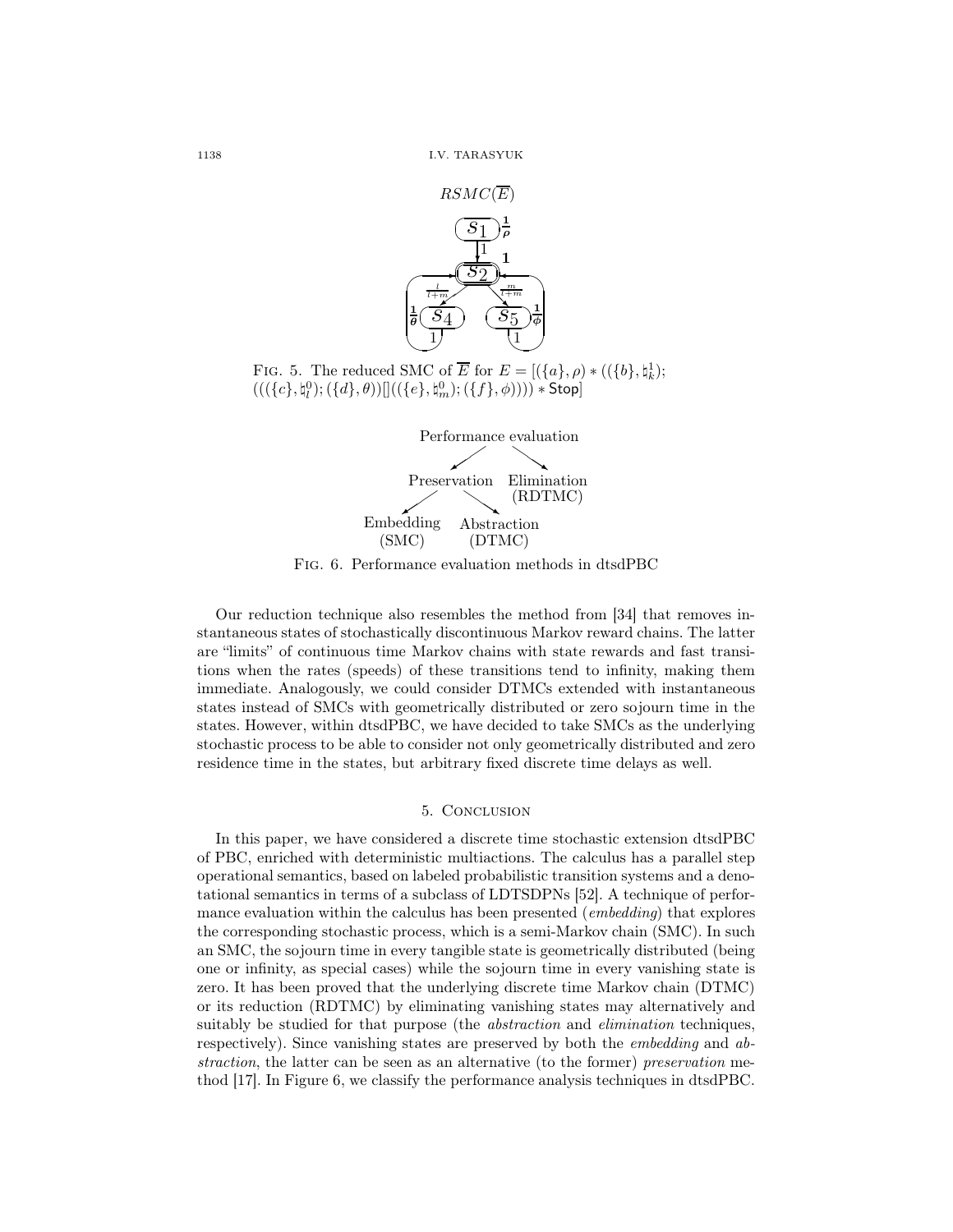



Fig. 6. Performance evaluation methods in dtsdPBC

Our reduction technique also resembles the method from [34] that removes instantaneous states of stochastically discontinuous Markov reward chains. The latter are "limits" of continuous time Markov chains with state rewards and fast transitions when the rates (speeds) of these transitions tend to infinity, making them immediate. Analogously, we could consider DTMCs extended with instantaneous states instead of SMCs with geometrically distributed or zero sojourn time in the states. However, within dtsdPBC, we have decided to take SMCs as the underlying stochastic process to be able to consider not only geometrically distributed and zero residence time in the states, but arbitrary fixed discrete time delays as well.

## 5. Conclusion

In this paper, we have considered a discrete time stochastic extension dtsdPBC of PBC, enriched with deterministic multiactions. The calculus has a parallel step operational semantics, based on labeled probabilistic transition systems and a denotational semantics in terms of a subclass of LDTSDPNs [52]. A technique of performance evaluation within the calculus has been presented (*embedding*) that explores the corresponding stochastic process, which is a semi-Markov chain (SMC). In such an SMC, the sojourn time in every tangible state is geometrically distributed (being one or infinity, as special cases) while the sojourn time in every vanishing state is zero. It has been proved that the underlying discrete time Markov chain (DTMC) or its reduction (RDTMC) by eliminating vanishing states may alternatively and suitably be studied for that purpose (the *abstraction* and *elimination* techniques, respectively). Since vanishing states are preserved by both the embedding and abstraction, the latter can be seen as an alternative (to the former) preservation method [17]. In Figure 6, we classify the performance analysis techniques in dtsdPBC.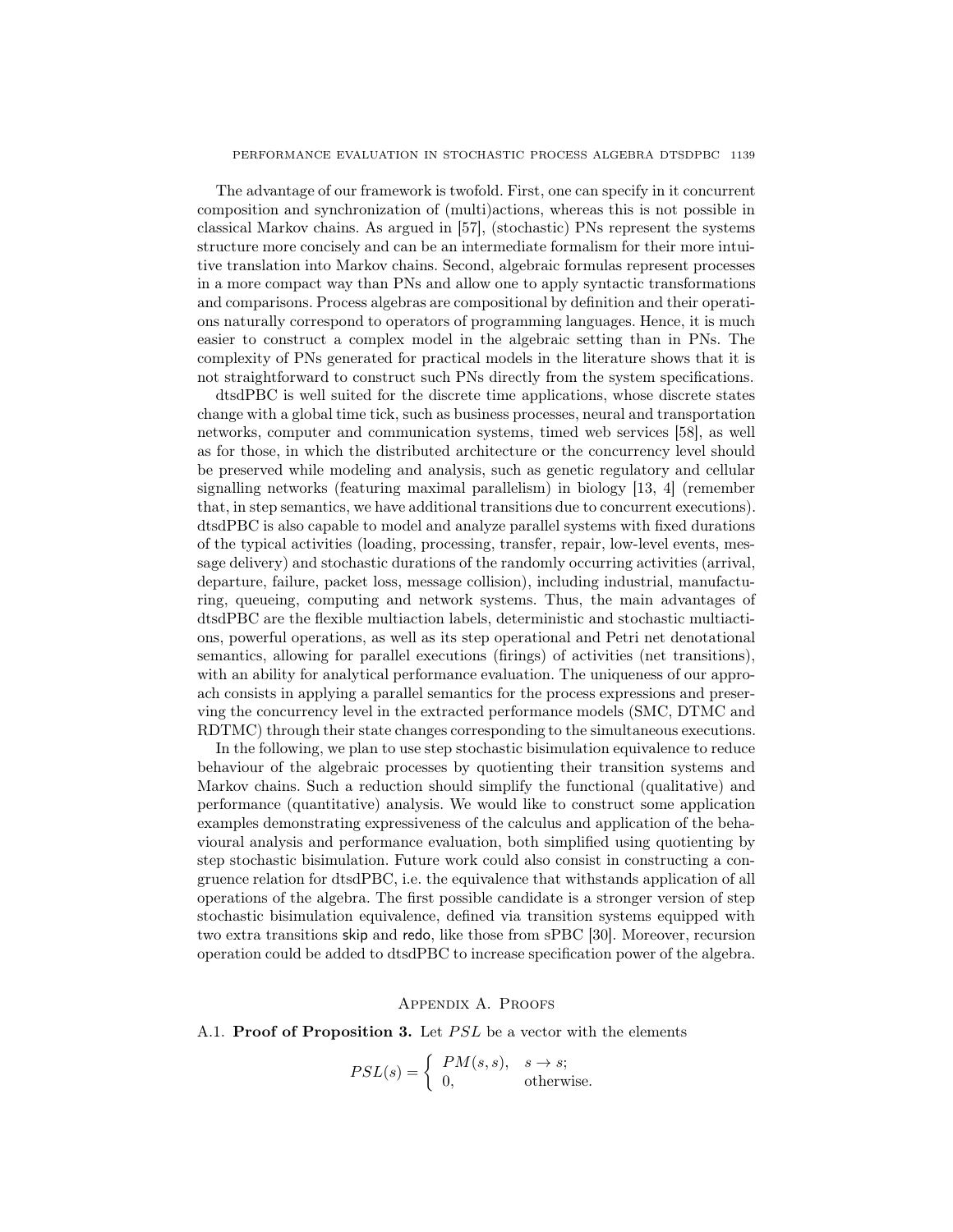The advantage of our framework is twofold. First, one can specify in it concurrent composition and synchronization of (multi)actions, whereas this is not possible in classical Markov chains. As argued in [57], (stochastic) PNs represent the systems structure more concisely and can be an intermediate formalism for their more intuitive translation into Markov chains. Second, algebraic formulas represent processes in a more compact way than PNs and allow one to apply syntactic transformations and comparisons. Process algebras are compositional by definition and their operations naturally correspond to operators of programming languages. Hence, it is much easier to construct a complex model in the algebraic setting than in PNs. The complexity of PNs generated for practical models in the literature shows that it is not straightforward to construct such PNs directly from the system specifications.

dtsdPBC is well suited for the discrete time applications, whose discrete states change with a global time tick, such as business processes, neural and transportation networks, computer and communication systems, timed web services [58], as well as for those, in which the distributed architecture or the concurrency level should be preserved while modeling and analysis, such as genetic regulatory and cellular signalling networks (featuring maximal parallelism) in biology [13, 4] (remember that, in step semantics, we have additional transitions due to concurrent executions). dtsdPBC is also capable to model and analyze parallel systems with fixed durations of the typical activities (loading, processing, transfer, repair, low-level events, message delivery) and stochastic durations of the randomly occurring activities (arrival, departure, failure, packet loss, message collision), including industrial, manufacturing, queueing, computing and network systems. Thus, the main advantages of dtsdPBC are the flexible multiaction labels, deterministic and stochastic multiactions, powerful operations, as well as its step operational and Petri net denotational semantics, allowing for parallel executions (firings) of activities (net transitions), with an ability for analytical performance evaluation. The uniqueness of our approach consists in applying a parallel semantics for the process expressions and preserving the concurrency level in the extracted performance models (SMC, DTMC and RDTMC) through their state changes corresponding to the simultaneous executions.

In the following, we plan to use step stochastic bisimulation equivalence to reduce behaviour of the algebraic processes by quotienting their transition systems and Markov chains. Such a reduction should simplify the functional (qualitative) and performance (quantitative) analysis. We would like to construct some application examples demonstrating expressiveness of the calculus and application of the behavioural analysis and performance evaluation, both simplified using quotienting by step stochastic bisimulation. Future work could also consist in constructing a congruence relation for dtsdPBC, i.e. the equivalence that withstands application of all operations of the algebra. The first possible candidate is a stronger version of step stochastic bisimulation equivalence, defined via transition systems equipped with two extra transitions skip and redo, like those from sPBC [30]. Moreover, recursion operation could be added to dtsdPBC to increase specification power of the algebra.

Appendix A. Proofs

A.1. **Proof of Proposition 3.** Let *PSL* be a vector with the elements

$$
PSL(s) = \begin{cases} PM(s, s), & s \to s; \\ 0, & \text{otherwise.} \end{cases}
$$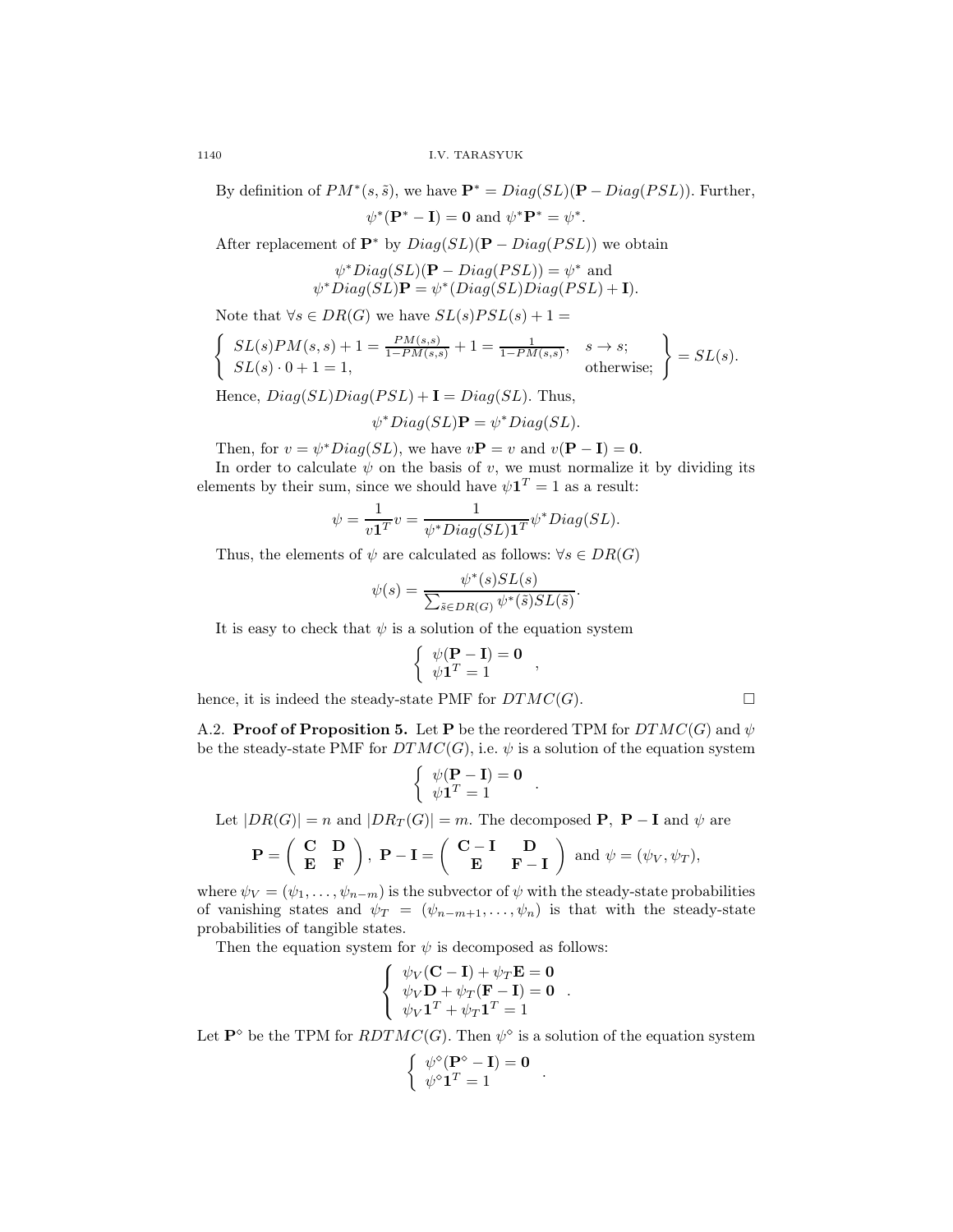By definition of  $PM^*(s, \tilde{s})$ , we have  $\mathbf{P}^* = Diag(SL)(\mathbf{P} - Diag(PSL))$ . Further,

.

.

.

$$
\psi^*(\mathbf{P}^* - \mathbf{I}) = \mathbf{0} \text{ and } \psi^* \mathbf{P}^* = \psi^*
$$

After replacement of  $\mathbf{P}^*$  by  $Diag(SL)(\mathbf{P} - Diag(PSL))$  we obtain

$$
\psi^*Diag(SL)(\mathbf{P} - Diag(PSL)) = \psi^* \text{ and}
$$
  

$$
\psi^*Diag(SL)\mathbf{P} = \psi^*(Diag(SL)Diag(PSL) + \mathbf{I}).
$$

Note that  $\forall s \in DR(G)$  we have  $SL(s)PSL(s) + 1 =$ 

$$
\begin{cases}\nSL(s)PM(s,s) + 1 = \frac{PM(s,s)}{1 - PM(s,s)} + 1 = \frac{1}{1 - PM(s,s)}, & s \to s; \\
SL(s) \cdot 0 + 1 = 1, & \text{otherwise;}\n\end{cases}\n\right\} = SL(s).
$$

Hence,  $Diag(SL)Diag(PSL) + I = Diag(SL)$ . Thus,

$$
\psi^*Diag(SL)\mathbf{P}=\psi^*Diag(SL).
$$

Then, for  $v = \psi^* Diag(SL)$ , we have  $v\mathbf{P} = v$  and  $v(\mathbf{P} - \mathbf{I}) = \mathbf{0}$ .

In order to calculate  $\psi$  on the basis of v, we must normalize it by dividing its elements by their sum, since we should have  $\psi \mathbf{1}^T = 1$  as a result:

$$
\psi = \frac{1}{v\mathbf{1}^T}v = \frac{1}{\psi^*Diag(SL)\mathbf{1}^T}\psi^*Diag(SL).
$$

Thus, the elements of  $\psi$  are calculated as follows:  $\forall s \in DR(G)$ 

$$
\psi(s) = \frac{\psi^*(s)SL(s)}{\sum_{\tilde{s} \in DR(G)} \psi^*(\tilde{s})SL(\tilde{s})}
$$

It is easy to check that  $\psi$  is a solution of the equation system

$$
\left\{ \begin{array}{c} \psi(\mathbf{P} - \mathbf{I}) = \mathbf{0} \\ \psi \mathbf{1}^T = 1 \end{array} \right.,
$$

hence, it is indeed the steady-state PMF for  $DTMC(G)$ .

A.2. **Proof of Proposition 5.** Let **P** be the reordered TPM for  $DTMC(G)$  and  $\psi$ be the steady-state PMF for  $DTMC(G)$ , i.e.  $\psi$  is a solution of the equation system

$$
\left\{ \begin{array}{c} \psi(\mathbf{P} - \mathbf{I}) = \mathbf{0} \\ \psi \mathbf{1}^T = 1 \end{array} \right. .
$$

Let  $|DR(G)| = n$  and  $|DR_T(G)| = m$ . The decomposed **P**, **P** – **I** and  $\psi$  are

$$
\mathbf{P} = \begin{pmatrix} \mathbf{C} & \mathbf{D} \\ \mathbf{E} & \mathbf{F} \end{pmatrix}, \ \mathbf{P} - \mathbf{I} = \begin{pmatrix} \mathbf{C} - \mathbf{I} & \mathbf{D} \\ \mathbf{E} & \mathbf{F} - \mathbf{I} \end{pmatrix} \text{ and } \psi = (\psi_V, \psi_T),
$$

where  $\psi_V = (\psi_1, \dots, \psi_{n-m})$  is the subvector of  $\psi$  with the steady-state probabilities of vanishing states and  $\psi_T = (\psi_{n-m+1}, \dots, \psi_n)$  is that with the steady-state probabilities of tangible states.

Then the equation system for  $\psi$  is decomposed as follows:

$$
\left\{\begin{array}{c} \psi_V(\mathbf{C}-\mathbf{I})+\psi_T\mathbf{E}=\mathbf{0}\\ \psi_V\mathbf{D}+\psi_T(\mathbf{F}-\mathbf{I})=\mathbf{0}\\ \psi_V\mathbf{1}^T+\psi_T\mathbf{1}^T=1 \end{array}\right.
$$

Let  $\mathbf{P}^{\diamond}$  be the TPM for  $RDTMC(G)$ . Then  $\psi^{\diamond}$  is a solution of the equation system

$$
\left\{ \begin{array}{c} \psi^{\diamond}(\mathbf{P}^{\diamond}-\mathbf{I})=\mathbf{0} \\ \psi^{\diamond}\mathbf{1}^T=1 \end{array} \right..
$$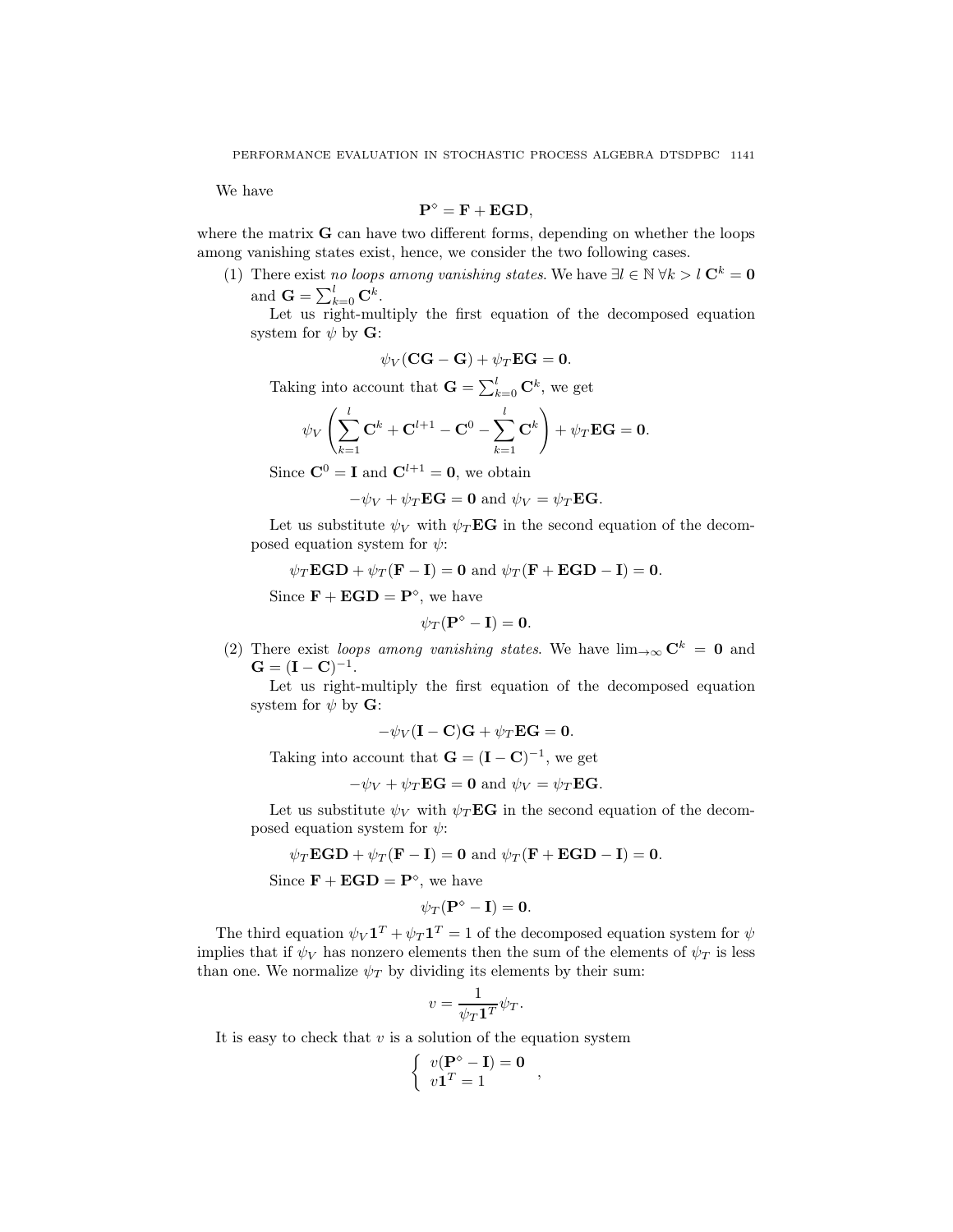We have

$$
\mathbf{P}^{\diamond} = \mathbf{F} + \mathbf{EGD},
$$

where the matrix **G** can have two different forms, depending on whether the loops among vanishing states exist, hence, we consider the two following cases.

(1) There exist no loops among vanishing states. We have  $\exists l \in \mathbb{N} \forall k > l \ \mathbf{C}^k = \mathbf{0}$ and  $\mathbf{G} = \sum_{k=0}^{l} \mathbf{C}^k$ .

Let us right-multiply the first equation of the decomposed equation system for  $\psi$  by **G**:

$$
\psi_V(\mathbf{CG}-\mathbf{G})+\psi_T\mathbf{EG}=\mathbf{0}.
$$

Taking into account that  $\mathbf{G} = \sum_{k=0}^{l} \mathbf{C}^k$ , we get

$$
\psi_V\left(\sum_{k=1}^l \mathbf{C}^k + \mathbf{C}^{l+1} - \mathbf{C}^0 - \sum_{k=1}^l \mathbf{C}^k\right) + \psi_T \mathbf{E} \mathbf{G} = \mathbf{0}.
$$

Since  $\mathbf{C}^0 = \mathbf{I}$  and  $\mathbf{C}^{l+1} = \mathbf{0}$ , we obtain

 $-\psi_V + \psi_T \mathbf{EG} = \mathbf{0}$  and  $\psi_V = \psi_T \mathbf{EG}$ .

Let us substitute  $\psi_V$  with  $\psi_T \mathbf{E} \mathbf{G}$  in the second equation of the decomposed equation system for  $\psi$ :

$$
\psi_T \mathbf{EGD} + \psi_T (\mathbf{F} - \mathbf{I}) = \mathbf{0} \text{ and } \psi_T (\mathbf{F} + \mathbf{EGD} - \mathbf{I}) = \mathbf{0}.
$$

Since  $\mathbf{F} + \mathbf{EGD} = \mathbf{P}^{\diamond}$ , we have

$$
\psi_T(\mathbf{P}^\diamond-\mathbf{I})=\mathbf{0}.
$$

(2) There exist loops among vanishing states. We have  $\lim_{\to \infty} C^k = 0$  and  $G = (I - C)^{-1}.$ 

Let us right-multiply the first equation of the decomposed equation system for  $\psi$  by **G**:

 $-\psi_V(\mathbf{I}-\mathbf{C})\mathbf{G} + \psi_T \mathbf{E}\mathbf{G} = \mathbf{0}.$ 

Taking into account that  $\mathbf{G} = (\mathbf{I} - \mathbf{C})^{-1}$ , we get

$$
-\psi_V + \psi_T \mathbf{EG} = \mathbf{0} \text{ and } \psi_V = \psi_T \mathbf{EG}.
$$

Let us substitute  $\psi_V$  with  $\psi_T \mathbf{E} \mathbf{G}$  in the second equation of the decomposed equation system for  $\psi$ :

$$
\psi_T \mathbf{EGD} + \psi_T (\mathbf{F} - \mathbf{I}) = \mathbf{0}
$$
 and  $\psi_T (\mathbf{F} + \mathbf{EGD} - \mathbf{I}) = \mathbf{0}$ .

Since  $\mathbf{F} + \mathbf{EGD} = \mathbf{P}^{\diamond}$ , we have

$$
\psi_T(\mathbf{P}^\diamond-\mathbf{I})=\mathbf{0}.
$$

The third equation  $\psi_V \mathbf{1}^T + \psi_T \mathbf{1}^T = 1$  of the decomposed equation system for  $\psi$ implies that if  $\psi_V$  has nonzero elements then the sum of the elements of  $\psi_T$  is less than one. We normalize  $\psi_T$  by dividing its elements by their sum:

$$
v = \frac{1}{\psi_T \mathbf{1}^T} \psi_T.
$$

It is easy to check that  $v$  is a solution of the equation system

$$
\left\{ \begin{array}{l} v(\mathbf{P}^\diamond-\mathbf{I})=\mathbf{0}\\ v\mathbf{1}^T=1 \end{array} \right.,
$$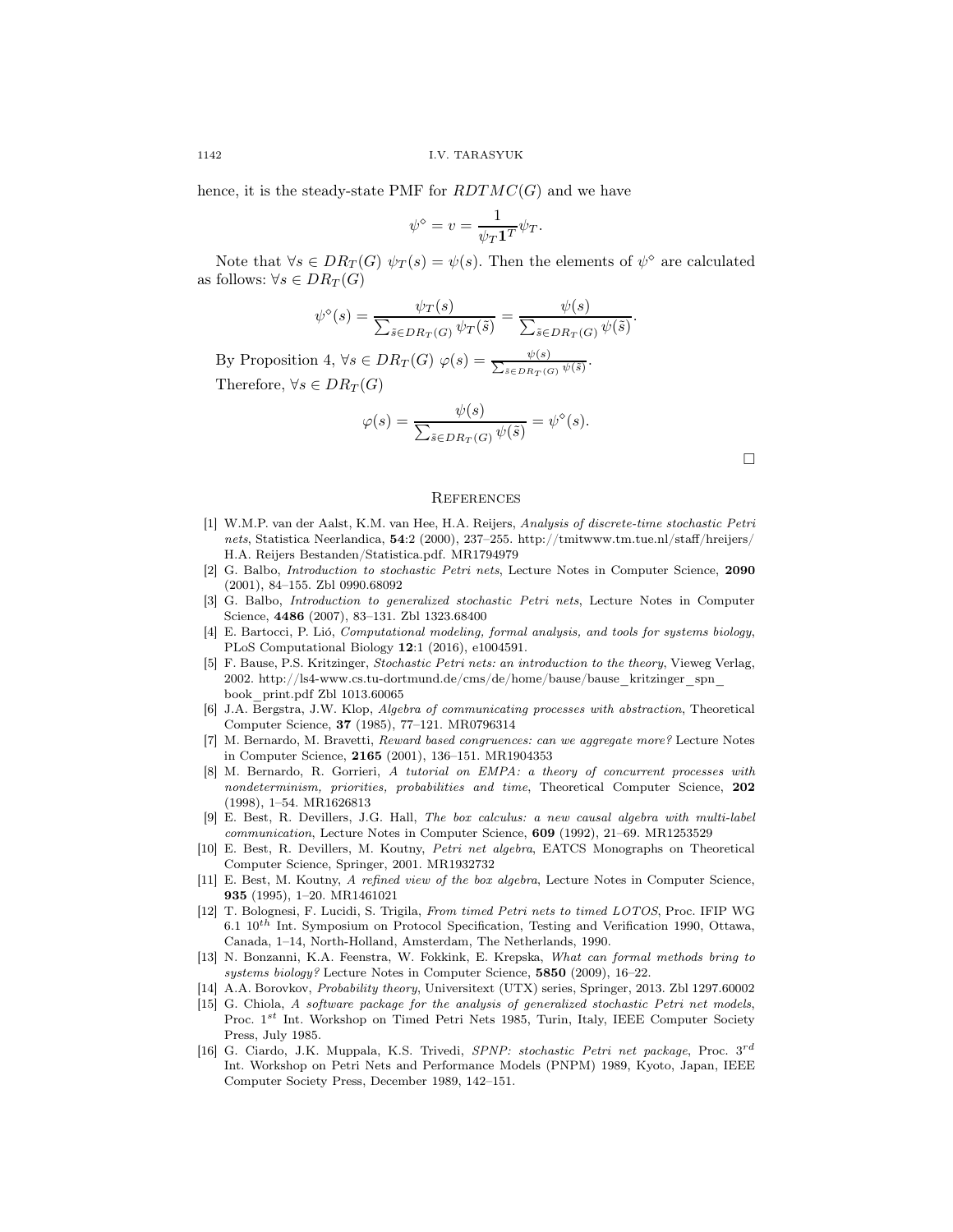hence, it is the steady-state PMF for  $RDTMC(G)$  and we have

$$
\psi^{\diamond} = v = \frac{1}{\psi_T \mathbf{1}^T} \psi_T.
$$

Note that  $\forall s \in DR_T(G) \psi_T(s) = \psi(s)$ . Then the elements of  $\psi^{\diamond}$  are calculated as follows:  $\forall s \in DR_T(G)$ 

$$
\psi^{\diamond}(s) = \frac{\psi_T(s)}{\sum_{\tilde{s} \in DR_T(G)} \psi_T(\tilde{s})} = \frac{\psi(s)}{\sum_{\tilde{s} \in DR_T(G)} \psi(\tilde{s})}
$$

By Proposition 4,  $\forall s \in DR_T(G)$   $\varphi(s) = \frac{\psi(s)}{\sum_{s \in RR(s)}$  $\frac{\psi(s)}{\tilde{s} \in DR_T(G)} \cdot \frac{\psi(\tilde{s})}{\psi(\tilde{s})}.$ Therefore,  $\forall s \in DR_T(G)$ 

$$
\varphi(s) = \frac{\psi(s)}{\sum_{\tilde{s} \in DR_T(G)} \psi(\tilde{s})} = \psi^{\diamond}(s).
$$

 $\Box$ 

.

## **REFERENCES**

- [1] W.M.P. van der Aalst, K.M. van Hee, H.A. Reijers, *Analysis of discrete-time stochastic Petri nets*, Statistica Neerlandica, 54:2 (2000), 237–255. http://tmitwww.tm.tue.nl/staff/hreijers/ H.A. Reijers Bestanden/Statistica.pdf. MR1794979
- [2] G. Balbo, *Introduction to stochastic Petri nets*, Lecture Notes in Computer Science, 2090 (2001), 84–155. Zbl 0990.68092
- [3] G. Balbo, *Introduction to generalized stochastic Petri nets*, Lecture Notes in Computer Science, 4486 (2007), 83–131. Zbl 1323.68400
- [4] E. Bartocci, P. Lió, *Computational modeling, formal analysis, and tools for systems biology*, PLoS Computational Biology 12:1 (2016), e1004591.
- [5] F. Bause, P.S. Kritzinger, *Stochastic Petri nets: an introduction to the theory*, Vieweg Verlag, 2002. http://ls4-www.cs.tu-dortmund.de/cms/de/home/bause/bause\_kritzinger\_spn\_ book\_print.pdf Zbl 1013.60065
- [6] J.A. Bergstra, J.W. Klop, *Algebra of communicating processes with abstraction*, Theoretical Computer Science, 37 (1985), 77–121. MR0796314
- [7] M. Bernardo, M. Bravetti, *Reward based congruences: can we aggregate more?* Lecture Notes in Computer Science, 2165 (2001), 136–151. MR1904353
- [8] M. Bernardo, R. Gorrieri, *A tutorial on EMPA: a theory of concurrent processes with nondeterminism, priorities, probabilities and time*, Theoretical Computer Science, 202 (1998), 1–54. MR1626813
- [9] E. Best, R. Devillers, J.G. Hall, *The box calculus: a new causal algebra with multi-label communication*, Lecture Notes in Computer Science, 609 (1992), 21–69. MR1253529
- [10] E. Best, R. Devillers, M. Koutny, *Petri net algebra*, EATCS Monographs on Theoretical Computer Science, Springer, 2001. MR1932732
- [11] E. Best, M. Koutny, *A refined view of the box algebra*, Lecture Notes in Computer Science, 935 (1995), 1–20. MR1461021
- [12] T. Bolognesi, F. Lucidi, S. Trigila, *From timed Petri nets to timed LOTOS*, Proc. IFIP WG 6.1  $10^{th}$  Int. Symposium on Protocol Specification, Testing and Verification 1990, Ottawa, Canada, 1–14, North-Holland, Amsterdam, The Netherlands, 1990.
- [13] N. Bonzanni, K.A. Feenstra, W. Fokkink, E. Krepska, *What can formal methods bring to systems biology?* Lecture Notes in Computer Science, 5850 (2009), 16–22.
- [14] A.A. Borovkov, *Probability theory*, Universitext (UTX) series, Springer, 2013. Zbl 1297.60002
- [15] G. Chiola, *A software package for the analysis of generalized stochastic Petri net models*, Proc. 1<sup>st</sup> Int. Workshop on Timed Petri Nets 1985, Turin, Italy, IEEE Computer Society Press, July 1985.
- [16] G. Ciardo, J.K. Muppala, K.S. Trivedi, *SPNP: stochastic Petri net package*, Proc. 3<sup>rd</sup> Int. Workshop on Petri Nets and Performance Models (PNPM) 1989, Kyoto, Japan, IEEE Computer Society Press, December 1989, 142–151.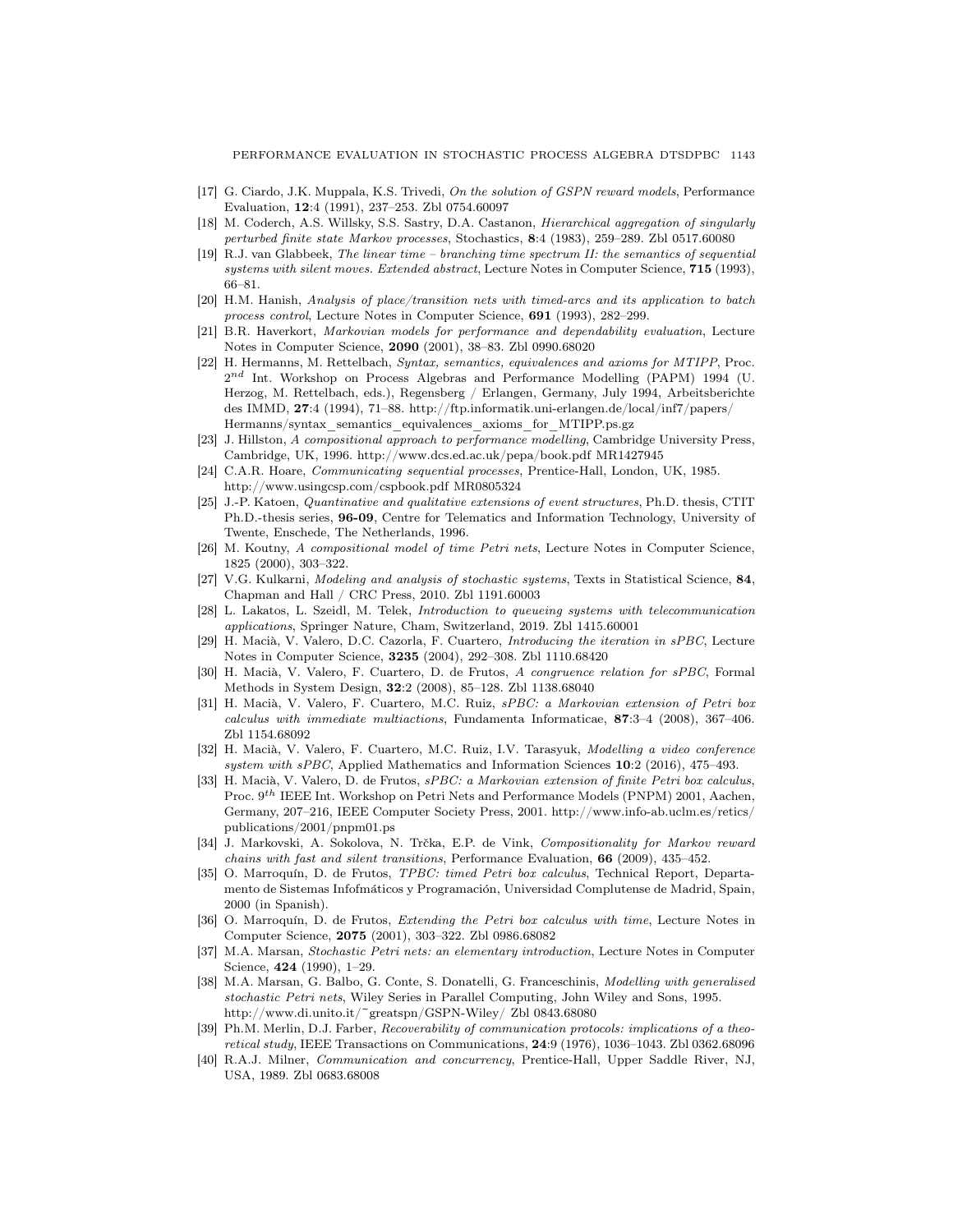- [17] G. Ciardo, J.K. Muppala, K.S. Trivedi, *On the solution of GSPN reward models*, Performance Evaluation, 12:4 (1991), 237–253. Zbl 0754.60097
- [18] M. Coderch, A.S. Willsky, S.S. Sastry, D.A. Castanon, *Hierarchical aggregation of singularly perturbed finite state Markov processes*, Stochastics, 8:4 (1983), 259–289. Zbl 0517.60080
- [19] R.J. van Glabbeek, *The linear time branching time spectrum II: the semantics of sequential systems with silent moves. Extended abstract*, Lecture Notes in Computer Science, 715 (1993), 66–81.
- [20] H.M. Hanish, *Analysis of place/transition nets with timed-arcs and its application to batch process control*, Lecture Notes in Computer Science, 691 (1993), 282–299.
- [21] B.R. Haverkort, *Markovian models for performance and dependability evaluation*, Lecture Notes in Computer Science, 2090 (2001), 38–83. Zbl 0990.68020
- [22] H. Hermanns, M. Rettelbach, *Syntax, semantics, equivalences and axioms for MTIPP*, Proc.  $2^{nd}$  Int. Workshop on Process Algebras and Performance Modelling (PAPM) 1994 (U. Herzog, M. Rettelbach, eds.), Regensberg / Erlangen, Germany, July 1994, Arbeitsberichte des IMMD, 27:4 (1994), 71–88. http://ftp.informatik.uni-erlangen.de/local/inf7/papers/ Hermanns/syntax\_semantics\_equivalences\_axioms\_for\_MTIPP.ps.gz
- [23] J. Hillston, *A compositional approach to performance modelling*, Cambridge University Press, Cambridge, UK, 1996. http://www.dcs.ed.ac.uk/pepa/book.pdf MR1427945
- [24] C.A.R. Hoare, *Communicating sequential processes*, Prentice-Hall, London, UK, 1985. http://www.usingcsp.com/cspbook.pdf MR0805324
- [25] J.-P. Katoen, *Quantinative and qualitative extensions of event structures*, Ph.D. thesis, CTIT Ph.D.-thesis series, 96-09, Centre for Telematics and Information Technology, University of Twente, Enschede, The Netherlands, 1996.
- [26] M. Koutny, *A compositional model of time Petri nets*, Lecture Notes in Computer Science, 1825 (2000), 303–322.
- [27] V.G. Kulkarni, *Modeling and analysis of stochastic systems*, Texts in Statistical Science, 84, Chapman and Hall / CRC Press, 2010. Zbl 1191.60003
- [28] L. Lakatos, L. Szeidl, M. Telek, *Introduction to queueing systems with telecommunication applications*, Springer Nature, Cham, Switzerland, 2019. Zbl 1415.60001
- [29] H. Maci`a, V. Valero, D.C. Cazorla, F. Cuartero, *Introducing the iteration in sPBC*, Lecture Notes in Computer Science, 3235 (2004), 292–308. Zbl 1110.68420
- [30] H. Macià, V. Valero, F. Cuartero, D. de Frutos, A congruence relation for sPBC, Formal Methods in System Design, 32:2 (2008), 85–128. Zbl 1138.68040
- [31] H. Maci`a, V. Valero, F. Cuartero, M.C. Ruiz, *sPBC: a Markovian extension of Petri box calculus with immediate multiactions*, Fundamenta Informaticae, 87:3–4 (2008), 367–406. Zbl 1154.68092
- [32] H. Maci`a, V. Valero, F. Cuartero, M.C. Ruiz, I.V. Tarasyuk, *Modelling a video conference system with sPBC*, Applied Mathematics and Information Sciences 10:2 (2016), 475–493.
- [33] H. Macià, V. Valero, D. de Frutos, *sPBC: a Markovian extension of finite Petri box calculus*, Proc. 9<sup>th</sup> IEEE Int. Workshop on Petri Nets and Performance Models (PNPM) 2001, Aachen, Germany, 207–216, IEEE Computer Society Press, 2001. http://www.info-ab.uclm.es/retics/ publications/2001/pnpm01.ps
- [34] J. Markovski, A. Sokolova, N. Trčka, E.P. de Vink, *Compositionality for Markov reward chains with fast and silent transitions*, Performance Evaluation, 66 (2009), 435–452.
- [35] O. Marroquín, D. de Frutos, *TPBC: timed Petri box calculus*, Technical Report, Departamento de Sistemas Infofmáticos y Programación, Universidad Complutense de Madrid, Spain, 2000 (in Spanish).
- [36] O. Marroquín, D. de Frutos, *Extending the Petri box calculus with time*, Lecture Notes in Computer Science, 2075 (2001), 303–322. Zbl 0986.68082
- [37] M.A. Marsan, *Stochastic Petri nets: an elementary introduction*, Lecture Notes in Computer Science, 424 (1990), 1–29.
- [38] M.A. Marsan, G. Balbo, G. Conte, S. Donatelli, G. Franceschinis, *Modelling with generalised stochastic Petri nets*, Wiley Series in Parallel Computing, John Wiley and Sons, 1995. http://www.di.unito.it/~greatspn/GSPN-Wiley/ Zbl 0843.68080
- [39] Ph.M. Merlin, D.J. Farber, *Recoverability of communication protocols: implications of a theoretical study*, IEEE Transactions on Communications, 24:9 (1976), 1036–1043. Zbl 0362.68096
- [40] R.A.J. Milner, *Communication and concurrency*, Prentice-Hall, Upper Saddle River, NJ, USA, 1989. Zbl 0683.68008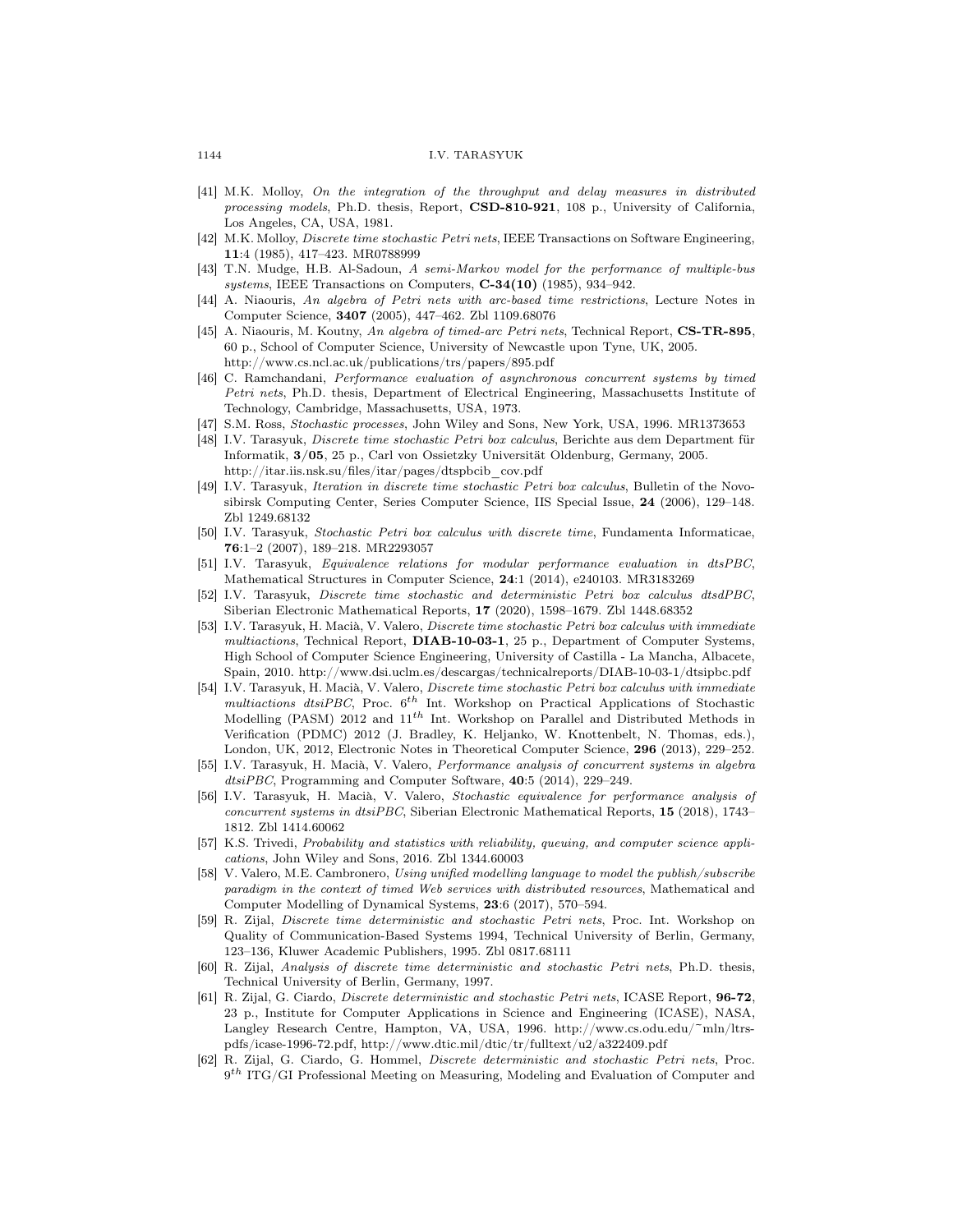- [41] M.K. Molloy, *On the integration of the throughput and delay measures in distributed processing models*, Ph.D. thesis, Report, CSD-810-921, 108 p., University of California, Los Angeles, CA, USA, 1981.
- [42] M.K. Molloy, *Discrete time stochastic Petri nets*, IEEE Transactions on Software Engineering, 11:4 (1985), 417–423. MR0788999
- [43] T.N. Mudge, H.B. Al-Sadoun, *A semi-Markov model for the performance of multiple-bus systems*, IEEE Transactions on Computers, C-34(10) (1985), 934–942.
- [44] A. Niaouris, *An algebra of Petri nets with arc-based time restrictions*, Lecture Notes in Computer Science, 3407 (2005), 447–462. Zbl 1109.68076
- [45] A. Niaouris, M. Koutny, *An algebra of timed-arc Petri nets*, Technical Report, CS-TR-895, 60 p., School of Computer Science, University of Newcastle upon Tyne, UK, 2005. http://www.cs.ncl.ac.uk/publications/trs/papers/895.pdf
- [46] C. Ramchandani, *Performance evaluation of asynchronous concurrent systems by timed Petri nets*, Ph.D. thesis, Department of Electrical Engineering, Massachusetts Institute of Technology, Cambridge, Massachusetts, USA, 1973.
- [47] S.M. Ross, *Stochastic processes*, John Wiley and Sons, New York, USA, 1996. MR1373653
- [48] I.V. Tarasyuk, *Discrete time stochastic Petri box calculus*, Berichte aus dem Department für Informatik, 3/05, 25 p., Carl von Ossietzky Universität Oldenburg, Germany, 2005. http://itar.iis.nsk.su/files/itar/pages/dtspbcib\_cov.pdf
- [49] I.V. Tarasyuk, *Iteration in discrete time stochastic Petri box calculus*, Bulletin of the Novosibirsk Computing Center, Series Computer Science, IIS Special Issue, 24 (2006), 129–148. Zbl 1249.68132
- [50] I.V. Tarasyuk, *Stochastic Petri box calculus with discrete time*, Fundamenta Informaticae, 76:1–2 (2007), 189–218. MR2293057
- [51] I.V. Tarasyuk, *Equivalence relations for modular performance evaluation in dtsPBC*, Mathematical Structures in Computer Science, 24:1 (2014), e240103. MR3183269
- [52] I.V. Tarasyuk, *Discrete time stochastic and deterministic Petri box calculus dtsdPBC*, Siberian Electronic Mathematical Reports, 17 (2020), 1598–1679. Zbl 1448.68352
- [53] I.V. Tarasyuk, H. Macià, V. Valero, *Discrete time stochastic Petri box calculus with immediate multiactions*, Technical Report, DIAB-10-03-1, 25 p., Department of Computer Systems, High School of Computer Science Engineering, University of Castilla - La Mancha, Albacete, Spain, 2010. http://www.dsi.uclm.es/descargas/technicalreports/DIAB-10-03-1/dtsipbc.pdf
- [54] I.V. Tarasyuk, H. Maci`a, V. Valero, *Discrete time stochastic Petri box calculus with immediate multiactions dtsiPBC*, Proc.  $6^{th}$  Int. Workshop on Practical Applications of Stochastic Modelling (PASM) 2012 and  $11^{th}$  Int. Workshop on Parallel and Distributed Methods in Verification (PDMC) 2012 (J. Bradley, K. Heljanko, W. Knottenbelt, N. Thomas, eds.), London, UK, 2012, Electronic Notes in Theoretical Computer Science, 296 (2013), 229–252.
- [55] I.V. Tarasyuk, H. Macià, V. Valero, *Performance analysis of concurrent systems in algebra dtsiPBC*, Programming and Computer Software, 40:5 (2014), 229–249.
- [56] I.V. Tarasyuk, H. Macià, V. Valero, *Stochastic equivalence for performance analysis of concurrent systems in dtsiPBC*, Siberian Electronic Mathematical Reports, 15 (2018), 1743– 1812. Zbl 1414.60062
- [57] K.S. Trivedi, *Probability and statistics with reliability, queuing, and computer science applications*, John Wiley and Sons, 2016. Zbl 1344.60003
- [58] V. Valero, M.E. Cambronero, *Using unified modelling language to model the publish/subscribe paradigm in the context of timed Web services with distributed resources*, Mathematical and Computer Modelling of Dynamical Systems, 23:6 (2017), 570–594.
- [59] R. Zijal, *Discrete time deterministic and stochastic Petri nets*, Proc. Int. Workshop on Quality of Communication-Based Systems 1994, Technical University of Berlin, Germany, 123–136, Kluwer Academic Publishers, 1995. Zbl 0817.68111
- [60] R. Zijal, *Analysis of discrete time deterministic and stochastic Petri nets*, Ph.D. thesis, Technical University of Berlin, Germany, 1997.
- [61] R. Zijal, G. Ciardo, *Discrete deterministic and stochastic Petri nets*, ICASE Report, 96-72, 23 p., Institute for Computer Applications in Science and Engineering (ICASE), NASA, Langley Research Centre, Hampton, VA, USA, 1996. http://www.cs.odu.edu/~mln/ltrspdfs/icase-1996-72.pdf, http://www.dtic.mil/dtic/tr/fulltext/u2/a322409.pdf
- [62] R. Zijal, G. Ciardo, G. Hommel, *Discrete deterministic and stochastic Petri nets*, Proc.  $9<sup>th</sup> ITG/GI Professional Meeting on Measuring, Modeling and Evaluation of Computer and$